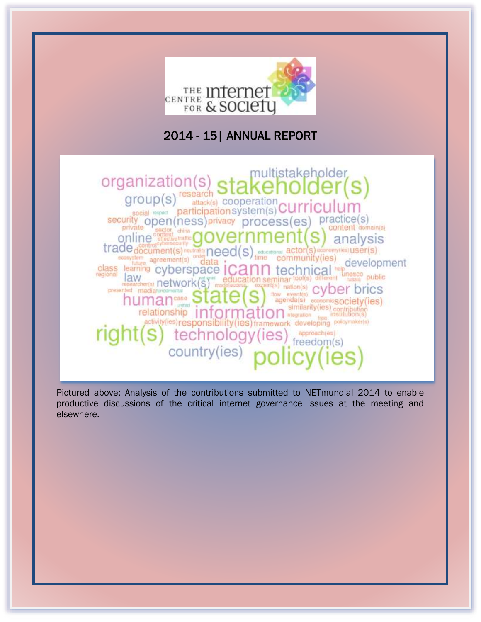

# 2014 - 15| ANNUAL REPORT

multistakeholder organization(s) group(s)<sup>research</sup> attack(s) COODEration  $\frac{\text{social}}{\text{social}}$   $\frac{\text{participations}}{\text{partition}}$   $\frac{\text{CUPI}}{\text{CUPI}}$ security open (ness) privacy process (es practice(s) content domain(s) china online<sup>on</sup> analysis trade document(s) newslet need(s) stress learning cyberspace icann educational actor(s) economy(les) USer(s) community(ies) development class learning cyberspace ICa ical <sup>re</sup> tec unesco public law<br> *IRW*<br> **IRWORK(S)** ditterent education seminar topi(s) oxpert(s) nation(s) mo presented mediatundamental cyber brics flow eve human<sub>case</sub> agenda(s) economic society (ies) information stration frequence (is institution(s) relationship activity(ies) responsibility(ies) framework developing polloymaker(a) approach(es) technology (ies) freedom(s) country(ies)

Pictured above: Analysis of the contributions submitted to NETmundial 2014 to enable productive discussions of the critical internet governance issues at the meeting and elsewhere.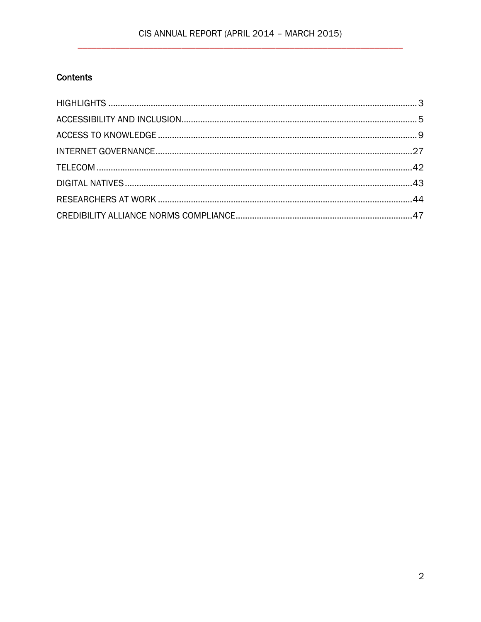# CIS ANNUAL REPORT (APRIL 2014 - MARCH 2015)

# Contents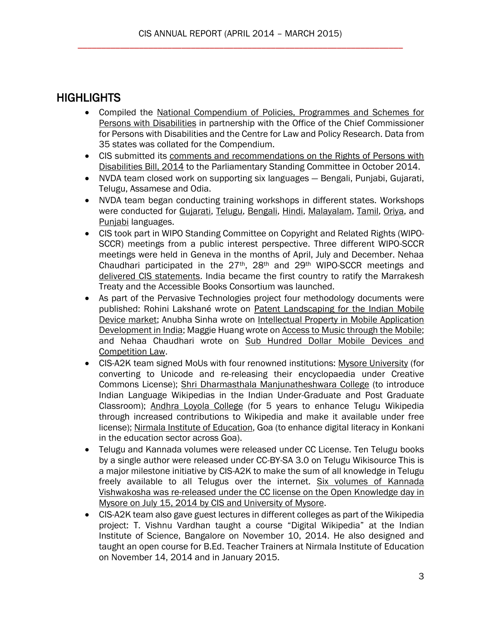# <span id="page-2-0"></span>**HIGHLIGHTS**

- Compiled the National Compendium of Policies, Programmes and Schemes for [Persons with Disabilities](http://cis-india.org/accessibility/blog/national-compendium.pdf) in partnership with the Office of the Chief Commissioner for Persons with Disabilities and the Centre for Law and Policy Research. Data from 35 states was collated for the Compendium.
- CIS submitted its [comments and recommendations on the Rights of Persons with](http://cis-india.org/accessibility/blog/comments-to-rights-of-persons-with-disablities-bill-2014)  [Disabilities Bill, 2014](http://cis-india.org/accessibility/blog/comments-to-rights-of-persons-with-disablities-bill-2014) to the Parliamentary Standing Committee in October 2014.
- NVDA team closed work on supporting six languages Bengali, Punjabi, Gujarati, Telugu, Assamese and Odia.
- NVDA team began conducting training workshops in different states. Workshops were conducted for [Gujarati,](http://cis-india.org/accessibility/blog/report-on-training-in-basic-computing-with-nvda-at-delhi) [Telugu,](http://cis-india.org/accessibility/blog/telugu-e-speak-training-with-nvda-december-2014) [Bengali,](http://cis-india.org/accessibility/blog/bangla-e-speak-training-with-nvda-december-2014) [Hindi,](http://cis-india.org/accessibility/blog/report-on-training-using-espeak-hindi-with-nvda) [Malayalam,](http://cis-india.org/accessibility/blog/report-on-training-e-speak-malayalam-with-nvda) [Tamil,](http://cis-india.org/accessibility/blog/report-on-training-in-basic-computing-with-use-of-nvda-e-speak-in-tamil) [Oriya,](http://cis-india.org/accessibility/blog/training-in-basic-computing-with-use-of-espeak-nvda-odia) and [Punjabi](http://cis-india.org/accessibility/blog/report-on-training-of-use-of-e-speak-punjabi-nvda) languages.
- CIS took part in WIPO Standing Committee on Copyright and Related Rights (WIPO-SCCR) meetings from a public interest perspective. Three different WIPO-SCCR meetings were held in Geneva in the months of April, July and December. Nehaa Chaudhari participated in the 27th, 28th and 29th WIPO-SCCR meetings and [delivered CIS statements.](http://cis-india.org/a2k) India became the first country to ratify the Marrakesh Treaty and the Accessible Books Consortium was launched.
- As part of the Pervasive Technologies project four methodology documents were published: Rohini Lakshané wrote on [Patent Landscaping for the Indian Mobile](http://editors.cis-india.org/a2k/blogs/patent-landscaping-in-the-indian-mobile-device-market)  [Device market;](http://editors.cis-india.org/a2k/blogs/patent-landscaping-in-the-indian-mobile-device-market) Anubha Sinha wrote on Intellectual Property in Mobile Application [Development in India;](http://editors.cis-india.org/a2k/blogs/methodology-intellectual-property-in-mobile-application-development-in-india) Maggie Huang wrote on Access to [Music through the Mobile;](http://editors.cis-india.org/a2k/blogs/methodology-access-to-music-through-mobile) and Nehaa Chaudhari wrote on Sub Hundred Dollar Mobile Devices and [Competition Law.](http://editors.cis-india.org/a2k/blogs/methodology-sub-hundred-dollar-mobile-devices-and-competition-law)
- CIS-A2K team signed MoUs with four renowned institutions: [Mysore University](http://cis-india.org/openness/blog/cis-signs-mou-with-mysore-university) (for converting to Unicode and re-releasing their encyclopaedia under Creative Commons License); [Shri Dharmasthala Manjunatheshwara College](http://cis-india.org/openness/blog/cis-signs-mou-with-sdm-college) (to introduce Indian Language Wikipedias in the Indian Under-Graduate and Post Graduate Classroom); [Andhra Loyola College](http://cis-india.org/openness/blog/alc-cis-sign-mou-better-net-access) (for 5 years to enhance Telugu Wikipedia through increased contributions to Wikipedia and make it available under free license); [Nirmala Institute of Education,](http://cis-india.org/openness/blog/nie-steps-in-to-grow-konkani-wikipedia) Goa (to enhance digital literacy in Konkani in the education sector across Goa).
- Telugu and Kannada volumes were released under CC License. Ten Telugu books by a single author were released under CC-BY-SA 3.0 on Telugu Wikisource This is a major milestone initiative by CIS-A2K to make the sum of all knowledge in Telugu freely available to all Telugus over the internet. [Six volumes of Kannada](http://cis-india.org/openness/blog/university-of-mysore-releases-kannada-vishwakosha-under-cc-license)  [Vishwakosha was re-released under the CC license on the Open Knowledge day in](http://cis-india.org/openness/blog/university-of-mysore-releases-kannada-vishwakosha-under-cc-license)  [Mysore on July 15, 2014 by CIS and University of Mysore.](http://cis-india.org/openness/blog/university-of-mysore-releases-kannada-vishwakosha-under-cc-license)
- CIS-A2K team also gave guest lectures in different colleges as part of the Wikipedia project: T. Vishnu Vardhan taught a course "Digital Wikipedia" at the Indian Institute of Science, Bangalore on November 10, 2014. He also designed and taught an open course for B.Ed. Teacher Trainers at Nirmala Institute of Education on November 14, 2014 and in January 2015.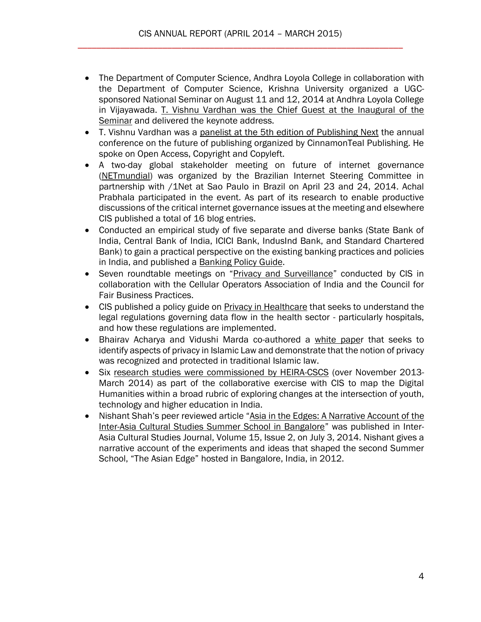- The Department of Computer Science, Andhra Loyola College in collaboration with the Department of Computer Science, Krishna University organized a UGCsponsored National Seminar on August 11 and 12, 2014 at Andhra Loyola College in Vijayawada. [T. Vishnu Vardhan was the Chief Guest at the Inaugural of the](http://cis-india.org/news/information-communication-technology-in-making-a-healthy-information-society-with-special-reference-to-use-of-icts-in-educational-technology)  [Seminar](http://cis-india.org/news/information-communication-technology-in-making-a-healthy-information-society-with-special-reference-to-use-of-icts-in-educational-technology) and delivered the keynote address.
- T. Vishnu Vardhan was a [panelist at the 5th edition of Publishing Next](http://cis-india.org/openness/news/publishing-next) the annual conference on the future of publishing organized by CinnamonTeal Publishing. He spoke on Open Access, Copyright and Copyleft.
- A two-day global stakeholder meeting on future of internet governance [\(NETmundial\)](http://netmundial.br/) was organized by the Brazilian Internet Steering Committee in partnership with /1Net at Sao Paulo in Brazil on April 23 and 24, 2014. Achal Prabhala participated in the event. As part of its research to enable productive discussions of the critical internet governance issues at the meeting and elsewhere CIS published a total of 16 blog entries.
- Conducted an empirical study of five separate and diverse banks (State Bank of India, Central Bank of India, ICICI Bank, IndusInd Bank, and Standard Chartered Bank) to gain a practical perspective on the existing banking practices and policies in India, and published a [Banking Policy Guide.](http://cis-india.org/internet-governance/blog/banking-policy-guide)
- Seven roundtable meetings on "[Privacy and Surveillance](http://cis-india.org/internet-governance/blog/privacy-surveillance-roundtable-mumbai)" conducted by CIS in collaboration with the Cellular Operators Association of India and the Council for Fair Business Practices.
- CIS published a policy guide on [Privacy in Healthcare](http://cis-india.org/internet-governance/blog/privacy-in-healthcare-policy-guide) that seeks to understand the legal regulations governing data flow in the health sector - particularly hospitals, and how these regulations are implemented.
- Bhairav Acharya and Vidushi Marda co-authored a [white paper](http://cis-india.org/internet-governance/blog/identifying-aspects-of-privacy-in-islamic-law) that seeks to identify aspects of privacy in Islamic Law and demonstrate that the notion of privacy was recognized and protected in traditional Islamic law.
- Six [research studies were commissioned by HEIRA-CSCS](http://cis-india.org/raw/digital-humanities/digital-humanities-in-india-mapping-changes-at-intersection-of-youth-technology-higher-education) (over November 2013-March 2014) as part of the collaborative exercise with CIS to map the Digital Humanities within a broad rubric of exploring changes at the intersection of youth, technology and higher education in India.
- Nishant Shah's peer reviewed article "[Asia in the Edges: A Narrative Account of the](http://cis-india.org/raw/digital-humanities/routledge-inter-asia-cultural-studies-volume-15-issue-2-nishant-shah-asia-in-the-edges)  [Inter-Asia Cultural Studies Summer School in Bangalore](http://cis-india.org/raw/digital-humanities/routledge-inter-asia-cultural-studies-volume-15-issue-2-nishant-shah-asia-in-the-edges)" was published in Inter-Asia Cultural Studies Journal, Volume 15, Issue 2, on July 3, 2014. Nishant gives a narrative account of the experiments and ideas that shaped the second Summer School, "The Asian Edge" hosted in Bangalore, India, in 2012.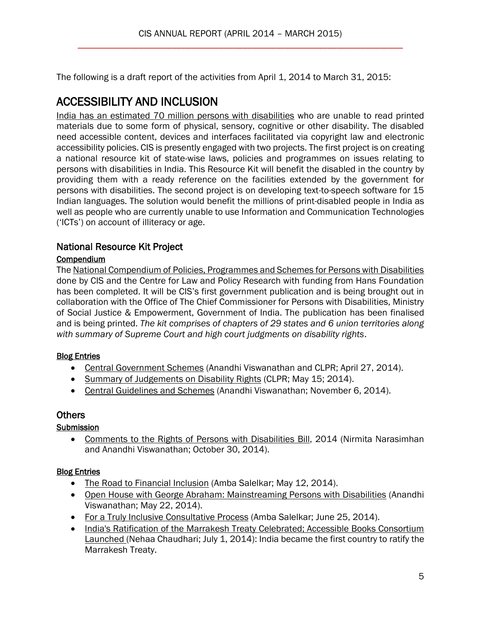The following is a draft report of the activities from April 1, 2014 to March 31, 2015:

# <span id="page-4-0"></span>ACCESSIBILITY AND INCLUSION

[India has an estimated 70 million persons with disabilities](http://www.un.org/disabilities/default.asp?id=18) who are unable to read printed materials due to some form of physical, sensory, cognitive or other disability. The disabled need accessible content, devices and interfaces facilitated via copyright law and electronic accessibility policies. CIS is presently engaged with two projects. The first project is on creating a national resource kit of state-wise laws, policies and programmes on issues relating to persons with disabilities in India. This Resource Kit will benefit the disabled in the country by providing them with a ready reference on the facilities extended by the government for persons with disabilities. The second project is on developing text-to-speech software for 15 Indian languages. The solution would benefit the millions of print-disabled people in India as well as people who are currently unable to use Information and Communication Technologies ('ICTs') on account of illiteracy or age.

## National Resource Kit Project

#### **Compendium**

The [National Compendium of Policies, Programmes and Schemes for Persons with Disabilities](http://cis-india.org/accessibility/blog/national-compendium.pdf) done by CIS and the Centre for Law and Policy Research with funding from Hans Foundation has been completed. It will be CIS's first government publication and is being brought out in collaboration with the Office of The Chief Commissioner for Persons with Disabilities, Ministry of Social Justice & Empowerment, Government of India. The publication has been finalised and is being printed. *The kit comprises of chapters of 29 states and 6 union territories along with summary of Supreme Court and high court judgments on disability rights*.

## Blog Entries

- [Central Government Schemes](http://cis-india.org/accessibility/blog/central-government-schemes) (Anandhi Viswanathan and CLPR; April 27, 2014).
- [Summary of Judgements on Disability Rights](http://cis-india.org/accessibility/blog/summary-of-judgments-on-disability-rights) (CLPR; May 15; 2014).
- [Central Guidelines and Schemes](http://cis-india.org/accessibility/blog/central-guidelines-and-schemes) (Anandhi Viswanathan; November 6, 2014).

## **Others**

## **Submission**

 [Comments to the Rights of Persons with Disabilities Bill,](http://cis-india.org/accessibility/blog/comments-to-rights-of-persons-with-disablities-bill-2014) 2014 (Nirmita Narasimhan and Anandhi Viswanathan; October 30, 2014).

## Blog Entries

- [The Road to Financial Inclusion](http://cis-india.org/accessibility/blog/the-road-to-financial-inclusion) (Amba Salelkar; May 12, 2014).
- [Open House with George Abraham: Mainstreaming Persons with Disabilities](http://cis-india.org/accessibility/blog/open-house-with-george-abraham) (Anandhi Viswanathan; May 22, 2014).
- [For a Truly Inclusive Consultative Process](http://cis-india.org/accessibility/blog/for-a-truly-inclusive-consultative-process) (Amba Salelkar; June 25, 2014).
- India's Ratification of the Marrakesh Treaty Celebrated; Accessible Books Consortium [Launched \(](http://cis-india.org/accessibility/blog/indias-ratification-of-marrakesh-treaty-celebrated)Nehaa Chaudhari; July 1, 2014): India became the first country to ratify the Marrakesh Treaty.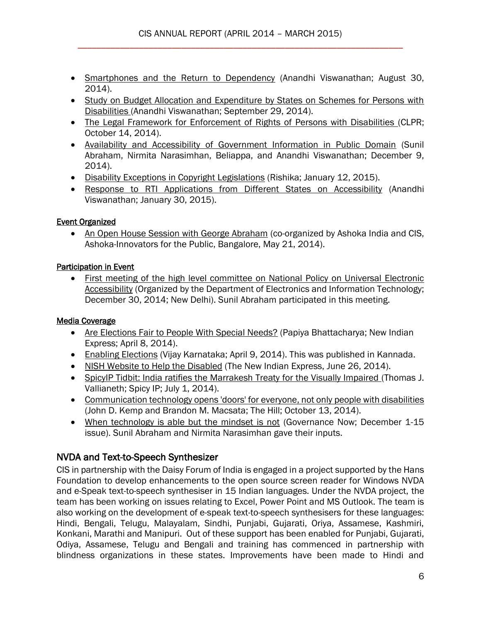- [Smartphones and the Return to Dependency](http://cis-india.org/accessibility/blog/smartphones-return-to-dependency) (Anandhi Viswanathan; August 30, 2014).
- Study on Budget Allocation and Expenditure by States on Schemes for Persons with [Disabilities \(](http://cis-india.org/accessibility/blog/study-on-budget-allocation-and-expenditure-by-states-on-schemes-for-persons-with-disabilities)Anandhi Viswanathan; September 29, 2014).
- [The Legal Framework for Enforcement of Rights of Persons with Disabilities \(](http://cis-india.org/accessibility/blog/the-legal-framework-for-enforcement-of-rights-of-persons-with-disabilities)CLPR; October 14, 2014).
- [Availability and Accessibility of Government Information in Public Domain](http://editors.cis-india.org/accessibility/blog/availability-and-accessibility-of-government-information-in-public-domain) (Sunil Abraham, Nirmita Narasimhan, Beliappa, and Anandhi Viswanathan; December 9, 2014).
- [Disability Exceptions in Copyright Legislations](http://cis-india.org/accessibility/blog/disability-exceptions-in-copyright-legislations) (Rishika; January 12, 2015).
- [Response to RTI Applications from Different States on Accessibility](http://cis-india.org/accessibility/blog/response-to-rti-applications-from-different-states-on-accessibility) (Anandhi Viswanathan; January 30, 2015).

## Event Organized

• [An Open House Session with George Abraham](http://cis-india.org/events/open-house-session-with-george-abraham) (co-organized by Ashoka India and CIS, Ashoka-Innovators for the Public, Bangalore, May 21, 2014).

## Participation in Event

 [First meeting of the high level committee on National Policy on Universal Electronic](http://editors.cis-india.org/accessibility/news/first-meeting-of-high-level-committee-on-national-policy-on-universal-electronic-accessibility)  [Accessibility](http://editors.cis-india.org/accessibility/news/first-meeting-of-high-level-committee-on-national-policy-on-universal-electronic-accessibility) (Organized by the Department of Electronics and Information Technology; December 30, 2014; New Delhi). Sunil Abraham participated in this meeting.

# Media Coverage

- [Are Elections Fair to People With Special Needs?](http://cis-india.org/news/new-indian-express-april-8-2014-papiya-bhattacharya-are-elections-fair-to-people-with-special-needs) (Papiya Bhattacharya; New Indian Express; April 8, 2014).
- [Enabling Elections](http://cis-india.org/news/vijay-karnataka-april-9-2014-enabling-elections) (Vijay Karnataka; April 9, 2014). This was published in Kannada.
- [NISH Website to Help the Disabled](http://cis-india.org/news/the-new-indian-express-june-26-2014-nish-website-to-help-disabled) (The New Indian Express, June 26, 2014).
- [SpicyIP Tidbit: India ratifies the Marrakesh Treaty for the Visually Impaired \(](http://cis-india.org/news/spicy-ip-july-1-2014-thomas-j-vallianeth-spicy-ip-tidbit-india-ratifies-the-marrakesh-treaty-for-the-visually-impaired)Thomas J. Vallianeth; Spicy IP; July 1, 2014).
- [Communication technology opens 'doors' for everyone, not only people with disabilities](http://cis-india.org/accessibility/news/the-hill-john-d-kemp-and-brandon-m-macsata-october-13-2014-communication-technology-opens-doors-for-everyone-not-only-people-with-disabilities)  (John D. Kemp and Brandon M. Macsata; The Hill; October 13, 2014).
- [When technology is able but the mindset is not](http://editors.cis-india.org/accessibility/news/e-gov-reach-december-15-2014-geetanjali-minhas-when-technology-is-able-but-mindset-is-not) (Governance Now; December 1-15 issue). Sunil Abraham and Nirmita Narasimhan gave their inputs.

# NVDA and Text-to-Speech Synthesizer

CIS in partnership with the Daisy Forum of India is engaged in a project supported by the Hans Foundation to develop enhancements to the open source screen reader for Windows NVDA and e-Speak text-to-speech synthesiser in 15 Indian languages. Under the NVDA project, the team has been working on issues relating to Excel, Power Point and MS Outlook. The team is also working on the development of e-speak text-to-speech synthesisers for these languages: Hindi, Bengali, Telugu, Malayalam, Sindhi, Punjabi, Gujarati, Oriya, Assamese, Kashmiri, Konkani, Marathi and Manipuri. Out of these support has been enabled for Punjabi, Gujarati, Odiya, Assamese, Telugu and Bengali and training has commenced in partnership with blindness organizations in these states. Improvements have been made to Hindi and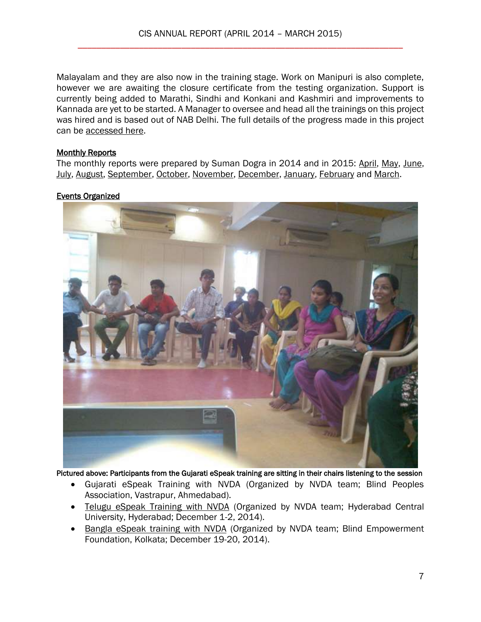Malayalam and they are also now in the training stage. Work on Manipuri is also complete, however we are awaiting the closure certificate from the testing organization. Support is currently being added to Marathi, Sindhi and Konkani and Kashmiri and improvements to Kannada are yet to be started. A Manager to oversee and head all the trainings on this project was hired and is based out of NAB Delhi. The full details of the progress made in this project can be [accessed here.](http://cis-india.org/accessibility/resources/nvda-text-to-speech-synthesizer)

#### **Monthly Reports**

The monthly reports were prepared by Suman Dogra in 2014 and in 2015: [April,](http://cis-india.org/accessibility/resources/nvda-text-to-speech-synthesizer) [May,](http://cis-india.org/accessibility/blog/nvda-e-speak-update-may-2014.pdf) [June,](http://cis-india.org/accessibility/blog/nvda-e-speak-update-june-2014.pdf) [July,](http://cis-india.org/accessibility/blog/nvda-e-speak-update-july-2014.pdf) [August,](http://cis-india.org/accessibility/blog/nvda-e-speak-update-august-2014.pdf) [September,](http://cis-india.org/accessibility/blog/september-2014-nvda-report.pdf) [October,](http://cis-india.org/accessibility/blog/october-2014-nvda-report.pdf) [November,](http://cis-india.org/accessibility/blog/november-e-speak-nvda-2014-report.pdf) [December,](http://cis-india.org/accessibility/blog/december-2014-nvda-report.pdf) [January,](http://cis-india.org/accessibility/blog/january-2015-nvda-report.pdf) [February](http://cis-india.org/accessibility/blog/nvda-e-speak-report-february-2015.pdf) and [March.](http://cis-india.org/accessibility/blog/march-nvda-e-speak-report.pdf)

## Events Organized



Pictured above: Participants from the Gujarati eSpeak training are sitting in their chairs listening to the session

- Gujarati eSpeak Training with NVDA (Organized by NVDA team; Blind Peoples Association, Vastrapur, Ahmedabad).
- [Telugu eSpeak Training with NVDA](http://editors.cis-india.org/accessibility/blog/telugu-e-speak-training-with-nvda-december-2014) (Organized by NVDA team; Hyderabad Central University, Hyderabad; December 1-2, 2014).
- [Bangla eSpeak training with NVDA](http://editors.cis-india.org/accessibility/blog/bangla-e-speak-training-with-nvda-december-2014) (Organized by NVDA team; Blind Empowerment Foundation, Kolkata; December 19-20, 2014).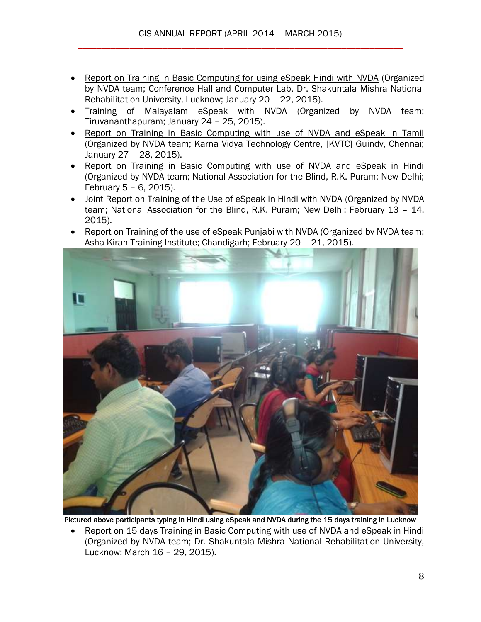- [Report on Training in Basic Computing for using eSpeak Hindi with NVDA](http://cis-india.org/accessibility/blog/report-on-training-using-espeak-hindi-with-nvda) (Organized by NVDA team; Conference Hall and Computer Lab, Dr. Shakuntala Mishra National Rehabilitation University, Lucknow; January 20 – 22, 2015).
- [Training of Malayalam eSpeak with NVDA](http://cis-india.org/accessibility/blog/report-on-training-e-speak-malayalam-with-nvda) (Organized by NVDA team; Tiruvananthapuram; January 24 – 25, 2015).
- [Report on Training in Basic Computing with use of NVDA and eSpeak in Tamil](http://cis-india.org/accessibility/blog/report-on-training-in-basic-computing-with-use-of-nvda-e-speak-in-tamil) (Organized by NVDA team; Karna Vidya Technology Centre, [KVTC] Guindy, Chennai; January 27 – 28, 2015).
- [Report on Training in Basic Computing with use of NVDA and eSpeak in Hindi](http://cis-india.org/accessibility/blog/report-on-training-in-basic-computing-with-use-of-nvda-espeak-hindi) (Organized by NVDA team; National Association for the Blind, R.K. Puram; New Delhi; February 5 – 6, 2015).
- [Joint Report on Training of the Use of eSpeak in Hindi with NVDA](http://cis-india.org/accessibility/blog/training-on-use-of-espeak-hindi-nvda) (Organized by NVDA team; National Association for the Blind, R.K. Puram; New Delhi; February 13 – 14, 2015).
- [Report on Training of the use of eSpeak Punjabi with NVDA](http://cis-india.org/accessibility/blog/report-on-training-of-use-of-e-speak-punjabi-nvda) (Organized by NVDA team; Asha Kiran Training Institute; Chandigarh; February 20 – 21, 2015).



Pictured above participants typing in Hindi using eSpeak and NVDA during the 15 days training in Lucknow

 [Report on 15 days Training in Basic Computing with use of NVDA and eSpeak in Hindi](http://cis-india.org/accessibility/blog/report-on-training-in-basic-computing-with-nvda-and-e-speak-in-hindi) (Organized by NVDA team; Dr. Shakuntala Mishra National Rehabilitation University, Lucknow; March 16 – 29, 2015).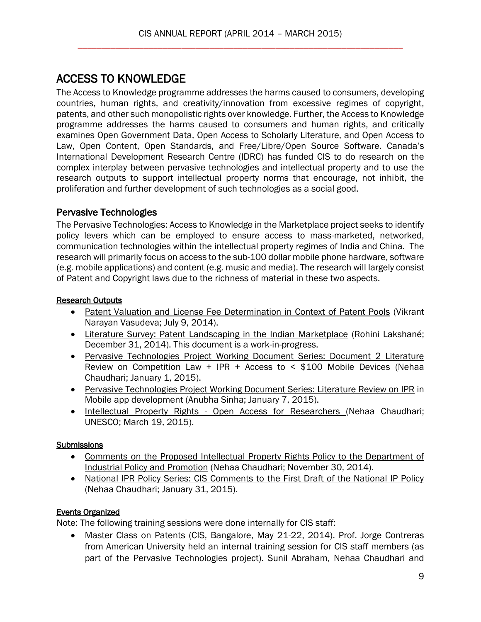# <span id="page-8-0"></span>ACCESS TO KNOWLEDGE

The Access to Knowledge programme addresses the harms caused to consumers, developing countries, human rights, and creativity/innovation from excessive regimes of copyright, patents, and other such monopolistic rights over knowledge. Further, the Access to Knowledge programme addresses the harms caused to consumers and human rights, and critically examines Open Government Data, Open Access to Scholarly Literature, and Open Access to Law, Open Content, Open Standards, and Free/Libre/Open Source Software. Canada's International Development Research Centre (IDRC) has funded CIS to do research on the complex interplay between pervasive technologies and intellectual property and to use the research outputs to support intellectual property norms that encourage, not inhibit, the proliferation and further development of such technologies as a social good.

# Pervasive Technologies

The Pervasive Technologies: Access to Knowledge in the Marketplace project seeks to identify policy levers which can be employed to ensure access to mass-marketed, networked, communication technologies within the intellectual property regimes of India and China. The research will primarily focus on access to the sub-100 dollar mobile phone hardware, software (e.g. mobile applications) and content (e.g. music and media). The research will largely consist of Patent and Copyright laws due to the richness of material in these two aspects.

## Research Outputs

- [Patent Valuation and License Fee Determination in Context of Patent Pools](http://editors.cis-india.org/a2k/blogs/patent-valuation-and-license-fee-determination-in-context-of-patent-pools) (Vikrant Narayan Vasudeva; July 9, 2014).
- [Literature Survey: Patent Landscaping in the Indian Marketplace](http://cis-india.org/a2k/blogs/literature-survey-patent-landscaping-in-the-indian-marketplace) (Rohini Lakshané; December 31, 2014). This document is a work-in-progress.
- [Pervasive Technologies Project Working Document Series: Document 2 Literature](http://cis-india.org/a2k/blogs/pervasive-technologies-project-working-document-series-document-2-literature-review-on-competition-law-ipr-access-to-100-mobile-devices-1)  [Review on Competition Law + IPR + Access to < \\$100 Mobile Devices \(](http://cis-india.org/a2k/blogs/pervasive-technologies-project-working-document-series-document-2-literature-review-on-competition-law-ipr-access-to-100-mobile-devices-1)Nehaa Chaudhari; January 1, 2015).
- [Pervasive Technologies Project Working Document Series: Literature Review on IPR](http://cis-india.org/a2k/blogs/relationship-between-app-developers-and-app-platforms-an-intellectual-property-perspective) in Mobile app development (Anubha Sinha; January 7, 2015).
- Intellectual Property Rights [Open Access for Researchers \(](http://cis-india.org/a2k/blogs/unesco-nehaa-chaudhari-march-19-2015-communication-and-information-resources-news-and-in-focus-articles-unesco-open-access-curriculum-is-now-online)Nehaa Chaudhari; UNESCO; March 19, 2015).

# **Submissions**

- [Comments on the Proposed Intellectual Property Rights Policy to the Department of](http://editors.cis-india.org/a2k/blogs/comments-on-proposed-ip-rights-policy-to-dipp)  [Industrial Policy and Promotion](http://editors.cis-india.org/a2k/blogs/comments-on-proposed-ip-rights-policy-to-dipp) (Nehaa Chaudhari; November 30, 2014).
- National IPR Policy Series: CIS Comments to the First Draft of the National IP Policy (Nehaa Chaudhari; January 31, 2015).

# Events Organized

Note: The following training sessions were done internally for CIS staff:

 Master Class on Patents (CIS, Bangalore, May 21-22, 2014). Prof. Jorge Contreras from American University held an internal training session for CIS staff members (as part of the Pervasive Technologies project). Sunil Abraham, Nehaa Chaudhari and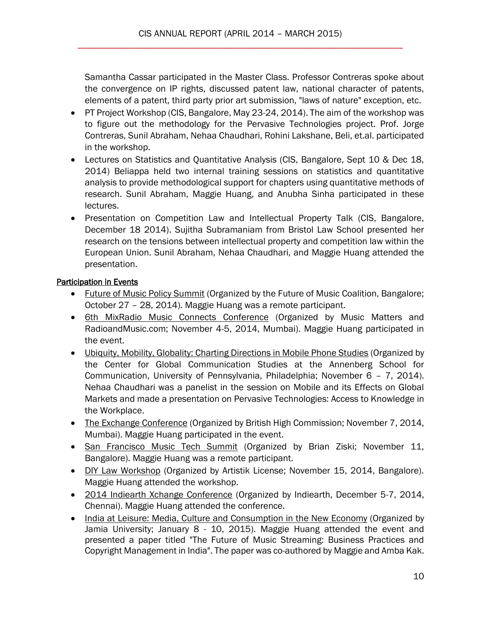Samantha Cassar participated in the Master Class. Professor Contreras spoke about the convergence on IP rights, discussed patent law, national character of patents, elements of a patent, third party prior art submission, "laws of nature" exception, etc.

- PT Project Workshop (CIS, Bangalore, May 23-24, 2014). The aim of the workshop was to figure out the methodology for the Pervasive Technologies project. Prof. Jorge Contreras, Sunil Abraham, Nehaa Chaudhari, Rohini Lakshane, Beli, et.al. participated in the workshop.
- Lectures on Statistics and Quantitative Analysis (CIS, Bangalore, Sept 10 & Dec 18, 2014) Beliappa held two internal training sessions on statistics and quantitative analysis to provide methodological support for chapters using quantitative methods of research. Sunil Abraham, Maggie Huang, and Anubha Sinha participated in these lectures.
- Presentation on Competition Law and Intellectual Property Talk (CIS, Bangalore, December 18 2014). Sujitha Subramaniam from Bristol Law School presented her research on the tensions between intellectual property and competition law within the European Union. Sunil Abraham, Nehaa Chaudhari, and Maggie Huang attended the presentation.

## Participation in Events

- [Future of Music Policy Summit](https://futureofmusic.org/events/future-music-summit-2014) (Organized by the Future of Music Coalition, Bangalore; October 27 – 28, 2014). Maggie Huang was a remote participant.
- [6th MixRadio Music Connects Conference](http://musicconnects.indiantelevision.com/) (Organized by Music Matters and RadioandMusic.com; November 4-5, 2014, Mumbai). Maggie Huang participated in the event.
- [Ubiquity, Mobility, Globality: Charting Directions in Mobile Phone Studies](http://cis-india.org/a2k/news/center-for-global-communication-studies-november-6-2014-ubiquity-mobility-globality-charting-directions-in-mobile-phone-studies) (Organized by the Center for Global Communication Studies at the Annenberg School for Communication, University of Pennsylvania, Philadelphia; November 6 – 7, 2014). Nehaa Chaudhari was a panelist in the session on Mobile and its Effects on Global Markets and made a presentation on Pervasive Technologies: Access to Knowledge in the Workplace.
- [The Exchange Conference](http://www.theexchange.in/) (Organized by British High Commission; November 7, 2014, Mumbai). Maggie Huang participated in the event.
- [San Francisco Music Tech Summit](http://www.sfmusictech.com/) (Organized by Brian Ziski; November 11, Bangalore). Maggie Huang was a remote participant.
- [DIY Law Workshop](http://artistiklicense.wordpress.com/) (Organized by Artistik License; November 15, 2014, Bangalore). Maggie Huang attended the workshop.
- [2014 Indiearth Xchange Conference](http://xchange14.indiearth.com/) (Organized by Indiearth, December 5-7, 2014, Chennai). Maggie Huang attended the conference.
- [India at Leisure: Media, Culture and Consumption in the New Economy](http://cis-india.org/a2k/news/india-at-leisure) (Organized by Jamia University; January 8 - 10, 2015). Maggie Huang attended the event and presented a paper titled "The Future of Music Streaming: Business Practices and Copyright Management in India". The paper was co-authored by Maggie and Amba Kak.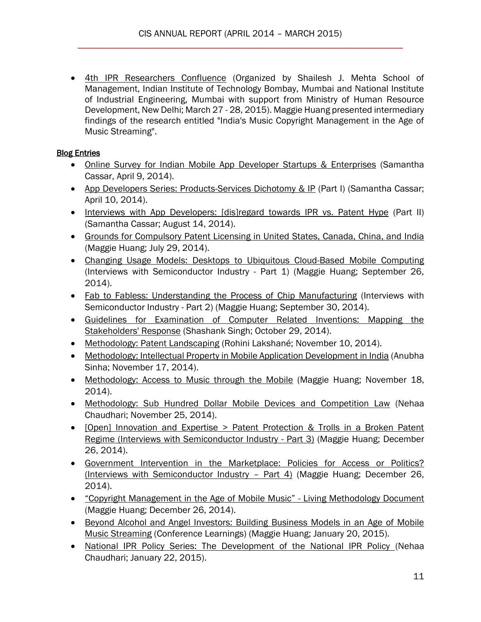[4th IPR Researchers Confluence](http://cis-india.org/a2k/news/fourth-ipr-researchers-confluence) (Organized by Shailesh J. Mehta School of Management, Indian Institute of Technology Bombay, Mumbai and National Institute of Industrial Engineering, Mumbai with support from Ministry of Human Resource Development, New Delhi; March 27 - 28, 2015). Maggie Huang presented intermediary findings of the research entitled "India's Music Copyright Management in the Age of Music Streaming".

## **Blog Entries**

- [Online Survey for Indian Mobile App Developer Startups & Enterprises](http://cis-india.org/a2k/blog/online-survey-for-indian-mobile-app-developer-enterprise) (Samantha Cassar, April 9, 2014).
- [App Developers Series: Products-Services Dichotomy & IP](http://cis-india.org/a2k/blogs/app-developers-series-services-products-dichotomy-ip-2013-part-i) (Part I) (Samantha Cassar; April 10, 2014).
- [Interviews with App Developers: \[dis\]regard towards IPR vs. Patent Hype](http://cis-india.org/a2k/blogs/interviews-with-app-developers-dis-regard-towards-ipr-vs-patent-hype-2013-part-ii) (Part II) (Samantha Cassar; August 14, 2014).
- [Grounds for Compulsory Patent Licensing in United States, Canada, China, and India](http://editors.cis-india.org/a2k/blogs/grounds-for-compulsory-patent-licensing-in-us-canada-china-and-india) (Maggie Huang; July 29, 2014).
- [Changing Usage Models: Desktops to Ubiquitous Cloud-Based Mobile Computing](http://editors.cis-india.org/a2k/blogs/interviews-with-semi-conductor-industry-professionals-in-taiwan-1) (Interviews with Semiconductor Industry - Part 1) (Maggie Huang; September 26, 2014).
- [Fab to Fabless: Understanding the Process of Chip Manufacturing](http://editors.cis-india.org/a2k/blogs/interviews-with-semi-conductor-industry-professionals-in-taiwan-2) (Interviews with Semiconductor Industry - Part 2) (Maggie Huang; September 30, 2014).
- [Guidelines for Examination of Computer Related Inventions: Mapping the](http://cis-india.org/a2k/blogs/guidelines-for-examination-of-computer-related-inventions)  [Stakeholders' Response](http://cis-india.org/a2k/blogs/guidelines-for-examination-of-computer-related-inventions) (Shashank Singh; October 29, 2014).
- [Methodology: Patent Landscaping](http://editors.cis-india.org/a2k/blogs/patent-landscaping-in-the-indian-mobile-device-market) (Rohini Lakshané; November 10, 2014).
- [Methodology: Intellectual Property in Mobile Application Development in India](http://editors.cis-india.org/a2k/blogs/methodology-intellectual-property-in-mobile-application-development-in-india) (Anubha Sinha; November 17, 2014).
- [Methodology: Access to Music through the Mobile](http://editors.cis-india.org/a2k/blogs/methodology-access-to-music-through-mobile) (Maggie Huang; November 18, 2014).
- [Methodology: Sub Hundred Dollar Mobile Devices and Competition Law](http://editors.cis-india.org/a2k/blogs/methodology-sub-hundred-dollar-mobile-devices-and-competition-law) (Nehaa Chaudhari; November 25, 2014).
- [Open] Innovation and Expertise > Patent Protection & Trolls in a Broken Patent [Regime \(Interviews with Semiconductor Industry -](http://editors.cis-india.org/a2k/blogs/interviews-with-semi-conductor-industry-part-3) Part 3) (Maggie Huang; December 26, 2014).
- [Government Intervention in the Marketplace: Policies for Access or Politics?](http://editors.cis-india.org/a2k/blogs/interviews-with-semiconductor-industry-part-4)  [\(Interviews with Semiconductor Industry](http://editors.cis-india.org/a2k/blogs/interviews-with-semiconductor-industry-part-4) – Part 4) (Maggie Huang; December 26, 2014).
- ["Copyright Management in the Age of Mobile Music"](http://editors.cis-india.org/a2k/blogs/copyright-management-in-age-of-mobile-music)  Living Methodology Document (Maggie Huang; December 26, 2014).
- Beyond Alcohol and Angel Investors: Building Business Models in an Age of Mobile [Music Streaming](http://cis-india.org/a2k/blogs/beyond-alcohol-and-angel-investors) (Conference Learnings) (Maggie Huang; January 20, 2015).
- [National IPR Policy Series: The Development of the National IPR Policy \(](http://cis-india.org/a2k/blogs/the-development-of-the-national-ipr-policy)Nehaa Chaudhari; January 22, 2015).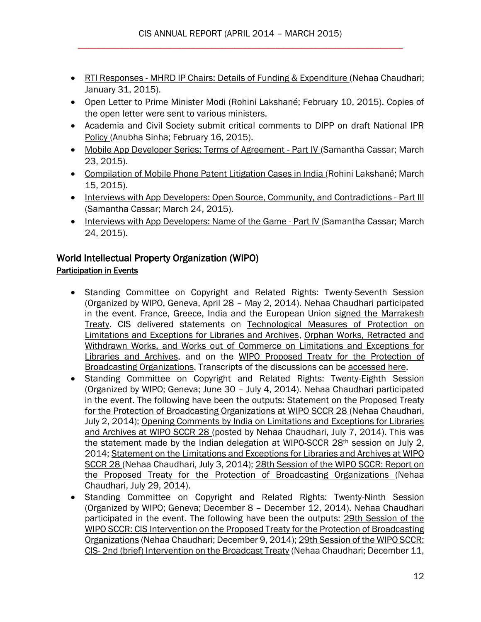- RTI Responses [MHRD IP Chairs: Details of Funding & Expenditure \(](http://cis-india.org/a2k/blogs/rti-responses-mhrd-ip-chairs-details-of-funding-and-expenditure)Nehaa Chaudhari; January 31, 2015).
- [Open Letter to Prime Minister Modi](http://cis-india.org/a2k/blogs/open-letter-to-prime-minister-modi) (Rohini Lakshané; February 10, 2015). Copies of the open letter were sent to various ministers.
- [Academia and Civil Society submit critical comments to DIPP on draft National IPR](http://cis-india.org/a2k/blogs/academia-and-civil-society-submit-critical-comments-to-dipp-on-draft-national-ipr-policy)  [Policy \(](http://cis-india.org/a2k/blogs/academia-and-civil-society-submit-critical-comments-to-dipp-on-draft-national-ipr-policy)Anubha Sinha; February 16, 2015).
- [Mobile App Developer Series: Terms of Agreement -](http://cis-india.org/a2k/blogs/mobile-app-developer-series-terms-of-agreement-iv) Part IV (Samantha Cassar; March 23, 2015).
- [Compilation of Mobile Phone Patent Litigation Cases in India \(](http://cis-india.org/a2k/blogs/compilation-of-mobile-phone-patent-litigation-cases-in-india)Rohini Lakshané; March 15, 2015).
- [Interviews with App Developers: Open Source, Community, and Contradictions -](http://cis-india.org/a2k/blogs/interviews-with-app-developers-open-source-community-and-contradictions-iii) Part III (Samantha Cassar; March 24, 2015).
- [Interviews with App Developers: Name of the Game -](http://cis-india.org/a2k/blogs/interviews-with-app-developers-name-of-the-game-part-iv) Part IV (Samantha Cassar; March 24, 2015).

#### World Intellectual Property Organization (WIPO) Participation in Events

- Standing Committee on Copyright and Related Rights: Twenty-Seventh Session (Organized by WIPO, Geneva, April 28 – May 2, 2014). Nehaa Chaudhari participated in the event. France, Greece, India and the European Union [signed the Marrakesh](http://cis-india.org/a2k/blog/france-greece-india-eu-sign-marrakesh-treaty)  [Treaty.](http://cis-india.org/a2k/blog/france-greece-india-eu-sign-marrakesh-treaty) CIS delivered statements on [Technological Measures of Protection on](http://cis-india.org/a2k/blog/cis-statement-on-technological-measures-of-protection-27-sccr-on-limitations-exceptions-for-libraries-and-archives)  [Limitations and Exceptions for Libraries and Archives,](http://cis-india.org/a2k/blog/cis-statement-on-technological-measures-of-protection-27-sccr-on-limitations-exceptions-for-libraries-and-archives) [Orphan Works, Retracted and](http://cis-india.org/a2k/blog/cis-statement-orphan-works-retracted-withdrawn-works-and-works-out-of-commerce-at-27-sccr-on-limitations-and-exceptions-for-libraries-and-archives)  [Withdrawn Works, and Works out of Commerce on Limitations and Exceptions for](http://cis-india.org/a2k/blog/cis-statement-orphan-works-retracted-withdrawn-works-and-works-out-of-commerce-at-27-sccr-on-limitations-and-exceptions-for-libraries-and-archives)  [Libraries and Archives,](http://cis-india.org/a2k/blog/cis-statement-orphan-works-retracted-withdrawn-works-and-works-out-of-commerce-at-27-sccr-on-limitations-and-exceptions-for-libraries-and-archives) and on the [WIPO Proposed Treaty for the Protection of](http://cis-india.org/a2k/blog/cis-statement-27-sccr-on-wipo-proposed-treaty-for-protection-of-broadcasting-organizations)  [Broadcasting Organizations.](http://cis-india.org/a2k/blog/cis-statement-27-sccr-on-wipo-proposed-treaty-for-protection-of-broadcasting-organizations) Transcripts of the discussions can be [accessed here.](http://cis-india.org/a2k/blog/wipo-sccr-27-discussions-transcripts)
- Standing Committee on Copyright and Related Rights: Twenty-Eighth Session (Organized by WIPO; Geneva; June 30 – July 4, 2014). Nehaa Chaudhari participated in the event. The following have been the outputs: [Statement on the Proposed Treaty](http://cis-india.org/a2k/blog/cis-statement-on-proposed-treaty-for-protection-of-broadcasting-organizations)  [for the Protection of Broadcasting Organizations at WIPO SCCR 28 \(](http://cis-india.org/a2k/blog/cis-statement-on-proposed-treaty-for-protection-of-broadcasting-organizations)Nehaa Chaudhari, July 2, 2014); [Opening Comments by India on Limitations and Exceptions for Libraries](http://cis-india.org/a2k/blog/opening-statement-of-india-on-limitations-and-exceptions-for-libraries-and-archives)  [and Archives at WIPO SCCR 28 \(](http://cis-india.org/a2k/blog/opening-statement-of-india-on-limitations-and-exceptions-for-libraries-and-archives)posted by Nehaa Chaudhari, July 7, 2014). This was the statement made by the Indian delegation at WIPO-SCCR 28th session on July 2, 2014; [Statement on the Limitations and Exceptions for Libraries and Archives at WIPO](http://cis-india.org/a2k/blog/cis-statement-on-limitations-and-exceptions-for-libraries-and-archives)  [SCCR 28 \(](http://cis-india.org/a2k/blog/cis-statement-on-limitations-and-exceptions-for-libraries-and-archives)Nehaa Chaudhari, July 3, 2014); 28th Session of the WIPO SCCR: Report on [the Proposed Treaty for the Protection of Broadcasting Organizations \(](http://cis-india.org/a2k/blog/wipo-sccr-28-proposed-treaty-for-protection-of-broadcasting-organizations)Nehaa Chaudhari, July 29, 2014).
- Standing Committee on Copyright and Related Rights: Twenty-Ninth Session (Organized by WIPO; Geneva; December 8 – December 12, 2014). Nehaa Chaudhari participated in the event. The following have been the outputs: 29th Session of the [WIPO SCCR: CIS Intervention on the Proposed Treaty for the Protection of Broadcasting](http://editors.cis-india.org/a2k/blogs/wipo-sccr-29-cis-intervention-on-proposed-treaty-for-protection-of-broadcasting-organizations)  [Organizations](http://editors.cis-india.org/a2k/blogs/wipo-sccr-29-cis-intervention-on-proposed-treaty-for-protection-of-broadcasting-organizations) (Nehaa Chaudhari; December 9, 2014); 29th Session of the WIPO SCCR: CIS- [2nd \(brief\) Intervention on the Broadcast Treaty](http://editors.cis-india.org/a2k/blogs/wipo-sccr-29-cis-second-brief-intervention-on-broadcast-treaty) (Nehaa Chaudhari; December 11,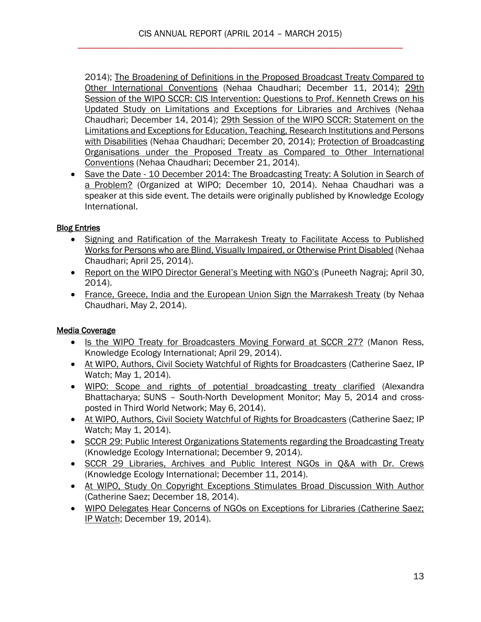2014); The Broadening of Definitions in [the Proposed Broadcast Treaty Compared to](http://editors.cis-india.org/a2k/blogs/the-broadening-of-definitions-in-the-proposed-broadcast-treaty-compared-to-other-international-conventions)  [Other International Conventions](http://editors.cis-india.org/a2k/blogs/the-broadening-of-definitions-in-the-proposed-broadcast-treaty-compared-to-other-international-conventions) (Nehaa Chaudhari; December 11, 2014); [29th](http://editors.cis-india.org/a2k/blogs/cis-intervention-questions-to-prof-kenneth-crews-on-limitations-and-exceptions-for-libraries-and-archives)  [Session of the WIPO SCCR: CIS Intervention: Questions to Prof. Kenneth Crews on his](http://editors.cis-india.org/a2k/blogs/cis-intervention-questions-to-prof-kenneth-crews-on-limitations-and-exceptions-for-libraries-and-archives)  [Updated Study on Limitations and Exceptions for Libraries and Archives](http://editors.cis-india.org/a2k/blogs/cis-intervention-questions-to-prof-kenneth-crews-on-limitations-and-exceptions-for-libraries-and-archives) (Nehaa Chaudhari; December 14, 2014); [29th Session of the WIPO SCCR: Statement on the](http://editors.cis-india.org/a2k/blogs/cis-statement-on-limitations-and-exceptions-for-education-teaching-research-institutions-and-persons-with-disabilities)  [Limitations and Exceptions for Education, Teaching, Research Institutions and Persons](http://editors.cis-india.org/a2k/blogs/cis-statement-on-limitations-and-exceptions-for-education-teaching-research-institutions-and-persons-with-disabilities)  [with Disabilities](http://editors.cis-india.org/a2k/blogs/cis-statement-on-limitations-and-exceptions-for-education-teaching-research-institutions-and-persons-with-disabilities) (Nehaa Chaudhari; December 20, 2014); Protection of Broadcasting [Organisations under the Proposed Treaty as Compared to Other International](http://editors.cis-india.org/a2k/blogs/protection-of-broadcasting-organisations-under-proposed-broadcast-treaty)  [Conventions](http://editors.cis-india.org/a2k/blogs/protection-of-broadcasting-organisations-under-proposed-broadcast-treaty) (Nehaa Chaudhari; December 21, 2014).

• Save the Date - 10 December 2014: The Broadcasting Treaty: A Solution in Search of [a Problem?](http://editors.cis-india.org/a2k/news/kei-10-december-2014-the-broadcasting-treaty-a-solution-in-search-of-a-problem) (Organized at WIPO; December 10, 2014). Nehaa Chaudhari was a speaker at this side event. The details were originally published by Knowledge Ecology International.

## Blog Entries

- [Signing and Ratification of the Marrakesh Treaty to Facilitate Access to Published](http://cis-india.org/a2k/blog/signing-and-ratification-of-marrakesh-treaty-to-facilitate-access-to-published-works-for-persons-blind-visually-impaired-print-disabled)  [Works for Persons who are Blind, Visually Impaired, or Otherwise Print Disabled](http://cis-india.org/a2k/blog/signing-and-ratification-of-marrakesh-treaty-to-facilitate-access-to-published-works-for-persons-blind-visually-impaired-print-disabled) (Nehaa Chaudhari; April 25, 2014).
- [Report on the WIPO Director General's Meeting with NGO's](http://cis-india.org/a2k/blog/report-on-wipo-director-general-meeting-with-ngos) (Puneeth Nagraj; April 30, 2014).
- [France, Greece, India and the European Union Sign the Marrakesh Treaty](http://cis-india.org/a2k/blog/france-greece-india-eu-sign-marrakesh-treaty) (by Nehaa Chaudhari, May 2, 2014).

## Media Coverage

- [Is the WIPO Treaty for Broadcasters Moving Forward at SCCR 27?](http://cis-india.org/news/knowledge-ecology-international-manon-ress-april-29-2014-is-wipo-treaty-for-broadcasters-moving-forward-at-sccr-27) (Manon Ress, Knowledge Ecology International; April 29, 2014).
- [At WIPO, Authors, Civil Society Watchful of Rights for Broadcasters](http://cis-india.org/news/ip-watch-catherine-saez-may-1-2014-wipo-authors-civil-society-watchful-of-rights-for-broadcasters) (Catherine Saez, IP Watch; May 1, 2014).
- [WIPO: Scope and rights of potential broadcasting treaty clarified](http://cis-india.org/news/third-world-network-may-5-2014-wipo-scope-and-rights-of-potential-broadcasting-treaty-clarified) (Alexandra Bhattacharya; SUNS – South-North Development Monitor; May 5, 2014 and crossposted in Third World Network; May 6, 2014).
- [At WIPO, Authors, Civil Society Watchful of Rights for Broadcasters](http://cis-india.org/news/ip-watch-catherine-saez-may-1-2014-wipo-authors-civil-society-watchful-of-rights-for-broadcasters) (Catherine Saez; IP Watch; May 1, 2014).
- [SCCR 29: Public Interest Organizations Statements regarding the Broadcasting Treaty](http://editors.cis-india.org/a2k/news/knowledge-ecology-international-sccr-29-public-interest-organizations-statements-regarding-the-broadcasting-treaty) (Knowledge Ecology International; December 9, 2014).
- [SCCR 29 Libraries, Archives and Public Interest NGOs in Q&A with Dr. Crews](http://editors.cis-india.org/a2k/news/knowledge-ecology-international-sccr-29-december-11-2014-libraries-archives-public-interest-ngos-q-a-with-dr-crews) (Knowledge Ecology International; December 11, 2014).
- [At WIPO, Study On Copyright Exceptions Stimulates Broad Discussion With Author](http://editors.cis-india.org/a2k/news/ip-watch-catherine-saez-december-18-2014-wipo-study-on-copyright-exceptions-stimulates-broad-discussion-with-author) (Catherine Saez; December 18, 2014).
- [WIPO Delegates Hear Concerns of NGOs on Exceptions for Libraries \(Catherine Saez;](http://editors.cis-india.org/a2k/news/ip-watch-catherine-saez-december-19-2014-wipo-delegates-hear-concerns-of-ngos-on-exceptions-for-libraries)  [IP Watch;](http://editors.cis-india.org/a2k/news/ip-watch-catherine-saez-december-19-2014-wipo-delegates-hear-concerns-of-ngos-on-exceptions-for-libraries) December 19, 2014).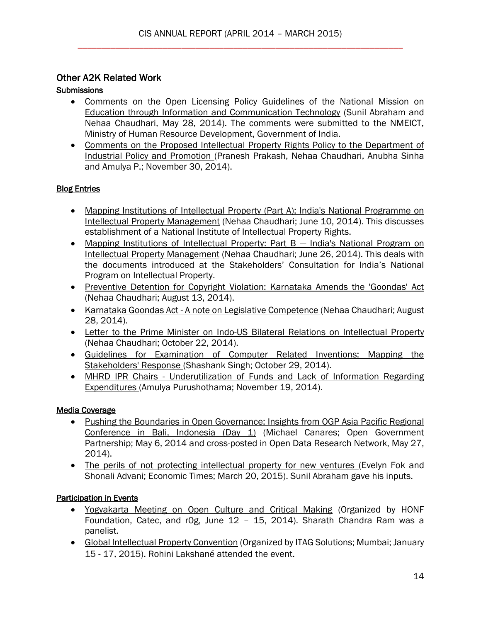## Other A2K Related Work

## **Submissions**

- [Comments on the Open Licensing Policy Guidelines of the National Mission on](http://cis-india.org/a2k/blog/comments-on-open-licensing-policy-guidelines-of-national-mission-on-education-through-information-and-communication-technology)  [Education through Information and Communication Technology](http://cis-india.org/a2k/blog/comments-on-open-licensing-policy-guidelines-of-national-mission-on-education-through-information-and-communication-technology) (Sunil Abraham and Nehaa Chaudhari, May 28, 2014). The comments were submitted to the NMEICT, Ministry of Human Resource Development, Government of India.
- [Comments on the Proposed Intellectual Property Rights Policy to the Department of](http://cis-india.org/a2k/blogs/comments-on-proposed-ip-rights-policy-to-dipp)  [Industrial Policy and Promotion \(](http://cis-india.org/a2k/blogs/comments-on-proposed-ip-rights-policy-to-dipp)Pranesh Prakash, Nehaa Chaudhari, Anubha Sinha and Amulya P.; November 30, 2014).

## **Blog Entries**

- [Mapping Institutions of Intellectual Property \(Part A\): India's National Programme on](http://cis-india.org/a2k/blog/mapping-institutions-of-intellectual-property-part-a)  [Intellectual Property](http://cis-india.org/a2k/blog/mapping-institutions-of-intellectual-property-part-a) Management (Nehaa Chaudhari; June 10, 2014). This discusses establishment of a National Institute of Intellectual Property Rights.
- [Mapping Institutions of Intellectual Property: Part B](http://cis-india.org/a2k/blog/mapping-institutions-of-intellectual-property-part-b)  India's National Program on [Intellectual Property Management](http://cis-india.org/a2k/blog/mapping-institutions-of-intellectual-property-part-b) (Nehaa Chaudhari; June 26, 2014). This deals with the documents introduced at the Stakeholders' Consultation for India's National Program on Intellectual Property.
- Preventive Detention for Copyright Violation: Karnataka Amends the 'Goondas' Act (Nehaa Chaudhari; August 13, 2014).
- Karnataka Goondas Act [A note on Legislative Competence \(](http://cis-india.org/a2k/blog/spicy-ip-nehaa-chaudhari-august-28-2014-karnataka-goondas-act-a-note-on-legislative-competence)Nehaa Chaudhari; August 28, 2014).
- Letter to the Prime Minister on Indo-US Bilateral Relations on Intellectual Property (Nehaa Chaudhari; October 22, 2014).
- [Guidelines for Examination of Computer Related Inventions: Mapping the](http://cis-india.org/a2k/blogs/guidelines-for-examination-of-computer-related-inventions)  [Stakeholders' Response \(](http://cis-india.org/a2k/blogs/guidelines-for-examination-of-computer-related-inventions)Shashank Singh; October 29, 2014).
- MHRD IPR Chairs [Underutilization of Funds and Lack of Information Regarding](http://cis-india.org/a2k/blogs/mhrd-ipr-chairs-underutilization-of-funds-and-lack-of-information-regarding-expenditures)  [Expenditures \(](http://cis-india.org/a2k/blogs/mhrd-ipr-chairs-underutilization-of-funds-and-lack-of-information-regarding-expenditures)Amulya Purushothama; November 19, 2014).

## Media Coverage

- [Pushing the Boundaries in Open Governance: Insights from OGP Asia Pacific Regional](http://cis-india.org/news/open-government-partnership-michael-canares-may-6-2014-pushing-the-boundaries-in-open-governance)  [Conference in Bali, Indonesia \(Day 1\)](http://cis-india.org/news/open-government-partnership-michael-canares-may-6-2014-pushing-the-boundaries-in-open-governance) (Michael Canares; Open Government Partnership; May 6, 2014 and cross-posted in Open Data Research Network, May 27, 2014).
- [The perils of not protecting intellectual property for new ventures \(](http://cis-india.org/a2k/news/economic-times-evelyn-fok-shonali-advani-march-20-2015-the-perils-of-not-protecting-intellectual-property-for-new-ventures)Evelyn Fok and Shonali Advani; Economic Times; March 20, 2015). Sunil Abraham gave his inputs.

# Participation in Events

- [Yogyakarta Meeting on Open Culture and Critical Making](http://cis-india.org/news/yogyakarta-meeting-on-open-culture-and-critical-making) (Organized by HONF Foundation, Catec, and r0g, June 12 – 15, 2014). Sharath Chandra Ram was a panelist.
- [Global Intellectual Property Convention](http://cis-india.org/a2k/news/seventh-global-ip-convention) (Organized by ITAG Solutions; Mumbai; January 15 - 17, 2015). Rohini Lakshané attended the event.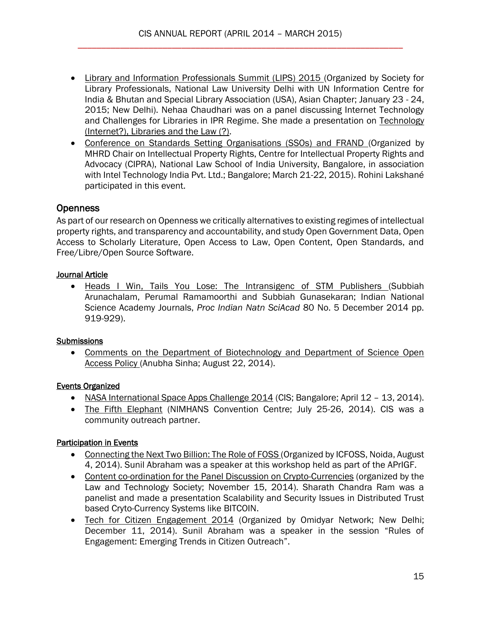- [Library and Information Professionals Summit \(LIPS\) 2015 \(](http://cis-india.org/a2k/news/library-and-information-professionals-summit-2015)Organized by Society for Library Professionals, National Law University Delhi with UN Information Centre for India & Bhutan and Special Library Association (USA), Asian Chapter; January 23 - 24, 2015; New Delhi). Nehaa Chaudhari was on a panel discussing Internet Technology and Challenges for Libraries in IPR Regime. She made a presentation on Technology [\(Internet?\), Libraries and the Law \(?\).](http://cis-india.org/a2k/news/library-and-information-professionals-summit-2015)
- [Conference on Standards Setting Organisations \(SSOs\) and FRAND \(](http://cis-india.org/a2k/news/conference-on-standards-setting-organisations-and-frand)Organized by MHRD Chair on Intellectual Property Rights, Centre for Intellectual Property Rights and Advocacy (CIPRA), National Law School of India University, Bangalore, in association with Intel Technology India Pvt. Ltd.; Bangalore; March 21-22, 2015). Rohini Lakshané participated in this event.

# **Openness**

As part of our research on Openness we critically alternatives to existing regimes of intellectual property rights, and transparency and accountability, and study Open Government Data, Open Access to Scholarly Literature, Open Access to Law, Open Content, Open Standards, and Free/Libre/Open Source Software.

## Journal Article

 [Heads I Win, Tails You Lose: The Intransigenc of STM Publishers \(](http://editors.cis-india.org/openness/blog/indian-national-academy-journals-december-2014-subbiah-arunachalam-perumal-ramamoorthi-subbiah-gunasekaran-heads-i-win-tails-you-lose)Subbiah Arunachalam, Perumal Ramamoorthi and Subbiah Gunasekaran; Indian National Science Academy Journals, *Proc Indian Natn SciAcad* 80 No. 5 December 2014 pp. 919-929).

## **Submissions**

 [Comments on the Department of Biotechnology and Department of Science Open](http://cis-india.org/openness/cis-comments-to-the-department-of-biotechnology-and-department-of-science-open-access-policy)  [Access Policy \(](http://cis-india.org/openness/cis-comments-to-the-department-of-biotechnology-and-department-of-science-open-access-policy)Anubha Sinha; August 22, 2014).

## Events Organized

- [NASA International Space Apps Challenge 2014](http://cis-india.org/openness/events/nasa-international-space-apps-challenge-2014) (CIS; Bangalore; April 12 13, 2014).
- [The Fifth Elephant](http://cis-india.org/news/the-fifth-elephant) (NIMHANS Convention Centre; July 25-26, 2014). CIS was a community outreach partner.

## **Participation in Events**

- [Connecting the Next Two Billion: The Role of FOSS \(](http://cis-india.org/openness/news/apr-igf-delhi-2014-connecting-the-next-two-billion-the-role-of-foss)Organized by ICFOSS, Noida, August 4, 2014). Sunil Abraham was a speaker at this workshop held as part of the APrIGF.
- [Content co-ordination for the Panel Discussion on Crypto-Currencies](http://cis-india.org/openness/news/crypto-currencies) (organized by the Law and Technology Society; November 15, 2014). Sharath Chandra Ram was a panelist and made a presentation Scalability and Security Issues in Distributed Trust based Cryto-Currency Systems like BITCOIN.
- [Tech for Citizen Engagement 2014](http://editors.cis-india.org/openness/news/omidyar-network-december-11-2014-tech-for-citizen-engagement-2014) (Organized by Omidyar Network; New Delhi; December 11, 2014). Sunil Abraham was a speaker in the session "Rules of Engagement: Emerging Trends in Citizen Outreach".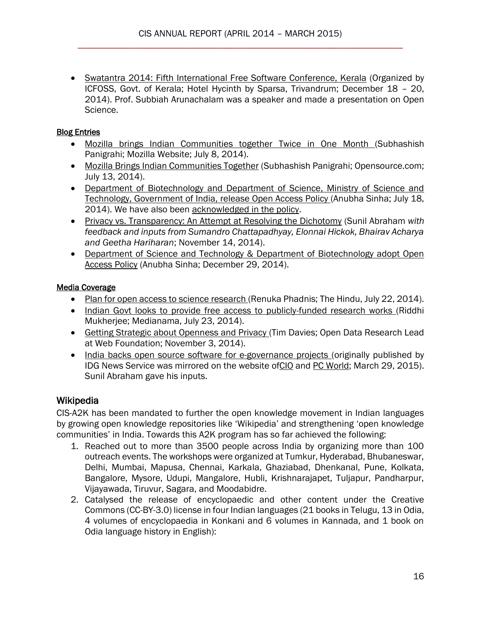[Swatantra 2014: Fifth International Free Software Conference, Kerala](http://editors.cis-india.org/openness/news/swatantra-2014-icfoss-december-18-20-2014-fifth-international-free-software-conference-in-kerala) (Organized by ICFOSS, Govt. of Kerala; Hotel Hycinth by Sparsa, Trivandrum; December 18 – 20, 2014). Prof. Subbiah Arunachalam was a speaker and made a presentation on Open Science.

## Blog Entries

- [Mozilla brings Indian Communities together Twice in One Month \(](http://cis-india.org/openness/blog/mozilla-brings-indian-communities-together-twice-in-one-month)Subhashish Panigrahi; Mozilla Website; July 8, 2014).
- [Mozilla Brings Indian Communities Together](http://cis-india.org/openness/blog/mozilla-brings-indian-communities-together) (Subhashish Panigrahi; Opensource.com; July 13, 2014).
- [Department of Biotechnology and Department of Science, Ministry of Science and](http://cis-india.org/openness/blog/department-of-biotechnology-and-department-of-science-ministry-of-science-and-technology-government-of-india-release-open-access-policy)  [Technology, Government of India, release Open Access Policy \(](http://cis-india.org/openness/blog/department-of-biotechnology-and-department-of-science-ministry-of-science-and-technology-government-of-india-release-open-access-policy)Anubha Sinha; July 18, 2014). We have also been [acknowledged in the policy.](http://dbtindia.nic.in/docs/DST-DBT_Draft.pdf)
- [Privacy vs. Transparency: An Attempt at Resolving the Dichotomy](http://cis-india.org/openness/blog/privacy-v-transparency) (Sunil Abraham *with feedback and inputs from Sumandro Chattapadhyay, Elonnai Hickok, Bhairav Acharya and Geetha Hariharan*; November 14, 2014).
- Department of Science and Technology & Department of Biotechnology adopt Open [Access Policy](http://editors.cis-india.org/openness/blog/department-of-science-and-technology-department-of-biotechnology-adopt-open-access-policy) (Anubha Sinha; December 29, 2014).

#### Media Coverage

- [Plan for open access to science research \(](http://cis-india.org/news/the-hindu-july-22-2014-renuka-phadnis-plan-for-open-access-to-science-research)Renuka Phadnis; The Hindu, July 22, 2014).
- [Indian Govt looks to provide free access to publicly-funded research works \(](http://cis-india.org/news/medianama-july-23-2014-riddhi-mukherjee-indian-govt-looks-to-provide-free-access-to-public-funded-research-works)Riddhi Mukherjee; Medianama, July 23, 2014).
- [Getting Strategic about Openness and Privacy \(](http://cis-india.org/internet-governance/news/open-up-tim-davies-november-3-2014-getting-strategic-about-openness-and-privacy)Tim Davies; Open Data Research Lead at Web Foundation; November 3, 2014).
- [India backs open source software for e-governance projects \(](http://cis-india.org/openness/news/idg-news-service-march-29-2015-john-riberio-india-backs-open-source-software-for-e-governance-projects)originally published by IDG News Service was mirrored on the website of CIO and [PC World;](http://www.pcworld.com/article/2903512/india-backs-open-source-software-for-egovernance-projects.html) March 29, 2015). Sunil Abraham gave his inputs.

# **Wikipedia**

CIS-A2K has been mandated to further the open knowledge movement in Indian languages by growing open knowledge repositories like 'Wikipedia' and strengthening 'open knowledge communities' in India. Towards this A2K program has so far achieved the following:

- 1. Reached out to more than 3500 people across India by organizing more than 100 outreach events. The workshops were organized at Tumkur, Hyderabad, Bhubaneswar, Delhi, Mumbai, Mapusa, Chennai, Karkala, Ghaziabad, Dhenkanal, Pune, Kolkata, Bangalore, Mysore, Udupi, Mangalore, Hubli, Krishnarajapet, Tuljapur, Pandharpur, Vijayawada, Tiruvur, Sagara, and Moodabidre.
- 2. Catalysed the release of encyclopaedic and other content under the Creative Commons (CC-BY-3.0) license in four Indian languages (21 books in Telugu, 13 in Odia, 4 volumes of encyclopaedia in Konkani and 6 volumes in Kannada, and 1 book on Odia language history in English):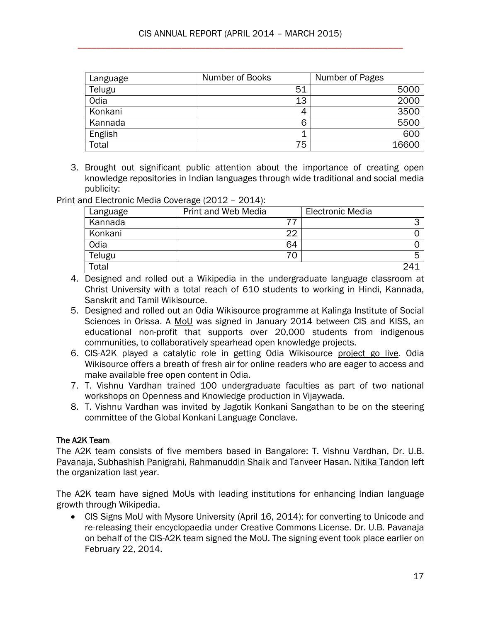| Language | Number of Books | Number of Pages |
|----------|-----------------|-----------------|
| Telugu   | 51              | 5000            |
| Odia     | 13              | 2000            |
| Konkani  | 4               | 3500            |
| Kannada  | 6               | 5500            |
| English  | 1               | 600             |
| Total    | 75              | 16600           |

3. Brought out significant public attention about the importance of creating open knowledge repositories in Indian languages through wide traditional and social media publicity:

Print and Electronic Media Coverage (2012 – 2014):

| Language | Print and Web Media | <b>Electronic Media</b> |
|----------|---------------------|-------------------------|
| Kannada  |                     | ⌒                       |
| Konkani  | 22                  |                         |
| Odia     | 64                  |                         |
| Telugu   | 70                  |                         |
| Total    |                     |                         |

- 4. Designed and rolled out a Wikipedia in the undergraduate language classroom at Christ University with a total reach of 610 students to working in Hindi, Kannada, Sanskrit and Tamil Wikisource.
- 5. Designed and rolled out an Odia Wikisource programme at Kalinga Institute of Social Sciences in Orissa. A [MoU](http://cis-india.org/openness/blog/cis-a2k-kiit-university-kaling-institute-of-social-sciences-mou) was signed in January 2014 between CIS and KISS, an educational non-profit that supports over 20,000 students from indigenous communities, to collaboratively spearhead open knowledge projects.
- 6. CIS-A2K played a catalytic role in getting Odia Wikisource [project go live.](http://editors.cis-india.org/openness/blog/odia-wikisource-goes-live) Odia Wikisource offers a breath of fresh air for online readers who are eager to access and make available free open content in Odia.
- 7. T. Vishnu Vardhan trained 100 undergraduate faculties as part of two national workshops on Openness and Knowledge production in Vijaywada.
- 8. T. Vishnu Vardhan was invited by Jagotik Konkani Sangathan to be on the steering committee of the Global Konkani Language Conclave.

## The A2K Team

The [A2K team](http://meta.wikimedia.org/wiki/Access_To_Knowledge/Team) consists of five members based in Bangalore: [T. Vishnu Vardhan, Dr. U.B.](http://cis-india.org/about/people/our-team)  [Pavanaja,](http://cis-india.org/about/people/our-team) [Subhashish Panigrahi,](http://cis-india.org/about/newsletters/people/our-team) [Rahmanuddin Shaik](http://cis-india.org/about/people/our-team) and Tanveer Hasan. [Nitika Tandon](http://cis-india.org/about/newsletters/people/our-team) left the organization last year.

The A2K team have signed MoUs with leading institutions for enhancing Indian language growth through Wikipedia.

• [CIS Signs MoU with Mysore University](http://cis-india.org/openness/blog/cis-signs-mou-with-mysore-university) (April 16, 2014): for converting to Unicode and re-releasing their encyclopaedia under Creative Commons License. Dr. U.B. Pavanaja on behalf of the CIS-A2K team signed the MoU. The signing event took place earlier on February 22, 2014.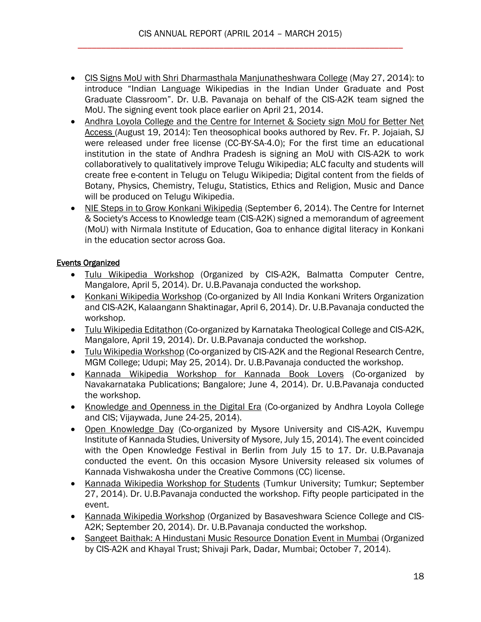- [CIS Signs MoU with Shri Dharmasthala Manjunatheshwara College](http://cis-india.org/openness/blog/cis-signs-mou-with-sdm-college) (May 27, 2014): to introduce "Indian Language Wikipedias in the Indian Under Graduate and Post Graduate Classroom". Dr. U.B. Pavanaja on behalf of the CIS-A2K team signed the MoU. The signing event took place earlier on April 21, 2014.
- Andhra Loyola College and the Centre for Internet & Society sign MoU for Better Net [Access \(](http://cis-india.org/openness/blog/alc-cis-sign-mou-better-net-access)August 19, 2014): Ten theosophical books authored by Rev. Fr. P. Jojaiah, SJ were released under free license (CC-BY-SA-4.0); For the first time an educational institution in the state of Andhra Pradesh is signing an MoU with CIS-A2K to work collaboratively to qualitatively improve Telugu Wikipedia; ALC faculty and students will create free e-content in Telugu on Telugu Wikipedia; Digital content from the fields of Botany, Physics, Chemistry, Telugu, Statistics, Ethics and Religion, Music and Dance will be produced on Telugu Wikipedia.
- [NIE Steps in to Grow Konkani Wikipedia](http://cis-india.org/openness/blog/nie-steps-in-to-grow-konkani-wikipedia) (September 6, 2014). The Centre for Internet & Society's Access to Knowledge team (CIS-A2K) signed a memorandum of agreement (MoU) with Nirmala Institute of Education, Goa to enhance digital literacy in Konkani in the education sector across Goa.

## Events Organized

- [Tulu Wikipedia Workshop](http://cis-india.org/openness/events/tulu-wikipedia-workshop) (Organized by CIS-A2K, Balmatta Computer Centre, Mangalore, April 5, 2014). Dr. U.B.Pavanaja conducted the workshop.
- [Konkani Wikipedia Workshop](http://cis-india.org/news/daijiworld-april-6-2014-mangalore-wikipedia-workshop-held-for-konkani-writers) (Co-organized by All India Konkani Writers Organization and CIS-A2K, Kalaangann Shaktinagar, April 6, 2014). Dr. U.B.Pavanaja conducted the workshop.
- [Tulu Wikipedia Editathon](http://cis-india.org/openness/events/tulu-wikipedia-editathon) (Co-organized by Karnataka Theological College and CIS-A2K, Mangalore, April 19, 2014). Dr. U.B.Pavanaja conducted the workshop.
- [Tulu Wikipedia Workshop](http://cis-india.org/openness/events/tulu-wikipedia-workshop-udupi) (Co-organized by CIS-A2K and the Regional Research Centre, MGM College; Udupi; May 25, 2014). Dr. U.B.Pavanaja conducted the workshop.
- [Kannada Wikipedia Workshop for Kannada Book Lovers](http://commons.wikimedia.org/wiki/Category:Kannada_Wikipedia_workshop_for_Kannada_Book_lovers) (Co-organized by Navakarnataka Publications; Bangalore; June 4, 2014). Dr. U.B.Pavanaja conducted the workshop.
- [Knowledge and Openness in the Digital Era](http://cis-india.org/openness/events/knowledge-and-openness-in-digital-era) (Co-organized by Andhra Loyola College and CIS; Vijaywada, June 24-25, 2014).
- [Open Knowledge Day](http://cis-india.org/openness/events/open-knowledge-day-mysore) (Co-organized by Mysore University and CIS-A2K, Kuvempu Institute of Kannada Studies, University of Mysore, July 15, 2014). The event coincided with the Open Knowledge Festival in Berlin from July 15 to 17. Dr. U.B.Pavanaja conducted the event. On this occasion Mysore University released six volumes of Kannada Vishwakosha under the Creative Commons (CC) license.
- [Kannada Wikipedia Workshop for Students](http://commons.wikimedia.org/wiki/Category:Kannada_Wikipedia_Workshop_at_Tumkur_%28Sep_27_2014%29) (Tumkur University; Tumkur; September 27, 2014). Dr. U.B.Pavanaja conducted the workshop. Fifty people participated in the event.
- [Kannada Wikipedia Workshop](http://commons.wikimedia.org/wiki/Category:Kannada_Wikipedia_Workshop_at_Bagalkot) (Organized by Basaveshwara Science College and CIS-A2K; September 20, 2014). Dr. U.B.Pavanaja conducted the workshop.
- [Sangeet Baithak: A Hindustani Music Resource Donation Event in Mumbai](http://cis-india.org/openness/events/sangeet-baithak) (Organized by CIS-A2K and Khayal Trust; Shivaji Park, Dadar, Mumbai; October 7, 2014).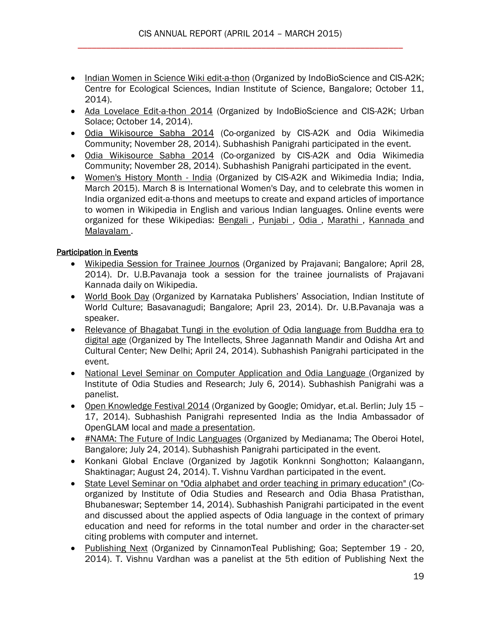- [Indian Women in Science Wiki edit-a-thon](http://cis-india.org/openness/events/india-women-in-science-wiki-edit-a-thon) (Organized by IndoBioScience and CIS-A2K; Centre for Ecological Sciences, Indian Institute of Science, Bangalore; October 11, 2014).
- [Ada Lovelace Edit-a-thon 2014](http://cis-india.org/openness/events/ada-lovelace-edit-a-thon-2014) (Organized by IndoBioScience and CIS-A2K; Urban Solace; October 14, 2014).
- [Odia Wikisource Sabha 2014](http://cis-india.org/openness/events/odia-wikisource-sabha-2014) (Co-organized by CIS-A2K and Odia Wikimedia Community; November 28, 2014). Subhashish Panigrahi participated in the event.
- [Odia Wikisource Sabha 2014](http://editors.cis-india.org/openness/events/odia-wikisource-sabha-2014) (Co-organized by CIS-A2K and Odia Wikimedia Community; November 28, 2014). Subhashish Panigrahi participated in the event.
- [Women's History Month -](http://cis-india.org/openness/news/womens-history-month-india-2015) India (Organized by CIS-A2K and Wikimedia India; India, March 2015). March 8 is International Women's Day, and to celebrate this women in India organized edit-a-thons and meetups to create and expand articles of importance to women in Wikipedia in English and various Indian languages. Online events were organized for these Wikipedias: Bengali, Punjabi, Odia, Marathi, [Kannada a](https://kn.wikipedia.org/wiki/%E0%B2%B5%E0%B2%BF%E0%B2%95%E0%B2%BF%E0%B2%AA%E0%B3%80%E0%B2%A1%E0%B2%BF%E0%B2%AF:%E0%B2%AF%E0%B3%8B%E0%B2%9C%E0%B2%A8%E0%B3%86/%E0%B2%AE%E0%B2%B9%E0%B2%BF%E0%B2%B3%E0%B2%BE_%E0%B2%A6%E0%B2%BF%E0%B2%A8%E0%B2%BE%E0%B2%9A%E0%B2%B0%E0%B2%A3%E0%B3%86_%E0%B2%AE%E0%B2%A4%E0%B3%8D%E0%B2%A4%E0%B3%81_%E0%B2%AE%E0%B2%B9%E0%B2%BF%E0%B2%B3%E0%B2%BE_%E0%B2%A4%E0%B2%BF%E0%B2%82%E0%B2%97%E0%B2%B3%E0%B3%81_%E0%B2%B2%E0%B3%87%E0%B2%96%E0%B2%A8_%E0%B2%AF%E0%B3%8B%E0%B2%9C%E0%B2%A8%E0%B3%86)nd Malayalam.

## Participation in Events

- [Wikipedia Session for Trainee Journos](http://cis-india.org/news/wiki-session-for-prajavani-journalists) (Organized by Prajavani; Bangalore; April 28, 2014). Dr. U.B.Pavanaja took a session for the trainee journalists of Prajavani Kannada daily on Wikipedia.
- [World Book Day](http://cis-india.org/news/world-book-day) (Organized by Karnataka Publishers' Association, Indian Institute of World Culture; Basavanagudi; Bangalore; April 23, 2014). Dr. U.B.Pavanaja was a speaker.
- [Relevance of Bhagabat Tungi in the evolution of Odia language from Buddha era to](http://cis-india.org/news/relevance-of-bhagabat-tungi-in-evolution-of-odia-language?searchterm=Relevance+of+Bhagabat+Tungi+in+the+evolution+of+Odia+language+from+Buddha+era+to+digital+age)  [digital age](http://cis-india.org/news/relevance-of-bhagabat-tungi-in-evolution-of-odia-language?searchterm=Relevance+of+Bhagabat+Tungi+in+the+evolution+of+Odia+language+from+Buddha+era+to+digital+age) (Organized by The Intellects, Shree Jagannath Mandir and Odisha Art and Cultural Center; New Delhi; April 24, 2014). Subhashish Panigrahi participated in the event.
- [National Level Seminar on Computer Application and Odia Language \(](http://cis-india.org/openness/blog/state-of-odia-language-in-computing-and-future-steps)Organized by Institute of Odia Studies and Research; July 6, 2014). Subhashish Panigrahi was a panelist.
- [Open Knowledge Festival 2014](http://cis-india.org/news/ok-festival-2014) (Organized by Google; Omidyar, et.al. Berlin; July 15 -17, 2014). Subhashish Panigrahi represented India as the India Ambassador of OpenGLAM local and [made a presentation.](http://cis-india.org/openness/blog/ok-festival.pdf)
- [#NAMA: The Future of Indic Languages](http://cis-india.org/news/nama-the-future-of-indic-languages) (Organized by Medianama; The Oberoi Hotel, Bangalore; July 24, 2014). Subhashish Panigrahi participated in the event.
- Konkani Global Enclave (Organized by Jagotik Konknni Songhotton; Kalaangann, Shaktinagar; August 24, 2014). T. Vishnu Vardhan participated in the event.
- [State Level Seminar on "Odia alphabet and order teaching in primary education" \(](http://cis-india.org/openness/news/odia-alphabet-and-order-teaching-in-primary-education)Coorganized by Institute of Odia Studies and Research and Odia Bhasa Pratisthan, Bhubaneswar; September 14, 2014). Subhashish Panigrahi participated in the event and discussed about the applied aspects of Odia language in the context of primary education and need for reforms in the total number and order in the character-set citing problems with computer and internet.
- [Publishing Next](http://cis-india.org/openness/news/publishing-next) (Organized by CinnamonTeal Publishing; Goa; September 19 20, 2014). T. Vishnu Vardhan was a panelist at the 5th edition of Publishing Next the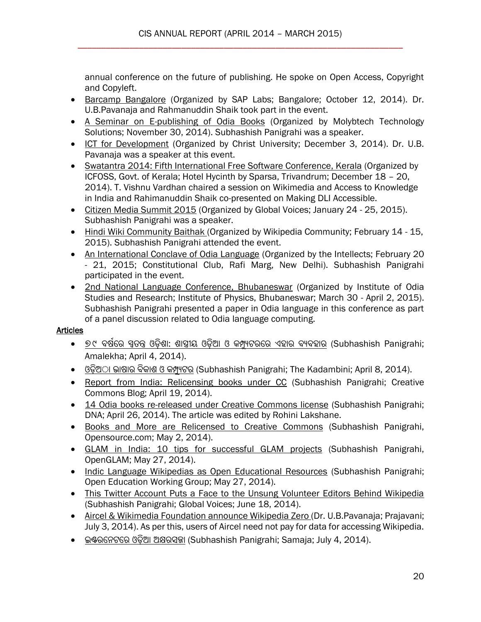annual conference on the future of publishing. He spoke on Open Access, Copyright and Copyleft.

- **[Barcamp Bangalore](http://cis-india.org/openness/news/barcamp-bangalore) (Organized by SAP Labs; Bangalore; October 12, 2014). Dr.** U.B.Pavanaja and Rahmanuddin Shaik took part in the event.
- [A Seminar on E-publishing of Odia Books](http://cis-india.org/openness/news/seminar-e-publishing-odia-books) (Organized by Molybtech Technology Solutions; November 30, 2014). Subhashish Panigrahi was a speaker.
- [ICT for Development](http://editors.cis-india.org/openness/news/ict-for-development) (Organized by Christ University; December 3, 2014). Dr. U.B. Pavanaja was a speaker at this event.
- [Swatantra 2014: Fifth International Free Software Conference, Kerala](http://editors.cis-india.org/openness/news/swatantra-2014-icfoss-december-18-20-2014-fifth-international-free-software-conference-in-kerala) (Organized by ICFOSS, Govt. of Kerala; Hotel Hycinth by Sparsa, Trivandrum; December 18 – 20, 2014). T. Vishnu Vardhan chaired a session on Wikimedia and Access to Knowledge in India and Rahimanuddin Shaik co-presented on Making DLI Accessible.
- [Citizen Media Summit 2015](http://editors.cis-india.org/openness/news/citizen-media-summit-2015) (Organized by Global Voices; January 24 25, 2015). Subhashish Panigrahi was a speaker.
- [Hindi Wiki Community Baithak \(](http://editors.cis-india.org/openness/blog/how-the-first-time-face-to-face-interaction-helped-india-hindi-wikipedia-community)Organized by Wikipedia Community; February 14 15, 2015). Subhashish Panigrahi attended the event.
- [An International Conclave of Odia Language](http://editors.cis-india.org/openness/news/international-conclave-odia-language) (Organized by the Intellects; February 20 - 21, 2015; Constitutional Club, Rafi Marg, New Delhi). Subhashish Panigrahi participated in the event.
- [2nd National Language Conference, Bhubaneswar](http://cis-india.org/openness/blog/second-national-language-conference-bhubaneswar) (Organized by Institute of Odia Studies and Research; Institute of Physics, Bhubaneswar; March 30 - April 2, 2015). Subhashish Panigrahi presented a paper in Odia language in this conference as part of a panel discussion related to Odia language computing.

## **Articles**

- ୭୯ ବର୍ଷରେ ସ୍ୱତନ୍ତ୍ର ଓଡ଼ିଶା: ଶାସ୍ତ୍ରୀୟ ଓଡ଼ିଆ ଓ କମ୍ପ୍ୟୁଟରରେ ଏହାର ବ୍ୟବହାର (Subhashish Panigrahi; Amalekha; April 4, 2014).
- $\bullet$  ଓଡ଼ିଅ଼ା ଭାଷାର ବିକାଶ ଓ କମ୍ପ୍ୟୁଟର (Subhashish Panigrahi; The Kadambini; April 8, 2014).
- [Report from India: Relicensing books under CC](http://cis-india.org/openness/blog/creative-commons-subhashish-panigrahi-april-18-2014-report-from-india-relicensing-books-under-creative-commons) (Subhashish Panigrahi; Creative Commons Blog; April 19, 2014).
- [14 Odia books re-released under Creative Commons license](http://cis-india.org/openness/blog/dna-rohini-lakshane-april-26-2014-14-books-re-released-under-creative-commons-license) (Subhashish Panigrahi; DNA; April 26, 2014). The article was edited by Rohini Lakshane.
- [Books and More are Relicensed to Creative Commons](http://cis-india.org/openness/blog/opensource-education-may-2-2014-subhashish-panigrahi-books-and-more-are-relicensed-to-creative-commons) (Subhashish Panigrahi, Opensource.com; May 2, 2014).
- [GLAM in India: 10 tips for successful GLAM projects](http://cis-india.org/openness/blog/open-glam-may-22-2014-subhashish-panigrahi-glam-in-india-10-tips-for-successful-glam-projects) (Subhashish Panigrahi, OpenGLAM; May 27, 2014).
- [Indic Language Wikipedias as Open Educational Resources](http://cis-india.org/openness/blog/open-education-working-group-may-27-2014-subhashish-panigrahi-indic-language-wikipedias-as-open-educational-resources) (Subhashish Panigrahi; Open Education Working Group; May 27, 2014).
- [This Twitter Account Puts a Face to the Unsung Volunteer Editors Behind Wikipedia](http://cis-india.org/openness/blog/global-voices-online-june-18-2014-subhashish-panigrahi-twitter-account-puts-a-face-to-unsung-volunteer-editors-behind-wikipedia) (Subhashish Panigrahi; Global Voices; June 18, 2014).
- [Aircel & Wikimedia Foundation](http://cis-india.org/openness/blog/prajavani-july-3-2014-article-on-wikipedia-zero) announce Wikipedia Zero (Dr. U.B.Pavanaja; Prajavani; July 3, 2014). As per this, users of Aircel need not pay for data for accessing Wikipedia.
- [ଇଣ୍ଟେରେଟରେ](http://cis-india.org/openness/blog/article-on-akruti-unicode-converter-in-samaja) ଓଡ଼ିଆ ଅକ୍ଷେସଜ୍ଜା (Subhashish Panigrahi; Samaja; July 4, 2014).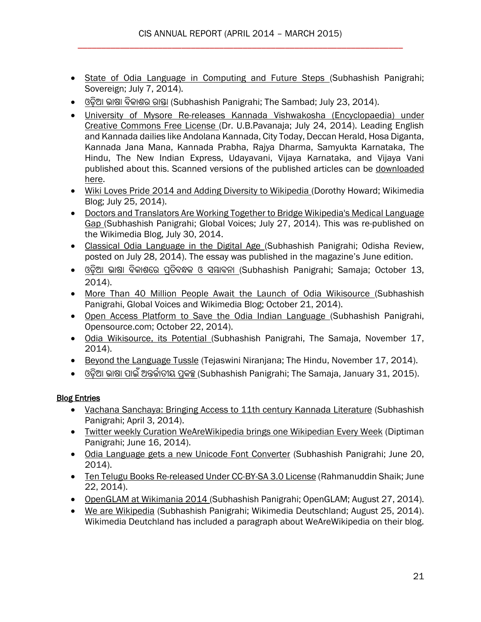- [State of Odia Language in Computing and Future Steps \(](http://cis-india.org/openness/blog/state-of-odia-language-in-computing-and-future-steps)Subhashish Panigrahi; Sovereign; July 7, 2014).
- ଓଡ଼ିଆ ଭାଷା ବିକାଶର <u>ରାଷ୍</u>ଡା (Subhashish Panigrahi; The Sambad; July 23, 2014).
- [University of Mysore Re-releases Kannada Vishwakosha \(Encyclopaedia\) under](http://cis-india.org/openness/blog/university-of-mysore-releases-kannada-vishwakosha-under-cc-license)  [Creative Commons Free License \(](http://cis-india.org/openness/blog/university-of-mysore-releases-kannada-vishwakosha-under-cc-license)Dr. U.B.Pavanaja; July 24, 2014). Leading English and Kannada dailies like Andolana Kannada, City Today, Deccan Herald, Hosa Diganta, Kannada Jana Mana, Kannada Prabha, Rajya Dharma, Samyukta Karnataka, The Hindu, The New Indian Express, Udayavani, Vijaya Karnataka, and Vijaya Vani published about this. Scanned versions of the published articles can be [downloaded](http://cis-india.org/openness/blog/open-knowledge-day-mysore-media-coverage-zip)  [here.](http://cis-india.org/openness/blog/open-knowledge-day-mysore-media-coverage-zip)
- [Wiki Loves Pride 2014 and Adding Diversity to Wikipedia \(](http://cis-india.org/openness/blog/wikimedia-blog-dorothy-howard-wiki-loves-pride-2014-and-adding-diversity-to-wikipedia)Dorothy Howard; Wikimedia Blog; July 25, 2014).
- [Doctors and Translators Are Working Together to Bridge Wikipedia's Medical Language](http://cis-india.org/openness/blog/global-voices-subhashish-panigrahi-july-27-2014-doctors-and-translators-are-working-together-to-bridge-wikipedias-medical-language-gap)  [Gap \(](http://cis-india.org/openness/blog/global-voices-subhashish-panigrahi-july-27-2014-doctors-and-translators-are-working-together-to-bridge-wikipedias-medical-language-gap)Subhashish Panigrahi; Global Voices; July 27, 2014). This was re-published on the Wikimedia Blog, July 30, 2014.
- [Classical Odia Language in the Digital Age \(](http://cis-india.org/openness/blog/odisha-review-june-2014-classical-odia-language-in-digital-age)Subhashish Panigrahi; Odisha Review, posted on July 28, 2014). The essay was published in the magazine's June edition.
- $\bullet$  ଓଡ଼ିଆ ଭାଷା ବିକାଶରେ ପ୍ରତିବନ୍ଧକ ଓ ସମ୍ଭାବନା (Subhashish Panigrahi; Samaja; October 13, 2014).
- [More Than 40 Million People Await the Launch of Odia Wikisource \(](http://cis-india.org/openness/blog/global-voices-subhashish-panigrahi-october-18-2014-more-than-400-million-people-await-launch-of-odia-wikisource)Subhashish Panigrahi, Global Voices and Wikimedia Blog; October 21, 2014).
- [Open Access Platform to Save the Odia Indian Language \(](http://cis-india.org/openness/blog/open-source-subhashish-panigrahi-october-22-2014-open-access-platform-to-save-the-odia-indian-language)Subhashish Panigrahi, Opensource.com; October 22, 2014).
- [Odia Wikisource, its Potential \(](http://cis-india.org/openness/blog/the-samaja-november-17-2014-subhashish-panigrahi-odia-wikisource-its-potential)Subhashish Panigrahi, The Samaja, November 17, 2014).
- [Beyond the Language Tussle](http://editors.cis-india.org/openness/blog/the-hindu-december-6-2014-tejaswini-niranjana-beyond-the-language-tussle) (Tejaswini Niranjana; The Hindu, November 17, 2014).
- ଓଡ଼ିଆ ଭାର୍ା [ପାଇଁଅନ୍ତର୍ଷାତୀୟ](http://cis-india.org/openness/blog/op-ed-samaja-jan-2015) ପ୍ରକଳ୍ପ (Subhashish Panigrahi; The Samaja, January 31, 2015).

# **Blog Entries**

- [Vachana Sanchaya: Bringing Access to 11th century Kannada Literature](http://cis-india.org/openness/blog/openaccessweek-april-3-2014-subhashish-panigrahi-vachana-sanchaya) (Subhashish Panigrahi; April 3, 2014).
- [Twitter weekly Curation WeAreWikipedia brings one Wikipedian Every Week](http://cis-india.org/openness/blog/twitter-weekly-curation-wearewikipedia-brings-one-wikipedian-every-week) (Diptiman Panigrahi; June 16, 2014).
- [Odia Language gets a new Unicode Font Converter](http://cis-india.org/openness/blog/odia-language-gets-new-unicode-font-converter) (Subhashish Panigrahi; June 20, 2014).
- [Ten Telugu Books Re-released Under CC-BY-SA 3.0 License](http://cis-india.org/openness/blog/ten-telugu-books-re-released-under-cc-by-sa-license) (Rahmanuddin Shaik; June 22, 2014).
- [OpenGLAM at Wikimania 2014 \(](http://cis-india.org/openness/blog/open-glam-august-27-2014-subhashish-panigrahi-open-glam-at-wikimania-2014)Subhashish Panigrahi; OpenGLAM; August 27, 2014).
- [We are Wikipedia](http://cis-india.org/openness/blog/we-are-wikipedia) (Subhashish Panigrahi; Wikimedia Deutschland; August 25, 2014). Wikimedia Deutchland has included a paragraph about WeAreWikipedia on their blog.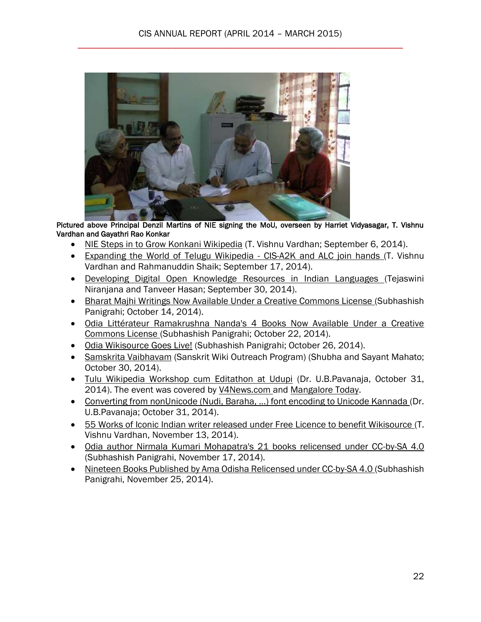

Pictured above Principal Denzil Martins of NIE signing the MoU, overseen by Harriet Vidyasagar, T. Vishnu Vardhan and Gayathri Rao Konkar

- [NIE Steps in to Grow Konkani Wikipedia](http://cis-india.org/openness/blog/nie-steps-in-to-grow-konkani-wikipedia) (T. Vishnu Vardhan; September 6, 2014).
- [Expanding the World of Telugu Wikipedia -](http://cis-india.org/openness/blog/expanding-the-world-of-telugu-wikipedia-cis-and-alc-join-hands) CIS-A2K and ALC join hands (T. Vishnu Vardhan and Rahmanuddin Shaik; September 17, 2014).
- [Developing Digital Open Knowledge Resources in Indian Languages \(](http://cis-india.org/openness/blog/report-on-developing-digital-open-knowledge-resources-in-indian-languages)Tejaswini Niranjana and Tanveer Hasan; September 30, 2014).
- [Bharat Majhi Writings Now Available Under a Creative Commons License \(](http://cis-india.org/openness/blog/bharat-majhi-writings-now-available-under-cc-license)Subhashish Panigrahi; October 14, 2014).
- [Odia Littérateur Ramakrushna Nanda's 4 Books Now Available Under a Creative](http://cis-india.org/openness/blog/ramakrushna-nanda-four-books-under-cc-license)  [Commons License \(](http://cis-india.org/openness/blog/ramakrushna-nanda-four-books-under-cc-license)Subhashish Panigrahi; October 22, 2014).
- [Odia Wikisource Goes Live!](http://cis-india.org/openness/blog/odia-wikisource-goes-live) (Subhashish Panigrahi; October 26, 2014).
- [Samskrita Vaibhavam](http://cis-india.org/openness/blog/samskrita-vaibhavam) (Sanskrit Wiki Outreach Program) (Shubha and Sayant Mahato; October 30, 2014).
- [Tulu Wikipedia Workshop cum Editathon at Udupi](http://cis-india.org/openness/blog/tulu-wikipedia-workshop-cum-editathon-at-udupi) (Dr. U.B.Pavanaja, October 31, 2014). The event was covered by [V4News.com a](http://v4news.com/enliven-the-tulu-viki-fidia-first-and-then-add-tulu-to-the-8th-schedule-dr-ug-pavanaja-bangalore-rep-in-udupi/)nd [Mangalore Today.](http://www.mangaloretoday.com/newsbriefs/2-Day-Workshop-on-Tulu-in-internet.html)
- [Converting from nonUnicode \(Nudi, Baraha, ...\) font encoding to Unicode Kannada \(](http://cis-india.org/openness/blog/converting-from-non-unicode-nudi-baraha-font-encoding-to-unicode-kannada)Dr. U.B.Pavanaja; October 31, 2014).
- [55 Works of Iconic Indian writer released under Free Licence to benefit Wikisource \(](http://cis-india.org/openness/blog/55-works-of-iconic-indian-writer-released-under-free-licence-to-benefit-wikisource)T. Vishnu Vardhan, November 13, 2014).
- [Odia author Nirmala Kumari Mohapatra's 21 books relicensed under CC-by-SA 4.0](http://cis-india.org/openness/blog/odia-author-nirmala-kumari-mohapatra-21-books-under-cc)  (Subhashish Panigrahi, November 17, 2014).
- [Nineteen Books Published by Ama Odisha Relicensed under CC-by-SA 4.0 \(](http://cis-india.org/openness/blog/nineteen-books-by-ama-odisha-relicensed)Subhashish Panigrahi, November 25, 2014).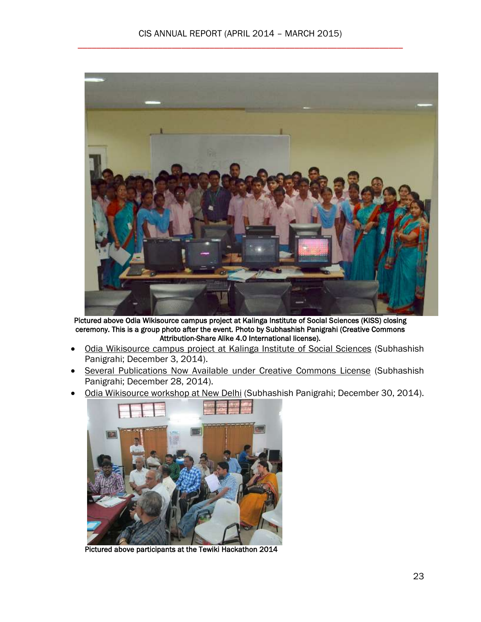

Pictured above Odia Wikisource campus project at Kalinga Institute of Social Sciences (KISS) closing ceremony. This is a group photo after the event. Photo by Subhashish Panigrahi (Creative Commons Attribution-Share Alike 4.0 International license).

- [Odia Wikisource campus project at Kalinga Institute of Social Sciences](http://editors.cis-india.org/openness/blog/odia-wikisource-campus-project-at-kiss) (Subhashish Panigrahi; December 3, 2014).
- [Several Publications Now Available under Creative Commons License](http://editors.cis-india.org/openness/blog/publications-under-creative-commons-license) (Subhashish Panigrahi; December 28, 2014).
- [Odia Wikisource workshop at New Delhi](http://editors.cis-india.org/openness/blog/odia-wikisource-workshop-new-delhi-december-14-2014) (Subhashish Panigrahi; December 30, 2014).



Pictured above participants at the Tewiki Hackathon 2014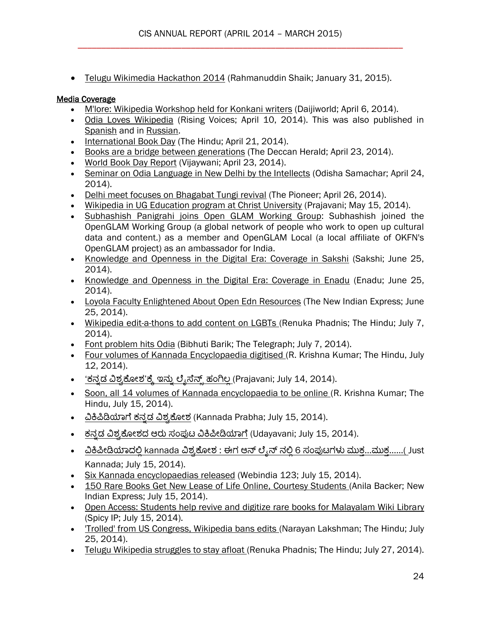[Telugu Wikimedia Hackathon 2014](http://cis-india.org/a2k/blogs/telugu-wikimedia-hackathon-2014) (Rahmanuddin Shaik; January 31, 2015).

## Media Coverage

- [M'lore: Wikipedia Workshop held for Konkani writers](http://cis-india.org/news/daijiworld-april-6-2014-mangalore-wikipedia-workshop-held-for-konkani-writers) (Daijiworld; April 6, 2014).
- [Odia Loves Wikipedia](http://rising.globalvoicesonline.org/blog/2014/04/10/odia-loves-wikipedia/) (Rising Voices; April 10, 2014). This was also published in [Spanish](http://es.globalvoicesonline.org/2014/04/12/el-idioma-oriya-ama-a-wikipedia/) and in [Russian.](http://ru.globalvoicesonline.org/2014/04/13/28775/)
- [International Book Day](http://www.thehindu.com/todays-paper/tp-national/tp-karnataka/international-book-day/article5932673.ece) (The Hindu; April 21, 2014).
- [Books are a bridge between generations](http://cis-india.org/news/deccan-herald-april-23-2014-books-are-a-bridge-between-generations) (The Deccan Herald; April 23, 2014).
- [World Book Day Report](http://cis-india.org/news/vijayavani-april-23-2014-world-book-day) (Vijaywani; April 23, 2014).
- [Seminar on Odia Language in New Delhi by the Intellects](http://cis-india.org/news/eodishasamacharseminar-on-odia-language-in-new-delhi-by-the-intellects) (Odisha Samachar; April 24, 2014).
- [Delhi meet focuses on Bhagabat Tungi revival](http://www.dailypioneer.com/state-editions/bhubaneswar/delhi-meet-focuses-on-bhagabat-tungi-revival.html) (The Pioneer; April 26, 2014).
- [Wikipedia in UG Education program at Christ University](http://cis-india.org/news/prajavani-may-15-2014-wikipedia-ug-education-christ-university) (Prajavani; May 15, 2014).
- [Subhashish Panigrahi joins Open GLAM Working Group:](http://cis-india.org/news/open-glam-working-group-members-subhashish-panigrahi) Subhashish joined the OpenGLAM Working Group (a global network of people who work to open up cultural data and content.) as a member and OpenGLAM Local (a local affiliate of OKFN's OpenGLAM project) as an ambassador for India.
- [Knowledge and Openness in the Digital Era: Coverage in Sakshi](http://cis-india.org/news/coverage-of-event-in-vijaywada-june-25-2014-sakshi) (Sakshi; June 25, 2014).
- [Knowledge and Openness in the Digital Era: Coverage in Enadu](http://cis-india.org/news/eenadu-june-25-2014-coverage-of-vijaywada-event) (Enadu; June 25, 2014).
- [Loyola Faculty Enlightened About Open Edn Resources](http://cis-india.org/news/the-new-indian-express-june-25-2014-loyola-faculty-enlightened-about-open-edn-resources) (The New Indian Express; June 25, 2014).
- [Wikipedia edit-a-thons to add content on LGBTs \(](http://cis-india.org/news/the-hindu-july-7-2014-renuka-phadnis-wikipedia-edit-a-thons-to-add-content-on-lgbts)Renuka Phadnis; The Hindu; July 7, 2014).
- [Font problem hits Odia](http://cis-india.org/news/the-telegraph-july-7-2014-bibhuti-barik-font-problem-hits-odia) (Bibhuti Barik; The Telegraph; July 7, 2014).
- [Four volumes of Kannada Encyclopaedia digitised \(](http://cis-india.org/news/the-hindu-july-12-2014-r-krishna-kumar-four-volumes-of-kannada-encyclopaedia-digitised)R. Krishna Kumar; The Hindu, July 12, 2014).
- <u>'ಕನ್ನಡ ವಿಶ್ವಕೋಶ'ಕ್ಕೆ ಇನ್ನು ಲ್ಶೆಸೆನ್ಸ್ ಹಂಗಿಲ್ಲ</u> (Prajavani; July 14, 2014).
- [Soon, all 14 volumes of Kannada encyclopaedia to be online \(](http://cis-india.org/news/the-hindu-july-15-2014-r-krishna-kumar-soon-all-14-volumes-of-kannada-encyclopaedia-to-be-online)R. Krishna Kumar; The Hindu, July 15, 2014).
- ವಿಕಿಪಿಡಿಯಾಗೆ ಕನ್ನಡ ವಿಶ್ವಕೋಶ (Kannada Prabha; July 15, 2014).
- ಕನ್ನಡ ವಿಶ್ವಕೋಶದ ಆರು ಸಂಪುಟ ವಿಕಿಪೀಡಿಯಾಗೆ (Udayavani; July 15, 2014).
- ವಿಕಿಪೀಡಿಯಾದಲ್ಲಿ kannada ವಿಶ್ವಕೋಶ : ಈಗ ಆನ್ ಲ್ಯೆನ್ ನಲ್ಲಿ 6 ಸಂಪುಟಗಳು ಮುಕ್ಲ…ಮುಕ್ತ……( Just Kannada; July 15, 2014).
- [Six Kannada encyclopaedias released](http://cis-india.org/news/web-india-123-july-15-2014-six-kannada-encyclopaedias-released) (Webindia 123; July 15, 2014).
- [150 Rare Books Get New Lease of Life Online, Courtesy Students \(](http://cis-india.org/news/new-indian-express-july-15-2014-anila-backer-150-rare-books-get-new-lease-of-life-online-courtesy-students)Anila Backer; New Indian Express; July 15, 2014).
- [Open Access: Students help revive and digitize rare books for Malayalam Wiki Library](http://cis-india.org/news/spicy-ip-swaraj-paul-barooah-july-15-2014-open-access-students-help-revive-and-digitize-rare-books-for-malayalam-wiki-library)  (Spicy IP; July 15, 2014).
- ['Trolled' from US Congress, Wikipedia bans edits \(](http://cis-india.org/news/the-hindu-narayan-lakshman-july-25-2014-trolled-from-us-congress-wikipedia-bans-edits)Narayan Lakshman; The Hindu; July 25, 2014).
- [Telugu Wikipedia struggles to stay afloat \(](http://cis-india.org/news/the-hindu-july-27-2014-renuka-phadnis-telugu-wikipedia-struggles-to-stay-afloat)Renuka Phadnis; The Hindu; July 27, 2014).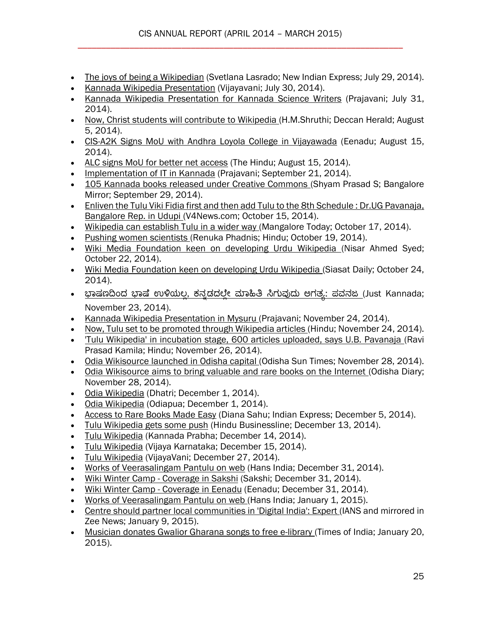- [The joys of being a Wikipedian](http://cis-india.org/news/new-indian-express-july-29-2014-svetlana-lasrado) (Svetlana Lasrado; New Indian Express; July 29, 2014).
- [Kannada Wikipedia Presentation](http://cis-india.org/news/kannada-wikipedia-presentation-vijayavani-coverage) (Vijayavani; July 30, 2014).
- [Kannada Wikipedia Presentation for Kannada Science Writers](http://cis-india.org/news/kannada-wikipedia-presentation-prajavani-coverage) (Prajavani; July 31, 2014).
- [Now, Christ students will contribute to Wikipedia \(](http://cis-india.org/news/deccan-herald-shruthi-august-5-2014-now-christ-students-will-contribute-to-wikipedia)H.M.Shruthi; Deccan Herald; August 5, 2014).
- [CIS-A2K Signs MoU with Andhra Loyola College in Vijayawada](http://cis-india.org/openness/news/cis-mou-with-alc-coverage-in-eenadu) (Eenadu; August 15, 2014).
- [ALC signs MoU for better net access](http://cis-india.org/news/the-hindu-august-15-2014-alc-signs-mou-for-better-net-access) (The Hindu; August 15, 2014).
- [Implementation of IT in Kannada](http://cis-india.org/openness/news/kannada-wikipedia-workshop-bagalkot) (Prajavani; September 21, 2014).
- [105 Kannada books released under Creative Commons \(](http://cis-india.org/openness/news/bangalore-mirror-shyam-prasad-105-kannada-books-released-under-creative-commons)Shyam Prasad S; Bangalore Mirror; September 29, 2014).
- [Enliven the Tulu Viki Fidia first and then add Tulu to the 8th Schedule : Dr.UG Pavanaja,](http://v4news.com/enliven-the-tulu-viki-fidia-first-and-then-add-tulu-to-the-8th-schedule-dr-ug-pavanaja-bangalore-rep-in-udupi/)  [Bangalore Rep. in Udupi \(](http://v4news.com/enliven-the-tulu-viki-fidia-first-and-then-add-tulu-to-the-8th-schedule-dr-ug-pavanaja-bangalore-rep-in-udupi/)V4News.com; October 15, 2014).
- [Wikipedia can establish Tulu in a wider way \(](http://cis-india.org/openness/news/mangalore-today-october-17-2014-wikipedia-can-establish-tulu-in-a-wider-way)Mangalore Today; October 17, 2014).
- [Pushing women scientists \(](http://cis-india.org/openness/news/the-hindu-renuka-phadnis-october-19-2014-wikipedia-editathon-attempts-to-raise-awareness-of-the-contribution-of-indian-women-to-science)Renuka Phadnis; Hindu; October 19, 2014).
- [Wiki Media Foundation keen on developing Urdu Wikipedia \(](http://cis-india.org/openness/news/karnataka-muslims-nisar-ahmed-syed-october-22-2014-wiki-media-foundation-keen-on-developing-urdu-wikipedia)Nisar Ahmed Syed; October 22, 2014).
- [Wiki Media Foundation keen on developing Urdu Wikipedia \(](http://cis-india.org/openness/news/siasat-daily-october-24-2014-wiki-media-foundation-keen-on-developing-urdu-wikipedia)Siasat Daily; October 24, 2014).
- ಭಾಷಣದಿಂದ ಭಾಷೆ ಉಳಿಯಲ್ಲ, ಕನ್ನಡದಲ್ಲೇ ಮಾಹಿತಿ ಸಿಗುವುದು ಅಗತ್ಯ: ಪವನಜ (Just Kannada; November 23, 2014).
- [Kannada Wikipedia Presentation in Mysuru \(](http://cis-india.org/openness/news/prajavani-november-24-2014-kannada-wikipedia-presentation-in-mysuru)Prajavani; November 24, 2014).
- [Now, Tulu set to be promoted through Wikipedia articles \(](http://cis-india.org/openness/news/the-hindu-november-24-2014-govind-d-belgaumkar-now-tulu-set-to-be-promoted-through-wikipedia-articles)Hindu: November 24, 2014).
- ['Tulu Wikipedia' in incubation stage, 600 articles uploaded, says U.B. Pavanaja \(](http://cis-india.org/openness/news/the-hindu-november-26-2014-ravi-prasad-kamila-tulu-wikipedia-in-incubation-stage)Ravi Prasad Kamila; Hindu; November 26, 2014).
- [Odia Wikisource launched in Odisha capital \(](http://cis-india.org/openness/news/odisha-sun-times-november-28-2014-odia-wikisource-launched-in-odisha-capital)Odisha Sun Times; November 28, 2014).
- [Odia Wikisource aims to bring valuable and rare books on the Internet \(](http://cis-india.org/openness/news/orissa-diary-november-28-2014-odia-wikisource-aims-to-bring-valuable-and-rare-books-on-the-internet)Odisha Diary; November 28, 2014).
- [Odia Wikipedia](http://editors.cis-india.org/openness/news/article-in-dhatri) (Dhatri; December 1, 2014).
- [Odia Wikipedia](http://editors.cis-india.org/openness/news/odiapua-december-1-2014-article-on-odia-wikipedia) (Odiapua; December 1, 2014).
- [Access to Rare Books Made Easy](http://editors.cis-india.org/openness/news/new-indian-express-december-5-2014-diana-sahu-access-to-rare-books-made-easy) (Diana Sahu; Indian Express; December 5, 2014).
- [Tulu Wikipedia gets some push](http://editors.cis-india.org/openness/news/hindu-businessline-december-13-2014-tulu-wikipedia-gets-some-push) (Hindu Businessline; December 13, 2014).
- · [Tulu Wikipedia](http://editors.cis-india.org/openness/news/kannada-prabha-december-14-2014-tulu-wikipedia-presentation) (Kannada Prabha; December 14, 2014).
- [Tulu Wikipedia](http://editors.cis-india.org/openness/news/tulu-wikipedia-december-15-2014-coverage-in-vijaya-karnataka) (Vijaya Karnataka; December 15, 2014).
- [Tulu Wikipedia](http://editors.cis-india.org/openness/news/tulu-wikipedia-coverage-in-vijayavani) (VijayaVani; December 27, 2014).
- [Works of Veerasalingam Pantulu on web](http://editors.cis-india.org/openness/news/the-hans-india-december-31-2014-works-of-veerasalingam-pantulu-on-web) (Hans India; December 31, 2014).
- Wiki Winter Camp [Coverage in Sakshi](http://editors.cis-india.org/openness/news/sakshi-december-31-2014-wiki-winter-camp) (Sakshi; December 31, 2014).
- Wiki Winter Camp [Coverage in Eenadu](http://editors.cis-india.org/openness/news/eenadu-december-31-wiki-winter-camp) (Eenadu; December 31, 2014).
- [Works of Veerasalingam Pantulu on web \(](http://cis-india.org/openness/news/the-hans-india-december-31-2014-works-of-veerasalingam-pantulu-on-web)Hans India; January 1, 2015).
- [Centre should partner local communities in 'Digital India': Expert \(](http://cis-india.org/openness/news/zee-news-january-9-2015-centre-should-partner-local-communities-in-digital-india)IANS and mirrored in Zee News; January 9, 2015).
- [Musician donates Gwalior Gharana songs to free e-library \(](http://cis-india.org/openness/news/the-times-of-india-january-20-2015-sandhya-soman-musician-donates-gwalior-gharana-songs-to-free-e-library)Times of India; January 20, 2015).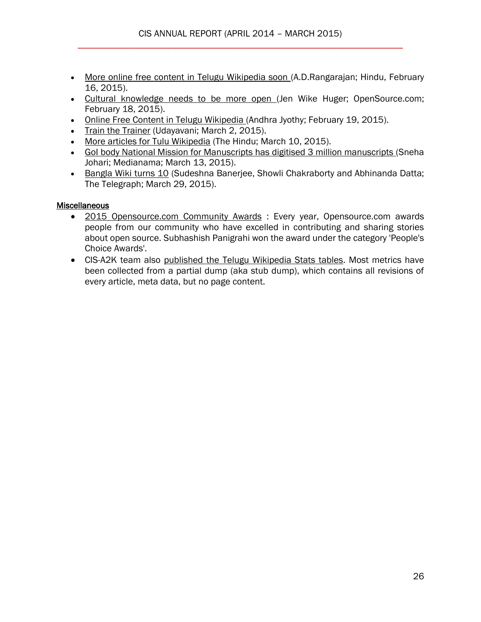- [More online free content in Telugu Wikipedia soon \(](http://editors.cis-india.org/openness/news/the-hindu-february-16-2015-ad-rangarajan-more-online-free-content-in-telugu-wikipedia-soon)A.D.Rangarajan; Hindu, February 16, 2015).
- [Cultural knowledge needs to be more open \(](http://editors.cis-india.org/openness/news/opensource-feburary-18-2015-jen-wike-huger-cultural-knowledge-needs-to-be-more-open)Jen Wike Huger; OpenSource.com; February 18, 2015).
- [Online Free Content in Telugu Wikipedia \(](http://editors.cis-india.org/openness/news/andhra-jyothy-february-16-2015-online-free-content-in-telugu-wikipedia)Andhra Jyothy; February 19, 2015).
- [Train the Trainer](http://cis-india.org/openness/news/train-the-trainer-event-report-march-2-2015-udayavani-report) (Udavavani: March 2, 2015).
- [More articles for Tulu Wikipedia](http://cis-india.org/openness/news/the-hindu-ravi-prasad-kamila-more-articles-for-tulu-wikipedia) (The Hindu; March 10, 2015).
- [GoI body National Mission for Manuscripts has digitised 3 million manuscripts \(](http://cis-india.org/openness/news/medianama-march-13-2015-sneha-johari-goi-body-national-mission-for-manuscripts-has-digitised-3-million-manuscripts)Sneha Johari; Medianama; March 13, 2015).
- [Bangla Wiki turns 10](http://cis-india.org/openness/news/the-telegraph-march-29-2015-bangla-wiki-turns-ten) (Sudeshna Banerjee, Showli Chakraborty and Abhinanda Datta; The Telegraph; March 29, 2015).

#### **Miscellaneous**

- [2015 Opensource.com Community Awards](http://editors.cis-india.org/openness/news/opensource-2015-award-winners) : Every year, Opensource.com awards people from our community who have excelled in contributing and sharing stories about open source. Subhashish Panigrahi won the award under the category 'People's Choice Awards'.
- CIS-A2K team also [published the Telugu Wikipedia Stats tables.](http://stats.wikimedia.org/EN/TablesWikipediaTE.htm) Most metrics have been collected from a partial dump (aka stub dump), which contains all revisions of every article, meta data, but no page content.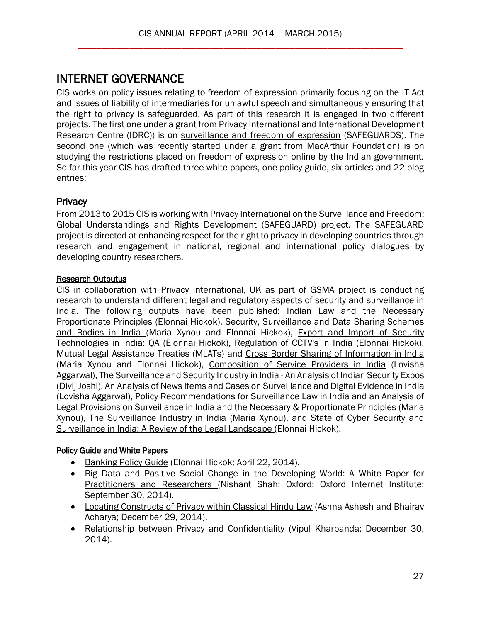# <span id="page-26-0"></span>INTERNET GOVERNANCE

CIS works on policy issues relating to freedom of expression primarily focusing on the IT Act and issues of liability of intermediaries for unlawful speech and simultaneously ensuring that the right to privacy is safeguarded. As part of this research it is engaged in two different projects. The first one under a grant from Privacy International and International Development Research Centre (IDRC)) is on [surveillance and freedom of expression](http://cis-india.org/internet-governance) (SAFEGUARDS). The second one (which was recently started under a grant from MacArthur Foundation) is on studying the restrictions placed on freedom of expression online by the Indian government. So far this year CIS has drafted three white papers, one policy guide, six articles and 22 blog entries:

## **Privacy**

From 2013 to 2015 CIS is working with Privacy International on the Surveillance and Freedom: Global Understandings and Rights Development (SAFEGUARD) project. The SAFEGUARD project is directed at enhancing respect for the right to privacy in developing countries through research and engagement in national, regional and international policy dialogues by developing country researchers.

#### Research Outputus

CIS in collaboration with Privacy International, UK as part of GSMA project is conducting research to understand different legal and regulatory aspects of security and surveillance in India. The following outputs have been published: Indian Law and the Necessary Proportionate Principles (Elonnai Hickok), Security, Surveillance and Data Sharing Schemes [and Bodies in India \(](http://cis-india.org/internet-governance/blog/security-surveillance-and-data-sharing.pdf)Maria Xynou and Elonnai Hickok), [Export and Import of Security](http://cis-india.org/internet-governance/blog/export-and-import-of-security-technologies-in-india.pdf)  [Technologies in India: QA \(](http://cis-india.org/internet-governance/blog/export-and-import-of-security-technologies-in-india.pdf)Elonnai Hickok), [Regulation of CCTV's in India](http://cis-india.org/internet-governance/blog/regulation-of-cctvs-in-india.pdf) (Elonnai Hickok), Mutual Legal Assistance Treaties (MLATs) and [Cross Border Sharing of Information in India](http://cis-india.org/internet-governance/blog/mlats-and-cross-border-sharing-of-information-in-india.pdf)  (Maria Xynou and Elonnai Hickok), [Composition of Service Providers in India](http://cis-india.org/internet-governance/blog/composition-of-service-providers-in-india.pdf) (Lovisha Aggarwal)[, The Surveillance and Security Industry in India -](http://cis-india.org/internet-governance/blog/surveillance-and-security-industry-in-india.pdf) An Analysis of Indian Security Expos (Divij Joshi)[, An Analysis of News Items and Cases on Surveillance and Digital Evidence in India](http://cis-india.org/internet-governance/blog/analysis-of-news-items-and-cases-on-surveillance-and-digital-evidence-in-india.pdf)  (Lovisha Aggarwal), [Policy Recommendations for Surveillance Law in India and an Analysis of](http://cis-india.org/internet-governance/blog/policy-recommendations-for-surveillance-law-in-india-and-analysis-of-legal-provisions-on-surveillance-in-india-and-the-necessary-and-proportionate-principles.pdf)  [Legal Provisions on Surveillance in India and the Necessary & Proportionate Principles \(](http://cis-india.org/internet-governance/blog/policy-recommendations-for-surveillance-law-in-india-and-analysis-of-legal-provisions-on-surveillance-in-india-and-the-necessary-and-proportionate-principles.pdf)Maria Xynou), [The Surveillance Industry in India](http://cis-india.org/internet-governance/blog/surveillance-industry-india.pdf) (Maria Xynou), and [State of Cyber Security and](http://cis-india.org/internet-governance/blog/state-of-cyber-security-and-surveillance-in-india.pdf)  [Surveillance in India: A Review of the Legal Landscape \(](http://cis-india.org/internet-governance/blog/state-of-cyber-security-and-surveillance-in-india.pdf)Elonnai Hickok).

## Policy Guide and White Papers

- [Banking Policy Guide](http://cis-india.org/internet-governance/blog/banking-policy-guide) (Elonnai Hickok; April 22, 2014).
- Big Data and Positive Social Change in the Developing World: A White Paper for [Practitioners and Researchers \(](http://cis-india.org/internet-governance/blog/big-data-and-positive-social-change-in-developing-world)Nishant Shah; Oxford: Oxford Internet Institute; September 30, 2014).
- [Locating Constructs of Privacy within Classical Hindu Law](http://editors.cis-india.org/internet-governance/blog/loading-constructs-of-privacy-within-classical-hindu-law) (Ashna Ashesh and Bhairav Acharya; December 29, 2014).
- [Relationship between Privacy and Confidentiality](http://editors.cis-india.org/internet-governance/blog/relationship-between-privacy-and-confidentiality) (Vipul Kharbanda; December 30, 2014).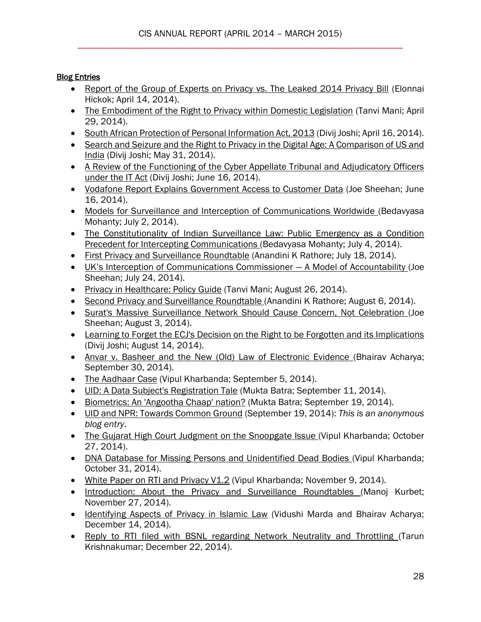## **Blog Entries**

- [Report of the Group of Experts on Privacy vs. The Leaked 2014 Privacy Bill](http://cis-india.org/internet-governance/blog/report-of-group-of-experts-on-privacy-vs-leaked-2014-privacy-bill) (Elonnai Hickok; April 14, 2014).
- [The Embodiment of the Right to Privacy within Domestic Legislation](http://cis-india.org/internet-governance/blog/the-embodiment-of-right-to-privacy-within-domestic-legislation) (Tanvi Mani; April 29, 2014).
- [South African Protection of Personal Information Act, 2013](http://cis-india.org/internet-governance/blog/south-african-protection-personal-information-act-2013) (Divij Joshi; April 16, 2014).
- Search and Seizure and the Right to Privacy in the Digital Age: A Comparison of US and [India](http://cis-india.org/internet-governance/blog/search-and-seizure-and-right-to-privacy-in-digital-age) (Divij Joshi; May 31, 2014).
- A Review of the Functioning of the Cyber Appellate Tribunal and Adjudicatory Officers [under the IT Act](http://cis-india.org/internet-governance/blog/review-of-functioning-of-cyber-appellate-tribunal-and-adjudicatory-officers-under-it-act) (Divij Joshi; June 16, 2014).
- [Vodafone Report Explains Government Access to Customer Data](http://cis-india.org/internet-governance/blog/vodafone-report-explains-govt-access-to-customer-data) (Joe Sheehan; June 16, 2014).
- [Models for Surveillance and Interception of Communications Worldwide \(](http://cis-india.org/internet-governance/blog/models-for-surveillance-and-interception-of-communications-worldwide)Bedavyasa Mohanty; July 2, 2014).
- [The Constitutionality of Indian Surveillance Law: Public Emergency as a Condition](http://cis-india.org/internet-governance/blog/the-constitutionality-of-indian-surveillance-law)  [Precedent for Intercepting Communications \(](http://cis-india.org/internet-governance/blog/the-constitutionality-of-indian-surveillance-law)Bedavyasa Mohanty; July 4, 2014).
- [First Privacy and Surveillance Roundtable](http://cis-india.org/internet-governance/blog/privacy-surveillance-roundtable-mumbai) (Anandini K Rathore; July 18, 2014).
- [UK's Interception of Communications Commissioner —](http://cis-india.org/internet-governance/blog/uk-interception-of-communications-commissioner-a-model-of-accountability) A Model of Accountability (Joe Sheehan; July 24, 2014).
- [Privacy in Healthcare: Policy Guide](http://cis-india.org/internet-governance/blog/privacy-in-healthcare-policy-guide) (Tanvi Mani; August 26, 2014).
- [Second Privacy and Surveillance Roundtable \(](http://cis-india.org/internet-governance/blog/second-privacy-and-surveillance-july-4-2014)Anandini K Rathore; August 6, 2014).
- [Surat's Massive Surveillance Network Should Cause Concern, Not Celebration \(](http://cis-india.org/internet-governance/blog/surat-massive-surveillance-network-cause-of-concern-not-celebration)Joe Sheehan; August 3, 2014).
- [Learning to Forget the ECJ's Decision on the Right to be Forgotten and its Implications](http://cis-india.org/internet-governance/blog/learning-to-forget-ecj-decision-on-the-right-to-be-forgotten-and-its-implications)  (Divij Joshi; August 14, 2014).
- [Anvar v. Basheer and the New \(Old\) Law of Electronic Evidence \(](http://cis-india.org/internet-governance/blog/anvar-v-basheer-new-old-law-of-electronic-evidence)Bhairav Acharya; September 30, 2014).
- [The Aadhaar Case](http://cis-india.org/internet-governance/blog/the-aadhaar-case) (Vipul Kharbanda; September 5, 2014).
- [UID: A Data Subject's Registration Tale](http://cis-india.org/internet-governance/blog/uid-a-data-subjects-registration-tale) (Mukta Batra; September 11, 2014).
- [Biometrics: An 'Angootha Chaap' nation?](http://cis-india.org/internet-governance/blog/biometrics-an-angootha-chaap-nation) (Mukta Batra; September 19, 2014).
- [UID and NPR: Towards Common Ground](http://cis-india.org/internet-governance/blog/uid-npr-towards-common-ground) (September 19, 2014): *This is an anonymous blog entry*.
- [The Gujarat High Court Judgment on the Snoopgate Issue \(](http://cis-india.org/internet-governance/blog/gujarat-high-court-judgment-on-snoopgate-issue)Vipul Kharbanda; October 27, 2014).
- [DNA Database for Missing Persons and Unidentified Dead Bodies \(](http://cis-india.org/internet-governance/blog/dna-database-for-missing-persons-and-unidentified-dead-bodies)Vipul Kharbanda; October 31, 2014).
- [White Paper on RTI and Privacy V1.2](http://cis-india.org/internet-governance/blog/white-paper-on-rti-and-privacy-v-1.2) (Vipul Kharbanda; November 9, 2014).
- [Introduction: About the Privacy and Surveillance Roundtables \(](http://cis-india.org/internet-governance/blog/introduction-about-the-privacy-and-surveillance-roundtables)Manoj Kurbet; November 27, 2014).
- [Identifying Aspects of Privacy in Islamic Law](http://editors.cis-india.org/internet-governance/blog/identifying-aspects-of-privacy-in-islamic-law) (Vidushi Marda and Bhairav Acharya; December 14, 2014).
- [Reply to RTI filed with BSNL regarding Network Neutrality and Throttling \(](http://editors.cis-india.org/internet-governance/blog/reply-to-rti-filed-with-bsnl-regarding-network-neutrality-and-throttling)Tarun Krishnakumar; December 22, 2014).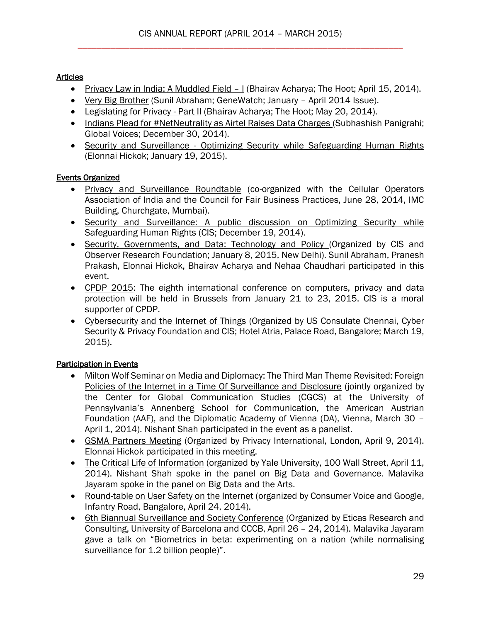## **Articles**

- [Privacy Law in India: A Muddled Field](http://cis-india.org/internet-governance/blog/the-hoot-bhairav-acharya-april-15-2014-privacy-law-in-india-a-muddled-field-1)  I (Bhairav Acharya; The Hoot; April 15, 2014).
- [Very Big Brother](http://cis-india.org/internet-governance/blog/council-for-responsible-genetics-april-2014-sunil-abraham-very-big-brother) (Sunil Abraham; GeneWatch; January April 2014 Issue).
- [Legislating for Privacy -](http://cis-india.org/internet-governance/blog/the-hoot-may-20-2014-bhairav-acharya-legislating-for-privacy) Part II (Bhairav Acharya; The Hoot; May 20, 2014).
- [Indians Plead for #NetNeutrality as Airtel Raises Data Charges \(](http://editors.cis-india.org/openness/blog/global-voices-december-30-2014-indians-plead-for-net-neutrality-as-aitel-raises-data-charges)Subhashish Panigrahi; Global Voices; December 30, 2014).
- Security and Surveillance Optimizing Security while Safeguarding Human Rights (Elonnai Hickok; January 19, 2015).

# Events Organized

- [Privacy and Surveillance Roundtable](http://cis-india.org/events/privacy-surveillance-roundtable) (co-organized with the Cellular Operators Association of India and the Council for Fair Business Practices, June 28, 2014, IMC Building, Churchgate, Mumbai).
- [Security and Surveillance: A public discussion on Optimizing Security while](http://editors.cis-india.org/internet-governance/events/security-and-surveillance-optimizing-security-human-rights)  [Safeguarding Human Rights](http://editors.cis-india.org/internet-governance/events/security-and-surveillance-optimizing-security-human-rights) (CIS; December 19, 2014).
- [Security, Governments, and Data: Technology and Policy \(](http://cis-india.org/internet-governance/events/security-governments-data-technology-policy)Organized by CIS and Observer Research Foundation; January 8, 2015, New Delhi). Sunil Abraham, Pranesh Prakash, Elonnai Hickok, Bhairav Acharya and Nehaa Chaudhari participated in this event.
- [CPDP 2015:](http://editors.cis-india.org/internet-governance/news/cpdp-2015) The eighth international conference on computers, privacy and data protection will be held in Brussels from January 21 to 23, 2015. CIS is a moral supporter of CPDP.
- [Cybersecurity and the Internet of Things](http://cis-india.org/internet-governance/events/talk-on-cybersecurity-and-internet-of-things) (Organized by US Consulate Chennai, Cyber Security & Privacy Foundation and CIS; Hotel Atria, Palace Road, Bangalore; March 19, 2015).

# Participation in Events

- [Milton Wolf Seminar on Media and Diplomacy: The Third Man Theme Revisited: Foreign](http://cgcs.asc.upenn.edu/fileLibrary/PDFs/MW_Updated_Agenda_for_Website.pdf)  [Policies of the Internet in a Time Of Surveillance and Disclosure](http://cgcs.asc.upenn.edu/fileLibrary/PDFs/MW_Updated_Agenda_for_Website.pdf) (jointly organized by the Center for Global Communication Studies (CGCS) at the University of Pennsylvania's Annenberg School for Communication, the American Austrian Foundation (AAF), and the Diplomatic Academy of Vienna (DA), Vienna, March 30 – April 1, 2014). Nishant Shah participated in the event as a panelist.
- [GSMA Partners Meeting](http://cis-india.org/news/gsma-partners-meeting) (Organized by Privacy International, London, April 9, 2014). Elonnai Hickok participated in this meeting.
- [The Critical Life of Information](http://cis-india.org/news/critical-life-of-information) (organized by Yale University, 100 Wall Street, April 11, 2014). Nishant Shah spoke in the panel on Big Data and Governance. Malavika Jayaram spoke in the panel on Big Data and the Arts.
- [Round-table on User Safety on the Internet](http://cis-india.org/news/round-table-on-user-safety-on-internet) (organized by Consumer Voice and Google, Infantry Road, Bangalore, April 24, 2014).
- [6th Biannual Surveillance and Society Conference](http://cis-india.org/news/ssn-2014-sixth-biannual-surveillance-and-society-conference) (Organized by Eticas Research and Consulting, University of Barcelona and CCCB, April 26 – 24, 2014). Malavika Jayaram gave a talk on "Biometrics in beta: experimenting on a nation (while normalising surveillance for 1.2 billion people)".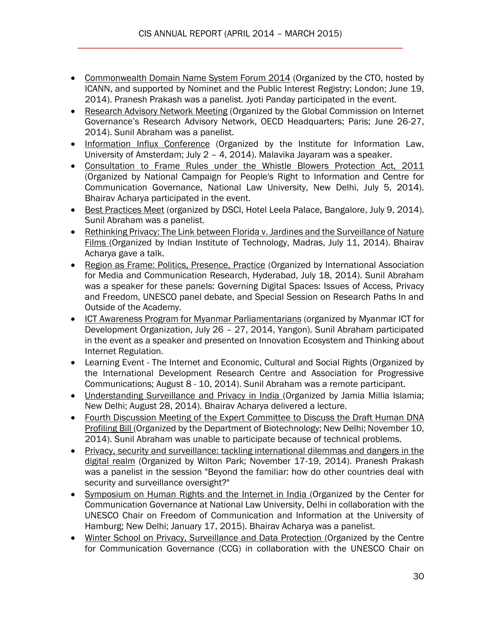- [Commonwealth Domain Name System Forum 2014](http://cis-india.org/news/common-wealth-domain-name-system-forum-2014) (Organized by the CTO, hosted by ICANN, and supported by Nominet and the Public Interest Registry; London; June 19, 2014). Pranesh Prakash was a panelist. Jyoti Panday participated in the event.
- [Research Advisory Network Meeting](http://cis-india.org/news/research-advisory-network-meeting) (Organized by the Global Commission on Internet Governance's Research Advisory Network, OECD Headquarters; Paris; June 26-27, 2014). Sunil Abraham was a panelist.
- [Information Influx Conference](http://cis-india.org/news/information-influx-conference) (Organized by the Institute for Information Law, University of Amsterdam; July 2 – 4, 2014). Malavika Jayaram was a speaker.
- [Consultation to Frame Rules under the Whistle Blowers Protection Act, 2011](http://cis-india.org/news/consultation-to-frame-rules-under-whistle-blowers-protection-act-2011)  (Organized by National Campaign for People's Right to Information and Centre for Communication Governance, National Law University, New Delhi, July 5, 2014). Bhairav Acharya participated in the event.
- [Best Practices Meet](http://cis-india.org/news/best-practices-meet-2014) (organized by DSCI, Hotel Leela Palace, Bangalore, July 9, 2014). Sunil Abraham was a panelist.
- [Rethinking Privacy: The Link between Florida v. Jardines and the Surveillance of Nature](http://cis-india.org/news/rethinking-privacy)  [Films \(](http://cis-india.org/news/rethinking-privacy)Organized by Indian Institute of Technology, Madras, July 11, 2014). Bhairav Acharya gave a talk.
- [Region as Frame: Politics, Presence, Practice](http://cis-india.org/news/region-as-frame-politics-presence-practice) (Organized by International Association for Media and Communication Research, Hyderabad, July 18, 2014). Sunil Abraham was a speaker for these panels: Governing Digital Spaces: Issues of Access, Privacy and Freedom, UNESCO panel debate, and Special Session on Research Paths In and Outside of the Academy.
- [ICT Awareness Program for Myanmar Parliamentarians](http://cis-india.org/news/ict-awareness-program-for-myanmar-parliamentarians-yangon) (organized by Myanmar ICT for Development Organization, July 26 – 27, 2014, Yangon). Sunil Abraham participated in the event as a speaker and presented on Innovation Ecosystem and Thinking about Internet Regulation.
- Learning Event The Internet and Economic, Cultural and Social Rights (Organized by the International Development Research Centre and Association for Progressive Communications; August 8 - 10, 2014). Sunil Abraham was a remote participant.
- [Understanding Surveillance and Privacy in India \(](http://cis-india.org/internet-governance/news/understanding-privacy-and-surveillance-in-india)Organized by Jamia Millia Islamia; New Delhi; August 28, 2014). Bhairav Acharya delivered a lecture.
- [Fourth Discussion Meeting of the Expert Committee to Discuss the Draft Human DNA](http://cis-india.org/internet-governance/news/fourth-discussion-meeting-of-expert-committee-to-discuss-draft-human-dna-profiling-bill)  [Profiling Bill \(](http://cis-india.org/internet-governance/news/fourth-discussion-meeting-of-expert-committee-to-discuss-draft-human-dna-profiling-bill)Organized by the Department of Biotechnology; New Delhi; November 10, 2014). Sunil Abraham was unable to participate because of technical problems.
- [Privacy, security and surveillance: tackling international dilemmas and dangers in the](http://cis-india.org/internet-governance/news/wilton-park-november-17-19-privacy-security-surveillance)  [digital realm](http://cis-india.org/internet-governance/news/wilton-park-november-17-19-privacy-security-surveillance) (Organized by Wilton Park; November 17-19, 2014). Pranesh Prakash was a panelist in the session "Beyond the familiar: how do other countries deal with security and surveillance oversight?"
- [Symposium on Human Rights and the Internet in India \(](http://cis-india.org/internet-governance/news/symposium-on-human-rights-and-internet-in-india)Organized by the Center for Communication Governance at National Law University, Delhi in collaboration with the UNESCO Chair on Freedom of Communication and Information at the University of Hamburg; New Delhi; January 17, 2015). Bhairav Acharya was a panelist.
- [Winter School on Privacy, Surveillance and Data Protection \(](http://cis-india.org/internet-governance/news/winter-school-on-privacy-surveillance-data-protection)Organized by the Centre for Communication Governance (CCG) in collaboration with the UNESCO Chair on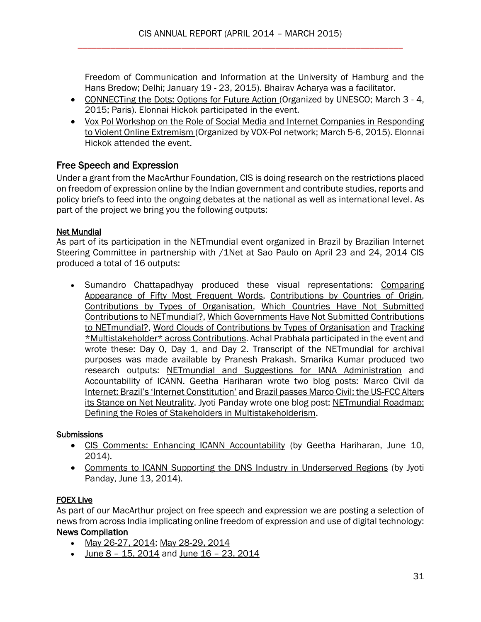Freedom of Communication and Information at the University of Hamburg and the Hans Bredow; Delhi; January 19 - 23, 2015). Bhairav Acharya was a facilitator.

- [CONNECTing the Dots: Options for Future Action \(](http://cis-india.org/internet-governance/news/connecting-the-dots-options-for-future-action)Organized by UNESCO; March 3 4, 2015; Paris). Elonnai Hickok participated in the event.
- [Vox Pol Workshop on the Role of Social Media and Internet Companies in Responding](http://cis-india.org/internet-governance/news/vox-pol-workshop-on-the-role-of-social-media-and-internet-companies-in-responding-to-violent-online-extremism-5-6-march-budapest)  [to Violent Online Extremism \(](http://cis-india.org/internet-governance/news/vox-pol-workshop-on-the-role-of-social-media-and-internet-companies-in-responding-to-violent-online-extremism-5-6-march-budapest)Organized by VOX-Pol network; March 5-6, 2015). Elonnai Hickok attended the event.

# Free Speech and Expression

Under a grant from the MacArthur Foundation, CIS is doing research on the restrictions placed on freedom of expression online by the Indian government and contribute studies, reports and policy briefs to feed into the ongoing debates at the national as well as international level. As part of the project we bring you the following outputs:

## Net Mundial

As part of its participation in the NETmundial event organized in Brazil by Brazilian Internet Steering Committee in partnership with /1Net at Sao Paulo on April 23 and 24, 2014 CIS produced a total of 16 outputs:

• Sumandro Chattapadhyay produced these visual representations: Comparing [Appearance of Fifty Most Frequent Words,](http://cis-india.org/internet-governance/blog/net-mundial-comparing-appearance-of-fifty-most-frequent-words) [Contributions by Countries of Origin,](http://cis-india.org/internet-governance/blog/net-mundial-contributions-by-countries-of-origin) [Contributions by Types of Organisation,](http://cis-india.org/internet-governance/blog/net-mundial-contributions-by-types-of-organisation) [Which Countries Have Not Submitted](http://cis-india.org/internet-governance/blog/net-mundial-which-countries-have-not-contributed-to-net-mundial)  [Contributions to NETmundial?,](http://cis-india.org/internet-governance/blog/net-mundial-which-countries-have-not-contributed-to-net-mundial) [Which Governments Have Not Submitted Contributions](http://cis-india.org/internet-governance/blog/net-mundial-which-governments-have-not-contributed-to-net-mundial)  [to NETmundial?,](http://cis-india.org/internet-governance/blog/net-mundial-which-governments-have-not-contributed-to-net-mundial) [Word Clouds of Contributions by Types of Organisation](http://cis-india.org/internet-governance/blog/net-mundial-word-clouds-of-contributions-by-types-of-organisation) and [Tracking](http://cis-india.org/internet-governance/blog/net-mundial-tracking-multi-stakeholder-across-contributions)  [\\*Multistakeholder\\* across Contributions.](http://cis-india.org/internet-governance/blog/net-mundial-tracking-multi-stakeholder-across-contributions) Achal Prabhala participated in the event and wrote these: [Day 0,](http://cis-india.org/internet-governance/blog/net-mundial-day-0) [Day 1,](http://cis-india.org/internet-governance/blog/net-mundial-day-1) and [Day 2.](http://cis-india.org/internet-governance/blog/net-mundial-day-2) [Transcript of the NETmundial](http://cis-india.org/internet-governance/blog/netmundial-transcript-archive) for archival purposes was made available by Pranesh Prakash. Smarika Kumar produced two research outputs: [NETmundial and Suggestions for IANA Administration](http://cis-india.org/internet-governance/blog/net-mundial-and-suggestions-for-iana-administration) and [Accountability of ICANN.](http://cis-india.org/internet-governance/blog/accountability-of-icann) Geetha Hariharan wrote two blog posts: [Marco Civil da](http://cis-india.org/internet-governance/blog/marco-civil-da-internet)  [Internet: Brazil's 'Internet Constitution'](http://cis-india.org/internet-governance/blog/marco-civil-da-internet) and [Brazil passes Marco Civil; the US-FCC Alters](http://cis-india.org/internet-governance/blog/brazil-passes-marco-civil-us-fcc-alters-stance-on-net-neutrality)  [its Stance on Net Neutrality.](http://cis-india.org/internet-governance/blog/brazil-passes-marco-civil-us-fcc-alters-stance-on-net-neutrality) Jyoti Panday wrote one blog post: [NETmundial Roadmap:](http://cis-india.org/internet-governance/blog/net-mundial-roadmap-defining-roles-of-stakeholders-in-multistakeholderism)  [Defining the Roles of Stakeholders in Multistakeholderism.](http://cis-india.org/internet-governance/blog/net-mundial-roadmap-defining-roles-of-stakeholders-in-multistakeholderism)

## **Submissions**

- [CIS Comments: Enhancing ICANN Accountability](http://cis-india.org/internet-governance/blog/cis-comments-enhancing-icann-accountability) (by Geetha Hariharan, June 10, 2014).
- [Comments to ICANN Supporting the DNS Industry in Underserved Regions](http://cis-india.org/internet-governance/blog/cis-comments-supporting-the-dns-industry-in-underserved-regions) (by Jyoti Panday, June 13, 2014).

## FOEX Live

As part of our MacArthur project on free speech and expression we are posting a selection of news from across India implicating online freedom of expression and use of digital technology:

## News Compilation

- [May 26-27, 2014;](http://cis-india.org/internet-governance/blog/foex-live-may-26-27-2014) [May 28-29, 2014](http://cis-india.org/internet-governance/blog/foex-live-may-28-29-2014)
- $\bullet$  June 8 [15, 2014](http://cis-india.org/internet-governance/blog/foex-live-june-8-15-2014) and June 16 [23, 2014](http://cis-india.org/internet-governance/blog/foex-live-june-16-23-2014)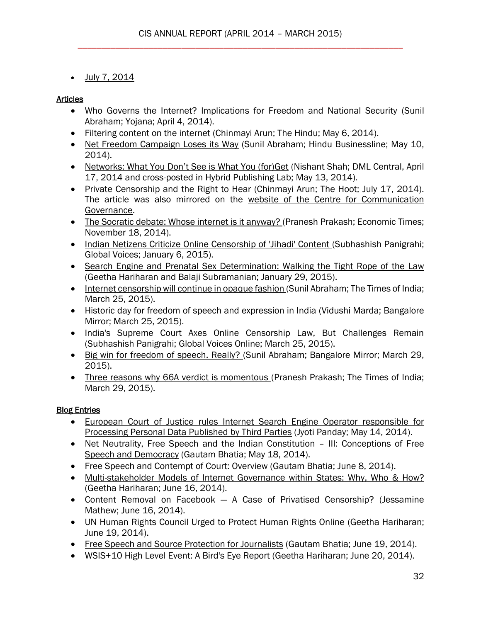$\bullet$  [July 7, 2014](http://cis-india.org/internet-governance/blog/foex-live)

## Articles

- [Who Governs the Internet? Implications for Freedom and National Security](http://cis-india.org/internet-governance/blog/yojana-april-2014-sunil-abraham-who-governs-the-internet-implications-for-freedom-and-national-security) (Sunil Abraham; Yojana; April 4, 2014).
- **[Filtering content on the internet](http://cis-india.org/internet-governance/blog/filtering-content-on-the-internet) (Chinmayi Arun; The Hindu; May 6, 2014).**
- [Net Freedom Campaign Loses its Way](http://cis-india.org/internet-governance/blog/the-hindu-business-line-may-10-2014-sunil-abraham-net-freedom-campaign-loses-its-way) (Sunil Abraham; Hindu Businessline; May 10, 2014).
- [Networks: What You Don't See is What You \(for\)Get](http://cis-india.org/internet-governance/blog/dml-central-april-17-2014-nishant-shah-networks-what-you-dont-see-is-what-you-for-get) (Nishant Shah; DML Central, April 17, 2014 and cross-posted in Hybrid Publishing Lab; May 13, 2014).
- [Private Censorship and the Right to Hear \(](http://cis-india.org/internet-governance/blog/the-hoot-july-17-2014-chinmayi-arun-private-censorship-and-the-right-to-hear)Chinmayi Arun; The Hoot; July 17, 2014). The article was also mirrored on the [website of the Centre for Communication](http://ccgnludelhi.wordpress.com/)  [Governance.](http://ccgnludelhi.wordpress.com/)
- [The Socratic debate: Whose internet is it anyway? \(](http://cis-india.org/internet-governance/blog/economic-times-november-18-2014-pranesh-prakash-the-socratic-debate-whos-internet-is-it-anyway)Pranesh Prakash; Economic Times; November 18, 2014).
- [Indian Netizens Criticize Online Censorship of 'Jihadi' Content \(](http://editors.cis-india.org/internet-governance/blog/global-voices-january-6-2015-subhashish-panigrahi-indian-netizens-criticize-online-censorship-of-jihadi-content)Subhashish Panigrahi; Global Voices; January 6, 2015).
- Search Engine and Prenatal Sex Determination: Walking the Tight Rope of the Law (Geetha Hariharan and Balaji Subramanian; January 29, 2015).
- [Internet censorship will continue in opaque fashion \(](http://cis-india.org/internet-governance/blog/the-times-of-india-march-25-2015-sunil-abraham-internet-censorship-will-continue-in-opaque-fashion)Sunil Abraham; The Times of India; March 25, 2015).
- [Historic day for freedom of speech and expression in India \(](http://cis-india.org/internet-governance/blog/bangalore-mirror-vidushi-marda-march-25-2015-historic-day-for-freedom-of-speech-and-expression-in-india)Vidushi Marda; Bangalore Mirror; March 25, 2015).
- India's Supreme Court Axes Online Censorship Law, But Challenges Remain (Subhashish Panigrahi; Global Voices Online; March 25, 2015).
- [Big win for freedom of speech. Really? \(](http://cis-india.org/internet-governance/blog/bangalore-mirror-march-29-2015-sunil-abraham-big-win-for-freedom-of-speech-really)Sunil Abraham; Bangalore Mirror; March 29, 2015).
- [Three reasons why 66A verdict is momentous \(](http://cis-india.org/internet-governance/blog/times-of-india-march-29-2015-pranesh-prakash-three-reasons-why-66a-is-momentous)Pranesh Prakash; The Times of India; March 29, 2015).

## **Blog Entries**

- [European Court of Justice rules Internet Search Engine Operator responsible for](http://cis-india.org/internet-governance/blog/ecj-rules-internet-search-engine-operator-responsible-for-processing-personal-data-published-by-third-parties)  [Processing Personal Data Published by Third Parties](http://cis-india.org/internet-governance/blog/ecj-rules-internet-search-engine-operator-responsible-for-processing-personal-data-published-by-third-parties) (Jyoti Panday; May 14, 2014).
- [Net Neutrality, Free Speech and the Indian Constitution](http://cis-india.org/internet-governance/blog/net-neutrality-free-speech-and-the-indian-constitution-2013-iii-conceptions-of-free-speech-and-democracy)  III: Conceptions of Free [Speech and Democracy](http://cis-india.org/internet-governance/blog/net-neutrality-free-speech-and-the-indian-constitution-2013-iii-conceptions-of-free-speech-and-democracy) (Gautam Bhatia; May 18, 2014).
- [Free Speech and Contempt of Court: Overview](http://cis-india.org/internet-governance/blog/free-speech-and-contempt-of-court-2013-i-overview) (Gautam Bhatia; June 8, 2014).
- [Multi-stakeholder Models of Internet Governance within States: Why, Who & How?](http://cis-india.org/internet-governance/blog/multi-stakeholder-models-of-internet-governance-within-states-why-who-how) (Geetha Hariharan; June 16, 2014).
- Content Removal on Facebook [A Case of Privatised Censorship?](http://cis-india.org/internet-governance/blog/content-removal-on-facebook) (Jessamine Mathew; June 16, 2014).
- [UN Human Rights Council Urged to Protect Human Rights Online](http://cis-india.org/internet-governance/blog/un-human-rights-council-urged-to-protect-human-rights-online) (Geetha Hariharan; June 19, 2014).
- [Free Speech and Source Protection for Journalists](http://cis-india.org/internet-governance/blog/free-speech-and-source-protection-for-journalists) (Gautam Bhatia; June 19, 2014).
- [WSIS+10 High Level Event: A Bird's Eye Report](http://cis-india.org/internet-governance/blog/wsis-10-high-level-event-a-birds-eye-report) (Geetha Hariharan; June 20, 2014).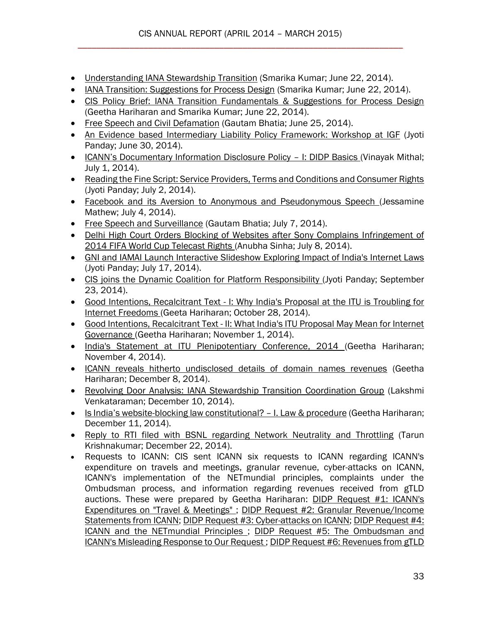- [Understanding IANA Stewardship Transition](http://cis-india.org/internet-governance/blog/understanding-iana-transition) (Smarika Kumar; June 22, 2014).
- [IANA Transition: Suggestions for Process Design](http://cis-india.org/internet-governance/blog/iana-transition-suggestions-for-process-design) (Smarika Kumar; June 22, 2014).
- [CIS Policy Brief: IANA Transition Fundamentals & Suggestions for Process Design](http://cis-india.org/internet-governance/blog/cis-policy-brief-iana-transition-fundamentals-and-suggestions-for-process-design) (Geetha Hariharan and Smarika Kumar; June 22, 2014).
- [Free Speech and Civil Defamation](http://cis-india.org/internet-governance/blog/free-speech-and-civil-defamation) (Gautam Bhatia; June 25, 2014).
- [An Evidence based Intermediary Liability Policy Framework: Workshop at IGF](http://cis-india.org/internet-governance/blog/igf-workshop-an-evidence-based-intermediary-liability-policy-framework) (Jyoti Panday; June 30, 2014).
- ICANN's Documentary Information Disclosure Policy I: DIDP Basics (Vinayak Mithal; July 1, 2014).
- Reading the Fine Script: Service Providers, Terms and Conditions and Consumer Rights (Jyoti Panday; July 2, 2014).
- [Facebook and its Aversion to Anonymous and Pseudonymous Speech \(](http://cis-india.org/internet-governance/blog/facebook-and-its-aversion-to-anonymous-and-pseudonymous-speech)Jessamine Mathew; July 4, 2014).
- [Free Speech and Surveillance](http://cis-india.org/internet-governance/blog/free-speech-and-surveillance) (Gautam Bhatia; July 7, 2014).
- Delhi High Court Orders Blocking of Websites after Sony Complains Infringement of [2014 FIFA World Cup Telecast Rights \(](http://cis-india.org/internet-governance/blog/delhi-high-court-orders-blocking-of-websites-after-sony-complains-infringement-of-2014-fifa-world-cup-telecast-rights)Anubha Sinha; July 8, 2014).
- [GNI and IAMAI Launch Interactive Slideshow Exploring Impact of India's Internet Laws](http://cis-india.org/internet-governance/blog/gni-and-iamai-launch-interactive-slideshow-exploring-impact-of-indias-internet-laws)  (Jyoti Panday; July 17, 2014).
- [CIS joins the Dynamic Coalition for Platform Responsibility \(](http://cis-india.org/internet-governance/blog/cis-joins-dynamic-coalition-for-platform-responsibility)Jyoti Panday; September 23, 2014).
- Good Intentions, Recalcitrant Text [I: Why India's Proposal at the ITU is Troubling for](http://cis-india.org/internet-governance/blog/good-intentions-going-awry-i-why-india2019s-proposal-at-the-itu-is-troubling-for-internet-freedoms)  [Internet Freedoms \(](http://cis-india.org/internet-governance/blog/good-intentions-going-awry-i-why-india2019s-proposal-at-the-itu-is-troubling-for-internet-freedoms)Geeta Hariharan; October 28, 2014).
- Good Intentions, Recalcitrant Text [II: What India's ITU Proposal May Mean for Internet](http://cis-india.org/internet-governance/blog/good-intentions-recalcitrant-text-2013-ii-what-india2019s-itu-proposal-may-mean-for-internet-governance)  [Governance \(](http://cis-india.org/internet-governance/blog/good-intentions-recalcitrant-text-2013-ii-what-india2019s-itu-proposal-may-mean-for-internet-governance)Geetha Hariharan; November 1, 2014).
- [India's Statement at ITU Plenipotentiary Conference, 2014 \(](http://cis-india.org/internet-governance/blog/indias-statement-at-itu-plenipotentiary-conference-2014)Geetha Hariharan; November 4, 2014).
- [ICANN reveals hitherto undisclosed details of domain names revenues](http://editors.cis-india.org/internet-governance/blog/cis-receives-information-on-icanns-revenues-from-domain-names-fy-2014) (Geetha Hariharan; December 8, 2014).
- [Revolving Door Analysis: IANA Stewardship Transition Coordination Group](http://editors.cis-india.org/internet-governance/blog/ianas-revolving-door) (Lakshmi Venkataraman; December 10, 2014).
- Is India's website[-blocking law constitutional?](http://editors.cis-india.org/internet-governance/blog/is-india2019s-website-blocking-law-constitutional-2013-i-law-procedure)  I. Law & procedure (Geetha Hariharan; December 11, 2014).
- [Reply to RTI filed with BSNL regarding Network Neutrality and Throttling](http://editors.cis-india.org/internet-governance/blog/reply-to-rti-filed-with-bsnl-regarding-network-neutrality-and-throttling) (Tarun Krishnakumar; December 22, 2014).
- Requests to ICANN: CIS sent ICANN six requests to ICANN regarding ICANN's expenditure on travels and meetings, granular revenue, cyber-attacks on ICANN, ICANN's implementation of the NETmundial principles, complaints under the Ombudsman process, and information regarding revenues received from gTLD auctions. These were prepared by Geetha Hariharan: [DIDP Request #1: ICANN's](http://editors.cis-india.org/internet-governance/blog/didp-request-1-icanns-expenditures-on-travel-meetings)  [Expenditures on "Travel & Meetings" ;](http://editors.cis-india.org/internet-governance/blog/didp-request-1-icanns-expenditures-on-travel-meetings) [DIDP Request #2: Granular Revenue/Income](http://editors.cis-india.org/internet-governance/blog/didp-request-2)  [Statements from ICANN;](http://editors.cis-india.org/internet-governance/blog/didp-request-2) [DIDP Request #3: Cyber-attacks on ICANN;](http://editors.cis-india.org/internet-governance/blog/didp-request-3-cyber-attacks-on-icann) [DIDP Request #4:](http://editors.cis-india.org/internet-governance/blog/didp-request-4-icann-and-the-netmundial-principles)  [ICANN and the NETmundial Principles ;](http://editors.cis-india.org/internet-governance/blog/didp-request-4-icann-and-the-netmundial-principles) [DIDP Request #5: The Ombudsman and](http://editors.cis-india.org/internet-governance/blog/didp-request-5-the-ombudsman-and-icanns-misleading-response-to-our-request-1)  [ICANN's Misleading Response to Our Request ;](http://editors.cis-india.org/internet-governance/blog/didp-request-5-the-ombudsman-and-icanns-misleading-response-to-our-request-1) [DIDP Request #6: Revenues from gTLD](http://editors.cis-india.org/internet-governance/blog/didp-request-6-revenues-from-gtld-auctions)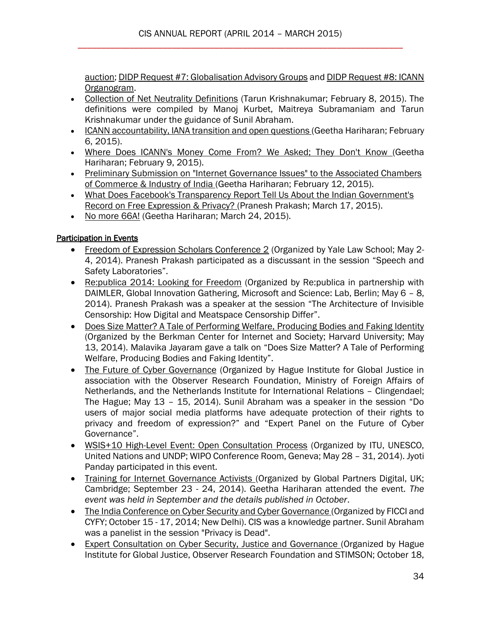[auction;](http://editors.cis-india.org/internet-governance/blog/didp-request-6-revenues-from-gtld-auctions) [DIDP Request #7: Globalisation Advisory Groups](http://cis-india.org/internet-governance/blog/didp-request-7-globalisation-advisory-groups) and [DIDP Request #8: ICANN](http://cis-india.org/internet-governance/blog/didp-request-8-organogram)  [Organogram.](http://cis-india.org/internet-governance/blog/didp-request-8-organogram)

- [Collection of Net Neutrality Definitions](http://editors.cis-india.org/internet-governance/blog/collection-of-net-neutrality-definitions) (Tarun Krishnakumar; February 8, 2015). The definitions were compiled by Manoj Kurbet, Maitreya Subramaniam and Tarun Krishnakumar under the guidance of Sunil Abraham.
- [ICANN accountability, IANA transition and open questions \(](http://editors.cis-india.org/internet-governance/blog/icann-accountability-iana-transition-and-open-questions)Geetha Hariharan; February 6, 2015).
- [Where Does ICANN's Money Come From? We Asked; They Don't Know \(](http://editors.cis-india.org/internet-governance/blog/where-does-icann2019s-money-come-from-we-asked-they-don2019t-know)Geetha Hariharan; February 9, 2015).
- [Preliminary Submission on "Internet Governance Issues" to the Associated Chambers](http://editors.cis-india.org/internet-governance/blog/preliminary-submission-on-internet-governance-issues-to-assocham)  [of Commerce & Industry of India \(](http://editors.cis-india.org/internet-governance/blog/preliminary-submission-on-internet-governance-issues-to-assocham)Geetha Hariharan; February 12, 2015).
- [What Does Facebook's Transparency Report Tell Us About the Indian Government's](http://cis-india.org/internet-governance/blog/what-does-facebook-transparency-report-tell-us-about-indian-government-record-on-free-expression-and-privacy)  [Record on Free Expression & Privacy? \(](http://cis-india.org/internet-governance/blog/what-does-facebook-transparency-report-tell-us-about-indian-government-record-on-free-expression-and-privacy)Pranesh Prakash; March 17, 2015).
- [No more 66A!](http://cis-india.org/internet-governance/blog/no-more-66a) (Geetha Hariharan; March 24, 2015).

#### Participation in Events

- [Freedom of Expression Scholars Conference 2](http://cis-india.org/news/freedom-of-expression-scholars-conference-2) (Organized by Yale Law School; May 2-4, 2014). Pranesh Prakash participated as a discussant in the session "Speech and Safety Laboratories".
- [Re:publica 2014: Looking for Freedom](http://cis-india.org/news/re-publica-2014-looking-for-freedom) (Organized by Re:publica in partnership with DAIMLER, Global Innovation Gathering, Microsoft and Science: Lab, Berlin; May 6 – 8, 2014). Pranesh Prakash was a speaker at the session "The Architecture of Invisible Censorship: How Digital and Meatspace Censorship Differ".
- [Does Size Matter? A Tale of Performing Welfare, Producing Bodies and Faking Identity](http://cis-india.org/news/harvard-university-may-13-2014-does-size-matter) (Organized by the Berkman Center for Internet and Society; Harvard University; May 13, 2014). Malavika Jayaram gave a talk on "Does Size Matter? A Tale of Performing Welfare, Producing Bodies and Faking Identity".
- [The Future of Cyber Governance](http://cis-india.org/news/future-of-cyber-governance) (Organized by Hague Institute for Global Justice in association with the Observer Research Foundation, Ministry of Foreign Affairs of Netherlands, and the Netherlands Institute for International Relations – Clingendael; The Hague; May 13 – 15, 2014). Sunil Abraham was a speaker in the session "Do users of major social media platforms have adequate protection of their rights to privacy and freedom of expression?" and "Expert Panel on the Future of Cyber Governance".
- [WSIS+10 High-Level Event: Open Consultation Process](http://cis-india.org/news/wsis-high-level-event-open-consultation-process) (Organized by ITU, UNESCO, United Nations and UNDP; WIPO Conference Room, Geneva; May 28 – 31, 2014). Jyoti Panday participated in this event.
- [Training for Internet Governance Activists \(](http://cis-india.org/internet-governance/news/training-for-internet-governance-activists)Organized by Global Partners Digital, UK; Cambridge; September 23 - 24, 2014). Geetha Hariharan attended the event. *The event was held in September and the details published in October*.
- [The India Conference on Cyber Security and Cyber Governance \(](http://cis-india.org/internet-governance/news/india-conference-cyber-security-and-cyber-governance)Organized by FICCI and CYFY; October 15 - 17, 2014; New Delhi). CIS was a knowledge partner. Sunil Abraham was a panelist in the session "Privacy is Dead".
- [Expert Consultation on Cyber Security, Justice and Governance \(](http://cis-india.org/internet-governance/news/expert-consultation-on-cyber-security-justice-and-governance)Organized by Hague Institute for Global Justice, Observer Research Foundation and STIMSON; October 18,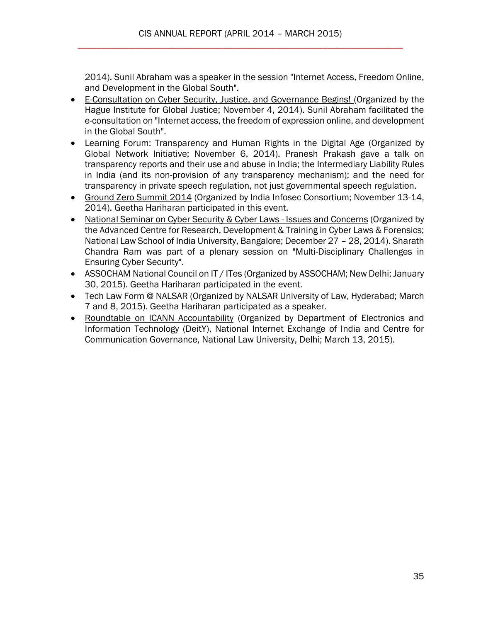2014). Sunil Abraham was a speaker in the session "Internet Access, Freedom Online, and Development in the Global South".

- [E-Consultation on Cyber Security, Justice, and Governance Begins! \(](http://cis-india.org/internet-governance/news/the-hague-institute-for-global-justice-november-4-2014-e-consultation-on-cyber-security-justice-and-governance-begins)Organized by the Hague Institute for Global Justice; November 4, 2014). Sunil Abraham facilitated the e-consultation on "Internet access, the freedom of expression online, and development in the Global South".
- [Learning Forum: Transparency and Human Rights in the Digital Age \(](http://cis-india.org/internet-governance/news/learning-forum-transparency-and-human-rights-in-the-digital-age)Organized by Global Network Initiative; November 6, 2014). Pranesh Prakash gave a talk on transparency reports and their use and abuse in India; the Intermediary Liability Rules in India (and its non-provision of any transparency mechanism); and the need for transparency in private speech regulation, not just governmental speech regulation.
- [Ground Zero Summit 2014](http://cis-india.org/internet-governance/news/ground-zero-summit-2014) (Organized by India Infosec Consortium; November 13-14, 2014). Geetha Hariharan participated in this event.
- [National Seminar on Cyber Security & Cyber Laws -](http://editors.cis-india.org/internet-governance/news/national-seminar-cyber-security-and-cyber-laws) Issues and Concerns (Organized by the Advanced Centre for Research, Development & Training in Cyber Laws & Forensics; National Law School of India University, Bangalore; December 27 – 28, 2014). Sharath Chandra Ram was part of a plenary session on "Multi-Disciplinary Challenges in Ensuring Cyber Security".
- [ASSOCHAM National Council on IT / ITes](http://cis-india.org/internet-governance/news/assocham-national-council-on-it-ites) (Organized by ASSOCHAM; New Delhi; January 30, 2015). Geetha Hariharan participated in the event.
- [Tech Law Form @ NALSAR](http://cis-india.org/internet-governance/news/tech-law-forum-at-nalsar) (Organized by NALSAR University of Law, Hyderabad; March 7 and 8, 2015). Geetha Hariharan participated as a speaker.
- [Roundtable on ICANN Accountability](http://cis-india.org/internet-governance/news/roundtable-on-icann-accountability) (Organized by Department of Electronics and Information Technology (DeitY), National Internet Exchange of India and Centre for Communication Governance, National Law University, Delhi; March 13, 2015).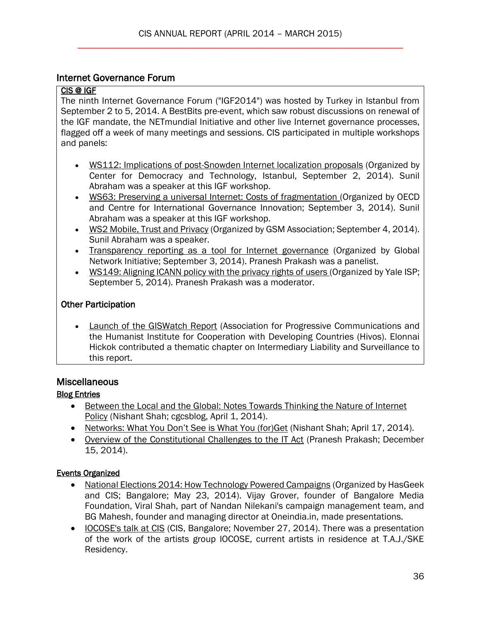## Internet Governance Forum

## CIS @ IGF

The ninth Internet Governance Forum ("IGF2014") was hosted by Turkey in Istanbul from September 2 to 5, 2014. A BestBits pre-event, which saw robust discussions on renewal of the IGF mandate, the NETmundial Initiative and other live Internet governance processes, flagged off a week of many meetings and sessions. CIS participated in multiple workshops and panels:

- [WS112: Implications of post-Snowden Internet localization proposals](http://www.youtube.com/watch?v=Nu3GycFBLoo) (Organized by Center for Democracy and Technology, Istanbul, September 2, 2014). Sunil Abraham was a speaker at this IGF workshop.
- [WS63: Preserving a universal Internet: Costs of fragmentation \(](http://cis-india.org/internet-governance/news/preserving-a-universal-internet)Organized by OECD and Centre for International Governance Innovation; September 3, 2014). Sunil Abraham was a speaker at this IGF workshop.
- [WS2 Mobile, Trust and Privacy](http://www.youtube.com/watch?v=uwtQ18KzeiY) (Organized by GSM Association; September 4, 2014). Sunil Abraham was a speaker.
- [Transparency reporting as a tool for Internet governance](http://www.youtube.com/watch?v=Us4BW1Sw4Vo) (Organized by Global Network Initiative; September 3, 2014). Pranesh Prakash was a panelist.
- [WS149: Aligning ICANN policy with the privacy rights of users \(](http://www.youtube.com/watch?v=v5tx-TBMm8E&list=PLediVl9G3xdMoSTKB3sFw0aszfwLgsqoV&index=105)Organized by Yale ISP; September 5, 2014). Pranesh Prakash was a moderator.

# Other Participation

 [Launch of the GISWatch Report](http://cis-india.org/internet-governance/blog/cis-at-igf-2014) (Association for Progressive Communications and the Humanist Institute for Cooperation with Developing Countries (Hivos). Elonnai Hickok contributed a thematic chapter on Intermediary Liability and Surveillance to this report.

# **Miscellaneous**

# Blog Entries

- Between the Local and the Global: Notes Towards Thinking the Nature of Internet [Policy](http://cis-india.org/internet-governance/blog/cgcs-nishant-shah-april-1-2014-between-the-local-and-the-global) (Nishant Shah; cgcsblog, April 1, 2014).
- [Networks: What You Don't See is What You \(for\)Get](http://cis-india.org/internet-governance/blog/dml-central-april-17-2014-nishant-shah-networks-what-you-dont-see-is-what-you-for-get) (Nishant Shah; April 17, 2014).
- [Overview of the Constitutional Challenges to the IT Act](http://editors.cis-india.org/internet-governance/blog/overview-constitutional-challenges-on-itact) (Pranesh Prakash; December 15, 2014).

# Events Organized

- [National Elections 2014: How Technology Powered Campaigns](http://cis-india.org/events/national-elections-2014-how-technology-powered-campaigns) (Organized by HasGeek and CIS; Bangalore; May 23, 2014). Vijay Grover, founder of Bangalore Media Foundation, Viral Shah, part of Nandan Nilekani's campaign management team, and BG Mahesh, founder and managing director at Oneindia.in, made presentations.
- [IOCOSE's talk at CIS](http://cis-india.org/internet-governance/events/iocose-talk-at-cis) (CIS, Bangalore; November 27, 2014). There was a presentation of the work of the artists group IOCOSE, current artists in residence at T.A.J./SKE Residency.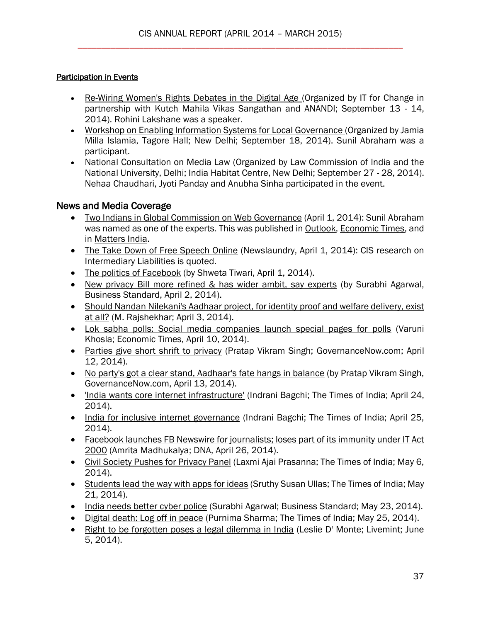## Participation in Events

- [Re-Wiring Women's Rights Debates in the Digital Age \(](http://cis-india.org/internet-governance/news/re-wiring-women-rights-debates-in-digital-age)Organized by IT for Change in partnership with Kutch Mahila Vikas Sangathan and ANANDI; September 13 - 14, 2014). Rohini Lakshane was a speaker.
- [Workshop on Enabling Information Systems for Local Governance \(](http://cis-india.org/internet-governance/news/workshop-on-enabling-information-systems-for-local-governance)Organized by Jamia Milla Islamia, Tagore Hall; New Delhi; September 18, 2014). Sunil Abraham was a participant.
- [National Consultation on Media Law](http://cis-india.org/internet-governance/news/national-consultation-on-media-law) (Organized by Law Commission of India and the National University, Delhi; India Habitat Centre, New Delhi; September 27 - 28, 2014). Nehaa Chaudhari, Jyoti Panday and Anubha Sinha participated in the event.

# News and Media Coverage

- [Two Indians in Global Commission on Web Governance](http://cis-india.org/news/outlook-april-1-2014-two-indians-in-global-commission-on-web-governance) (April 1, 2014): Sunil Abraham was named as one of the experts. This was published in **Outlook**, **Economic Times**, and in [Matters India.](http://mattersindia.com/two-indians-among-25-selected-for-internet-governance-network/)
- [The Take Down of Free Speech Online](http://cis-india.org/news/newslaundry-april-1-2014-somi-das-the-take-down-of-free-speech-online) (Newslaundry, April 1, 2014): CIS research on Intermediary Liabilities is quoted.
- [The politics of Facebook](http://cis-india.org/news/livemint-april-1-2014-shweta-taneja-the-politics-of-facebook) (by Shweta Tiwari, April 1, 2014).
- [New privacy Bill more refined & has wider ambit, say experts](http://cis-india.org/news/business-standard-april-3-2014-surabhi-agarwal-new-privacy-bill-more-refined-has-wider-ambit-say-experts) (by Surabhi Agarwal, Business Standard, April 2, 2014).
- [Should Nandan Nilekani's Aadhaar project, for identity proof and welfare delivery, exist](http://cis-india.org/news/economic-times-april-3-2014-m-rajshekhar-should-nandan-nilekani-aadhar-project-for-identity-proof-and-welfare-delivery-exist)  [at all?](http://cis-india.org/news/economic-times-april-3-2014-m-rajshekhar-should-nandan-nilekani-aadhar-project-for-identity-proof-and-welfare-delivery-exist) (M. Rajshekhar; April 3, 2014).
- [Lok sabha polls: Social media companies launch special pages for polls](http://cis-india.org/news/economic-times-april-10-2014-varuni-khosla-lok-sabha-polls) (Varuni Khosla; Economic Times, April 10, 2014).
- [Parties give short shrift to privacy](http://cis-india.org/news/governance-now-april-12-2014-pratap-vikram-singh-parties-give-short-shrift-to-privacy) (Pratap Vikram Singh; GovernanceNow.com; April 12, 2014).
- [No party's got a clear stand, Aadhaar's fate hangs in balance](http://cis-india.org/news/governance-now-april-13-2014-pratap-vikram-singh-no-party-has-got-clear-stand-aadhaar-fate-hangs-in-balance) (by Pratap Vikram Singh, GovernanceNow.com, April 13, 2014).
- ['India wants core internet infrastructure'](http://cis-india.org/news/the-times-of-india-april-24-2014-india-wants-core-internet-infrastructure) (Indrani Bagchi; The Times of India; April 24, 2014).
- [India for inclusive internet governance](http://cis-india.org/news/the-times-of-india-april-25-indrani-bagchi-india-for-inclusive-internet-governance) (Indrani Bagchi; The Times of India; April 25, 2014).
- [Facebook launches FB Newswire for journalists; loses part of its immunity under IT Act](http://cis-india.org/news/dna-amrita-madhukalya-april-26-2014-facebook-launches-fb-newswire-for-journalists-loses-part-of-its-immunity-under-it-act-2000)  [2000](http://cis-india.org/news/dna-amrita-madhukalya-april-26-2014-facebook-launches-fb-newswire-for-journalists-loses-part-of-its-immunity-under-it-act-2000) (Amrita Madhukalya; DNA, April 26, 2014).
- [Civil Society Pushes for Privacy Panel](http://cis-india.org/news/the-times-of-india-may-6-2014-laxmi-ajai-prasanna-civil-society-pushes-for-privacy-panel) (Laxmi Ajai Prasanna; The Times of India; May 6, 2014).
- [Students lead the way with apps](http://cis-india.org/news/times-of-india-may-21-2014-sruthy-susan-ullas-students-lead-the-way-with-apps-for-ideas) for ideas (Sruthy Susan Ullas; The Times of India; May 21, 2014).
- [India needs better cyber police](http://cis-india.org/news/business-standard-may-23-2014-surabhi-agarwal-india-needs-better-cyber-police) (Surabhi Agarwal; Business Standard; May 23, 2014).
- [Digital death: Log off in peace](http://cis-india.org/news/the-times-of-india-may-25-2014-purnima-sharma-digital-death-log-off-in-peace) (Purnima Sharma; The Times of India; May 25, 2014).
- [Right to be forgotten poses a legal dilemma in India](http://cis-india.org/news/livemint-leslie-d-monte-june-5-2014-right-to-be-forgotten-poses-legal-dilemma-in-india) (Leslie D' Monte; Livemint; June 5, 2014).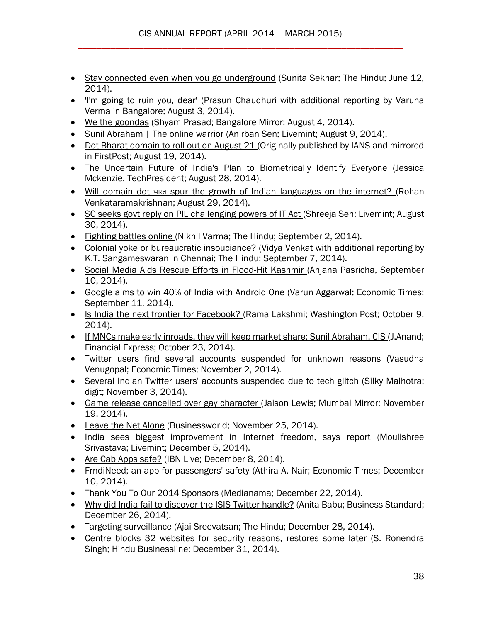- [Stay connected even when you go underground](http://cis-india.org/news/the-hindu-june-11-2014-sunita-sekhar-stay-connected-even-when-you-go-underground) (Sunita Sekhar; The Hindu; June 12, 2014).
- I'm going to ruin you, dear' (Prasun Chaudhuri with additional reporting by Varuna Verma in Bangalore; August 3, 2014).
- [We the goondas](http://cis-india.org/news/bangalore-mirror-shyam-prasad-august-4-2014-we-the-goondas) (Shyam Prasad; Bangalore Mirror; August 4, 2014).
- [Sunil Abraham | The online warrior](http://cis-india.org/news/livemint-august-9-2014-anirban-sen-sunil-abraham-the-online-warrior) (Anirban Sen; Livemint; August 9, 2014).
- [Dot Bharat domain to roll out on August 21 \(](http://cis-india.org/a2k/news/tech-first-post-dot-bharat-domain-to-roll-out-on-august-21)Originally published by IANS and mirrored in FirstPost; August 19, 2014).
- [The Uncertain Future of India's Plan to Biometrically Identify Everyone \(](http://cis-india.org/internet-governance/news/tech-president-jessica-mckenzie-august-28-2014-the-uncertain-future-of-indias-plan-to-biometrically-identify-everyone)Jessica Mckenzie, TechPresident; August 28, 2014).
- Will domain dot भारत [spur the growth of Indian languages on the internet? \(](http://cis-india.org/openness/news/scroll-in-rohan-venkataramakrishnan-will-domain-dot-bharat-spur-the-growth-of-Indian-languages-on-the-internet)Rohan Venkataramakrishnan; August 29, 2014).
- [SC seeks govt reply on PIL challenging powers of IT Act \(](http://cis-india.org/internet-governance/news/livemint-august-30-2014-shreeja-sen-sc-seeks-govt-reply-on-pil-challenging-powers-of-it-act)Shreeja Sen; Livemint; August 30, 2014).
- [Fighting battles online \(](http://cis-india.org/internet-governance/news/the-hindu-nikhil-varma-september-2-2014-fighting-battles-online)Nikhil Varma; The Hindu; September 2, 2014).
- [Colonial yoke or bureaucratic insouciance? \(](http://cis-india.org/internet-governance/news/vidya-venkat-the-hindu-september-7-2014-colonial-yoke-or-bureaucratic-insouciance)Vidya Venkat with additional reporting by K.T. Sangameswaran in Chennai; The Hindu; September 7, 2014).
- [Social Media Aids Rescue Efforts in Flood-Hit Kashmir \(](http://cis-india.org/internet-governance/news/voice-of-america-september-10-2014-anjana-pasricha-kashmir-flood-social-media-aids-rescue)Anjana Pasricha, September 10, 2014).
- [Google aims to win 40% of India with Android One \(](http://cis-india.org/internet-governance/news/the-economic-times-varun-aggarwal-september-11-2014-google-aims-to-win-india-with-android-one)Varun Aggarwal; Economic Times; September 11, 2014).
- [Is India the next frontier for Facebook? \(](http://cis-india.org/internet-governance/news/washington-post-october-9-2014-rama-lakshmi-is-india-the-next-frontier-for-facebook)Rama Lakshmi; Washington Post; October 9, 2014).
- [If MNCs make early inroads, they will keep market share: Sunil Abraham, CIS \(](http://cis-india.org/internet-governance/news/financial-express-october-23-2014-j-anand-if-mncs-make-early-inroads-they-will-keep-market-share)J.Anand; Financial Express; October 23, 2014).
- [Twitter users find several accounts suspended for unknown reasons \(](http://cis-india.org/internet-governance/news/the-economic-times-vasudha-venugopal-november-2-2014-twitter-users-find-several-accounts-suspended-for-unknown-reasons)Vasudha Venugopal; Economic Times; November 2, 2014).
- [Several Indian Twitter users' accounts suspended due to tech glitch \(](http://cis-india.org/internet-governance/news/digit-november-3-2014-silky-malhotra-several-indian-twitter-users-accounts-suspended-due-to-tech-glitch)Silky Malhotra; digit; November 3, 2014).
- [Game release cancelled over gay character](http://cis-india.org/internet-governance/news/mumbai-mirror-november-19-2014-jaison-lewis-game-release-cancelled-over-gay-character) (Jaison Lewis; Mumbai Mirror; November 19, 2014).
- [Leave the Net Alone](http://cis-india.org/internet-governance/news/businessworld-november-25-2014-leave-the-net-alone) (Businessworld; November 25, 2014).
- [India sees biggest improvement in Internet freedom, says report](http://editors.cis-india.org/internet-governance/news/livemint-december-5-2014-moulishree-srivastava-india-sees-biggest-improvement-in-internet-freedom) (Moulishree Srivastava; Livemint; December 5, 2014).
- [Are Cab Apps safe?](http://editors.cis-india.org/internet-governance/news/ibn-live-december-8-2014-are-cab-apps-safe) (IBN Live; December 8, 2014).
- [FrndiNeed; an app for passengers' safety](http://editors.cis-india.org/internet-governance/news/economic-times-december-10-2014-athira-a-nair-frndineed-an-app-for-passenger-safety) (Athira A. Nair; Economic Times; December 10, 2014).
- [Thank You To Our 2014 Sponsors](http://editors.cis-india.org/internet-governance/news/medianama-december-22-2014-thank-you-to-our-2014-sponsors) (Medianama; December 22, 2014).
- [Why did India fail to discover the ISIS Twitter handle?](http://editors.cis-india.org/internet-governance/news/business-standard-december-26-2014-anita-babu-why-india-failed-to-discover-the-isis-twitter-handle) (Anita Babu; Business Standard; December 26, 2014).
- [Targeting surveillance](http://editors.cis-india.org/internet-governance/news/the-hindu-december-28-2014-ajai-sreevatsan-targeting-surveillance) (Ajai Sreevatsan; The Hindu; December 28, 2014).
- [Centre blocks 32 websites for security](http://editors.cis-india.org/internet-governance/news/the-hindu-businessline-december-31-2015-s-ronendra-singh-) reasons, restores some later (S. Ronendra Singh; Hindu Businessline; December 31, 2014).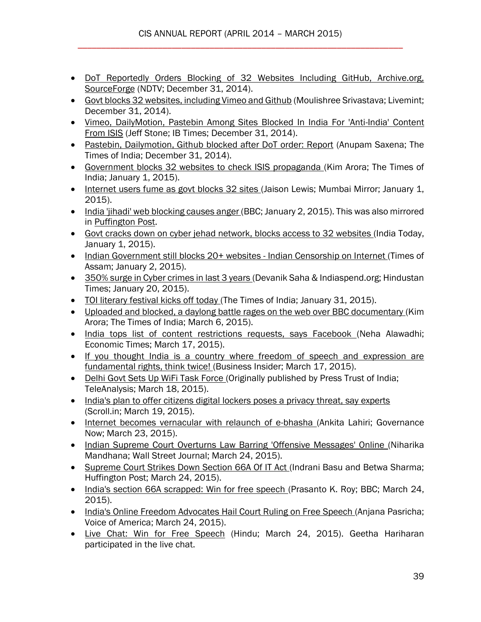- [DoT Reportedly Orders Blocking of 32 Websites Including GitHub, Archive.org,](http://editors.cis-india.org/internet-governance/news/ndtv-december-31-2014-dot-reportedly-orders-blocking-of-32-websites-including-github-archiveorg-sourceforge)  [SourceForge](http://editors.cis-india.org/internet-governance/news/ndtv-december-31-2014-dot-reportedly-orders-blocking-of-32-websites-including-github-archiveorg-sourceforge) (NDTV; December 31, 2014).
- [Govt blocks 32 websites, including Vimeo and Github](http://editors.cis-india.org/internet-governance/news/livemint-december-31-2014-moulishree-srivastava-govt-blocks-32-websites) (Moulishree Srivastava; Livemint; December 31, 2014).
- Vimeo. DailyMotion, Pastebin Among Sites Blocked In India For 'Anti-India' Content [From ISIS](http://editors.cis-india.org/internet-governance/news/ib-times-jeff-stone-december-31-2014-sites-blocked-in-india-for-anti-india-content-from-isis) (Jeff Stone; IB Times; December 31, 2014).
- [Pastebin, Dailymotion, Github blocked after DoT order: Report](http://editors.cis-india.org/internet-governance/news/times-of-india-anupam-saxena-december-31-2014-pastein-dailymotion-github-blocked-after-dot-order) (Anupam Saxena; The Times of India; December 31, 2014).
- [Government blocks 32 websites to check ISIS propaganda \(](http://cis-india.org/internet-governance/news/the-times-of-india-jan-1-2015-kim-arora-government-blocks-32-websites-to-check-isis-propaganda)Kim Arora; The Times of India; January 1, 2015).
- [Internet users fume as govt blocks 32 sites \(](http://cis-india.org/internet-governance/news/mumbai-mirror-jaison-lewis-jan-1-2015-internet-users-fume-as-govt-blocks-32-sites)Jaison Lewis; Mumbai Mirror; January 1, 2015).
- [India 'jihadi' web blocking causes anger \(](http://cis-india.org/internet-governance/news/bbc-january-2-2015-india-jihadi-web-blocking-causes-anger)BBC; January 2, 2015). This was also mirrored in [Puffington Post.](http://thepuffington.com/anger-at-india-website-blocking/)
- [Govt cracks down on cyber jehad network, blocks access to 32 websites \(](http://cis-india.org/internet-governance/news/india-today-january-1-2015-govt-cracks-down-on-cyber-jehad-network-blocks-access-to-32-websites)India Today, January 1, 2015).
- [Indian Government still blocks 20+ websites -](http://cis-india.org/internet-governance/news/times-of-assam-january-2-2015-indian-govt-still-blocks-websites-india-censorship-on-internet) Indian Censorship on Internet (Times of Assam; January 2, 2015).
- [350% surge in Cyber crimes in last 3 years \(](http://cis-india.org/internet-governance/news/hindustan-times-january-20-2015-devanik-saha-indiaspend-350-per-cent-surge-in-cyber-crimes-in-last-3-years)Devanik Saha & Indiaspend.org; Hindustan Times; January 20, 2015).
- [TOI literary festival kicks off today \(](http://cis-india.org/internet-governance/news/times-of-india-january-31-2015-toi-literary-kicks-off-today)The Times of India; January 31, 2015).
- [Uploaded and blocked, a daylong battle rages on the web over BBC documentary \(](http://cis-india.org/internet-governance/news/times-of-india-march-6-2015-uploaded-and-blocked-a-daylong-battle-rages-on-web-over-bbc-documentary)Kim Arora; The Times of India; March 6, 2015).
- [India tops list of content restrictions requests, says Facebook \(](http://cis-india.org/internet-governance/news/economic-times-march-17-2015-neha-alawadhi-india-tops-list-of-content-restrictions-requests-says-facebook)Neha Alawadhi; Economic Times; March 17, 2015).
- [If you thought India is a country where freedom of speech](http://cis-india.org/internet-governance/news/business-insider-march-17-2015-if-you-thought-india-is-a-country-where-freedom-of-speech-and-expression-are-fundamental-rights-think-twice) and expression are [fundamental rights, think twice! \(](http://cis-india.org/internet-governance/news/business-insider-march-17-2015-if-you-thought-india-is-a-country-where-freedom-of-speech-and-expression-are-fundamental-rights-think-twice)Business Insider; March 17, 2015).
- [Delhi Govt Sets Up WiFi Task Force \(](http://cis-india.org/internet-governance/news/tele-analysis-gyana-ranjan-swain-delhi-govt-sets-up-wifi-task-force)Originally published by Press Trust of India; TeleAnalysis; March 18, 2015).
- India's plan to offer citizens digital lockers poses a privacy threat, say experts (Scroll.in; March 19, 2015).
- [Internet becomes vernacular with relaunch of e-bhasha \(](http://cis-india.org/internet-governance/news/governance-now-march-23-2015-ankita-lahiri-internet-becomes-vernacular-with-relaunch-of-e-bhasha)Ankita Lahiri; Governance Now; March 23, 2015).
- [Indian Supreme Court Overturns Law Barring 'Offensive Messages' Online \(](http://cis-india.org/internet-governance/news/wall-street-journal-niharika-mandhana-march-24-2015-indian-supreme-court-overturns-law-barring-hate-speech-online)Niharika Mandhana; Wall Street Journal; March 24, 2015).
- [Supreme Court Strikes Down Section 66A Of IT Act \(](http://cis-india.org/internet-governance/news/huffington-post-indrani-basu-betwa-sharma-march-24-2015-supreme-court-strikes-down-section-66a-of-it-act)Indrani Basu and Betwa Sharma; Huffington Post; March 24, 2015).
- [India's section 66A scrapped: Win for free speech \(](http://cis-india.org/internet-governance/news/bbc-march-24-2015-indias-section-66-a-scrapped)Prasanto K. Roy; BBC; March 24, 2015).
- [India's Online Freedom Advocates Hail Court Ruling on Free Speech \(](http://cis-india.org/internet-governance/news/voice-of-america-march-24-2015-anjana-pascricha-indias-online-freedom-advocates-hail-court-ruling-on-free-speech)Anjana Pasricha; Voice of America; March 24, 2015).
- [Live Chat: Win for Free Speech](http://cis-india.org/internet-governance/news/the-hindu-march-24-2015-live-chat-win-for-free-speech) (Hindu; March 24, 2015). Geetha Hariharan participated in the live chat.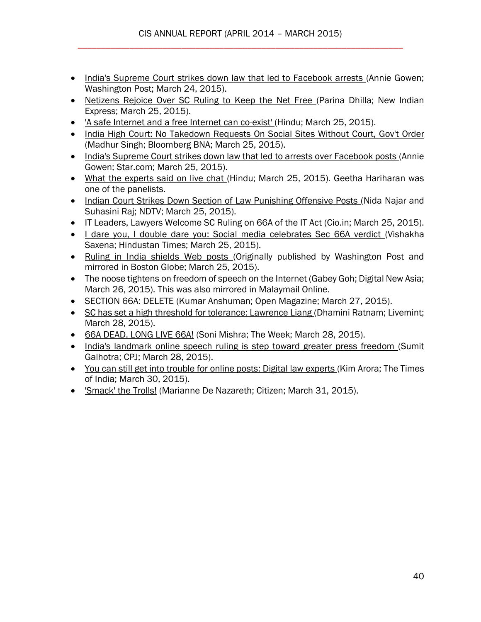- [India's Supreme Court strikes down law that led to Facebook arrests \(](http://cis-india.org/internet-governance/news/washington-post-annie-gowen-march-24-2015-indias-sc-strikes-down-law-that-led-to-fb-arrests)Annie Gowen; Washington Post; March 24, 2015).
- [Netizens Rejoice Over SC Ruling to Keep the Net Free \(](http://cis-india.org/internet-governance/news/new-indian-express-march-25-2015-parina-dhilla-netizens-rejoice-over-sc-ruling-to-keep-the-net-free)Parina Dhilla; New Indian Express; March 25, 2015).
- ['A safe Internet and a free Internet can co-exist' \(](http://cis-india.org/internet-governance/news/the-hindu-march-25-2015-a-safe-internet-and-a-free-internet-can-co-exist)Hindu; March 25, 2015).
- India High Court: No Takedown Requests On Social Sites Without Court, Gov't Order (Madhur Singh; Bloomberg BNA; March 25, 2015).
- [India's Supreme Court strikes down law that led to arrests over Facebook posts \(](http://cis-india.org/internet-governance/news/the-star-march-25-2015-annie-gowen-indias-supreme-court-strikes-down-law-that-led-to-arrests-over-facebook-posts)Annie Gowen; Star.com; March 25, 2015).
- [What the experts said on live chat \(](http://cis-india.org/internet-governance/news/the-hindu-march-25-2015-what-the-experts-said-on-live-chat)Hindu; March 25, 2015). Geetha Hariharan was one of the panelists.
- [Indian Court Strikes Down Section of Law Punishing Offensive Posts \(](http://cis-india.org/internet-governance/news/ndtv-nida-najar-and-suhasini-raj-march-25-2015-indian-court-strikes-down-section-of-law-punishing-offensive-posts)Nida Najar and Suhasini Raj; NDTV; March 25, 2015).
- [IT Leaders, Lawyers Welcome SC Ruling on 66A of the IT Act \(](http://cis-india.org/internet-governance/news/cio-in-march-25-2015-it-leaders%2C-lawyers-welcome-sc-ruling-on-66a-of-the-it-act)Cio.in; March 25, 2015).
- [I dare you, I double dare you: Social media celebrates Sec 66A verdict \(](http://cis-india.org/internet-governance/news/hindustan-times-march-25-2015-vishakha-saxena-i-dare-you-i-double-dare-you)Vishakha Saxena; Hindustan Times; March 25, 2015).
- [Ruling in India shields Web posts \(](http://cis-india.org/internet-governance/news/boston-globe-march-25-2015-annie-gowen-ruling-in-india-shields-web-posts)Originally published by Washington Post and mirrored in Boston Globe; March 25, 2015).
- [The noose tightens on freedom of speech on the Internet \(](http://cis-india.org/internet-governance/news/digital-news-asia-gabey-goh-march-26-2015-noose-tightens-on-freedom-of-speech-on-internet)Gabey Goh; Digital New Asia; March 26, 2015). This was also mirrored in Malaymail Online.
- [SECTION 66A: DELETE](http://cis-india.org/internet-governance/news/open-magazine-march-27-2015-kumar-anshuman-section-66a-delete) (Kumar Anshuman; Open Magazine; March 27, 2015).
- SC has [set a high threshold for tolerance: Lawrence Liang \(](http://cis-india.org/internet-governance/news/livemint-dhamini-ratnam-march-28-2015-sc-has-set-a-high-threshold-for-tolerance)Dhamini Ratnam; Livemint; March 28, 2015).
- [66A DEAD. LONG LIVE 66A!](http://cis-india.org/internet-governance/news/the-week-march-28-2015-soni-mishra-66a-dead-long-live-66a) (Soni Mishra; The Week; March 28, 2015).
- [India's landmark online speech ruling is step toward greater press freedom \(](http://cis-india.org/internet-governance/news/cpj-march-28-2015-sumit-galhotra-indias-landmark-online-speech-ruling-is-step-toward-greater-press-freedom)Sumit Galhotra; CPJ; March 28, 2015).
- [You can still get into trouble for online posts: Digital law experts \(](http://cis-india.org/internet-governance/news/times-of-india-march-30-2015-kim-arora-you-can-still-get-into-trouble-for-online-posts)Kim Arora; The Times of India; March 30, 2015).
- ['Smack' the Trolls!](http://cis-india.org/internet-governance/news/the-citizen-march-31-2015-marianne-de-nazareth-smack-the-trolls) (Marianne De Nazareth; Citizen; March 31, 2015).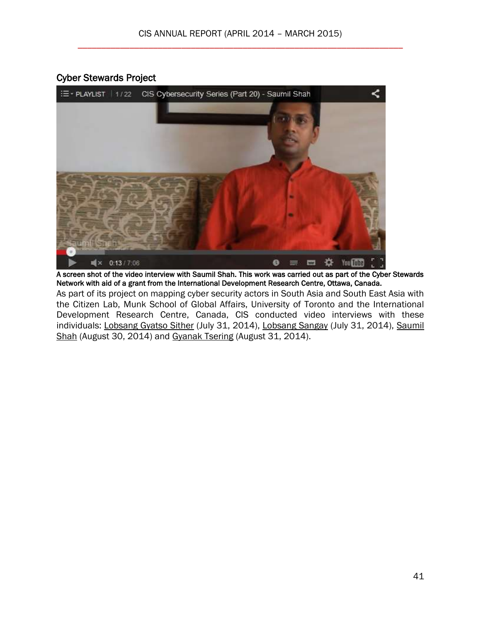# Cyber Stewards Project



A screen shot of the video interview with Saumil Shah. This work was carried out as part of the Cyber Stewards Network with aid of a grant from the International Development Research Centre, Ottawa, Canada.

As part of its project on mapping cyber security actors in South Asia and South East Asia with the Citizen Lab, Munk School of Global Affairs, University of Toronto and the International Development Research Centre, Canada, CIS conducted video interviews with these individuals: [Lobsang Gyatso Sither](http://cis-india.org/internet-governance/blog/cis-cybersecurity-series-part-18-2013-lobsang-gyatso-sither) (July 31, 2014), [Lobsang Sangay](http://cis-india.org/internet-governance/blog/cis-cybersecurity-series-part-19-2013-lobsang-sangay) (July 31, 2014), Saumil [Shah](http://cis-india.org/internet-governance/blog/cis-cybersecurity-series-part-20-saumil-shah) (August 30, 2014) and [Gyanak Tsering](http://cis-india.org/internet-governance/blog/cis-cybersecurity-series-part-21-gyanak-tsering) (August 31, 2014).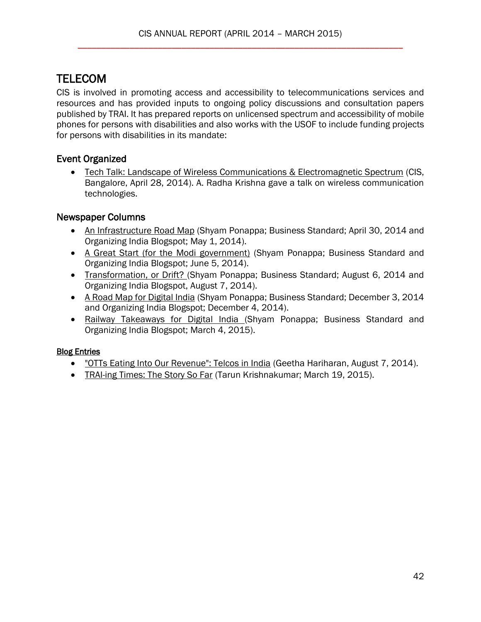# <span id="page-41-0"></span>**TELECOM**

CIS is involved in promoting access and accessibility to telecommunications services and resources and has provided inputs to ongoing policy discussions and consultation papers published by TRAI. It has prepared reports on unlicensed spectrum and accessibility of mobile phones for persons with disabilities and also works with the USOF to include funding projects for persons with disabilities in its mandate:

# Event Organized

 [Tech Talk: Landscape of Wireless Communications & Electromagnetic Spectrum](http://cis-india.org/events/tech-talk-landscape-of-wireless-communications-and-electromagnetic-spectrum) (CIS, Bangalore, April 28, 2014). A. Radha Krishna gave a talk on wireless communication technologies.

# Newspaper Columns

- [An Infrastructure Road Map](http://cis-india.org/telecom/blog/organizing-india-blogspot-shyam-ponappa-may-1-2014-an-infrastructure-road-map) (Shyam Ponappa; Business Standard; April 30, 2014 and Organizing India Blogspot; May 1, 2014).
- [A Great Start \(for the Modi government\)](http://cis-india.org/telecom/blog/organizing-india-blogspot-shyam-ponappa-june-5-2014-a-great-start-for-modi-government) (Shyam Ponappa; Business Standard and Organizing India Blogspot; June 5, 2014).
- [Transformation, or Drift? \(](http://cis-india.org/telecom/blog/organizing-india-blogspot-shyam-ponappa-august-7-2014-transformation-or-drift)Shyam Ponappa; Business Standard; August 6, 2014 and Organizing India Blogspot, August 7, 2014).
- [A Road Map for Digital India](http://editors.cis-india.org/telecom/blog/organizing-india-blogspot-shyam-ponappa-december-4-2014-a-roadmap-for-digital-india) (Shyam Ponappa; Business Standard; December 3, 2014 and Organizing India Blogspot; December 4, 2014).
- [Railway Takeaways for Digital India \(](http://cis-india.org/telecom/blog/business-standard-opinion-article-shyam-ponappa-march-4-2015-railway-takeaways-for-digital-india)Shyam Ponappa; Business Standard and Organizing India Blogspot; March 4, 2015).

## **Blog Entries**

- ["OTTs Eating Into Our Revenue": Telcos in India](http://cis-india.org/telecom/blog/otts-eating-into-our-revenue-telcos-in-india) (Geetha Hariharan, August 7, 2014).
- [TRAI-ing Times: The Story So Far](http://cis-india.org/telecom/blog/trai-ing-times-the-story-so-far) (Tarun Krishnakumar; March 19, 2015).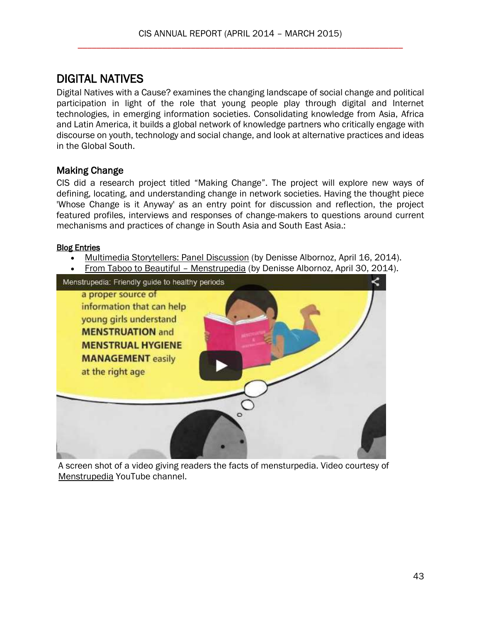# <span id="page-42-0"></span>DIGITAL NATIVES

Digital Natives with a Cause? examines the changing landscape of social change and political participation in light of the role that young people play through digital and Internet technologies, in emerging information societies. Consolidating knowledge from Asia, Africa and Latin America, it builds a global network of knowledge partners who critically engage with discourse on youth, technology and social change, and look at alternative practices and ideas in the Global South.

## Making Change

CIS did a research project titled "Making Change". The project will explore new ways of defining, locating, and understanding change in network societies. Having the thought piece 'Whose Change is it Anyway' as an entry point for discussion and reflection, the project featured profiles, interviews and responses of change-makers to questions around current mechanisms and practices of change in South Asia and South East Asia.:

#### Blog Entries

- [Multimedia Storytellers: Panel Discussion](http://cis-india.org/digital-natives/making-change/multimedia-storytellers) (by Denisse Albornoz, April 16, 2014).
- [From Taboo to Beautiful](http://cis-india.org/digital-natives/making-change/menstrupedia-taboo-beautiful)  Menstrupedia (by Denisse Albornoz, April 30, 2014).



A screen shot of a video giving readers the facts of mensturpedia. Video courtesy of [Menstrupedia](https://www.youtube.com/user/menstrupedia) YouTube channel.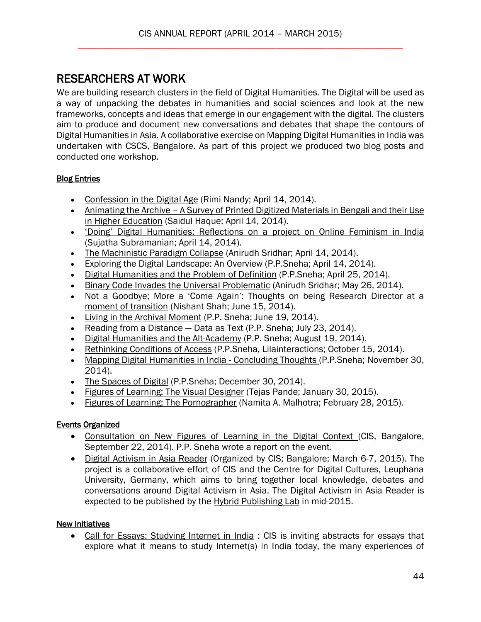# <span id="page-43-0"></span>RESEARCHERS AT WORK

We are building research clusters in the field of Digital Humanities. The Digital will be used as a way of unpacking the debates in humanities and social sciences and look at the new frameworks, concepts and ideas that emerge in our engagement with the digital. The clusters aim to produce and document new conversations and debates that shape the contours of Digital Humanities in Asia. A collaborative exercise on Mapping Digital Humanities in India was undertaken with CSCS, Bangalore. As part of this project we produced two blog posts and conducted one workshop.

## Blog Entries

- [Confession in the Digital Age](http://cis-india.org/raw/digital-humanities/confession-in-digital-age) (Rimi Nandy; April 14, 2014).
- Animating the Archive A Survey of Printed Digitized Materials in Bengali and their Use [in Higher Education](http://cis-india.org/raw/digital-humanities/animating-the-archive) (Saidul Haque; April 14, 2014).
- ['Doing' Digital Humanities: Reflections on a project on Onli](http://cis-india.org/raw/digital-humanities/doing-digital-humanities)ne Feminism in India (Sujatha Subramanian; April 14, 2014).
- [The Machinistic Paradigm Collapse](http://cis-india.org/raw/digital-humanities/the-machinistic-paradigm-collapse) (Anirudh Sridhar; April 14, 2014).
- **[Exploring the Digital Landscape: An Overview](http://cis-india.org/raw/digital-humanities/exploring-the-digital-landscape) (P.P.Sneha; April 14, 2014).**
- Digital Humanities and [the Problem of Definition](http://cis-india.org/raw/digital-humanities/digital-humanities-problem-of-definition) (P.P.Sneha; April 25, 2014).
- **[Binary Code Invades the Universal Problematic](http://cis-india.org/raw/digital-humanities/binary-code-invades-the-universal-problematic) (Anirudh Sridhar; May 26, 2014).**
- [Not a Goodbye; More a 'Come Again': Thoughts on being Research Director at a](http://cis-india.org/raw/not-a-goodbye-more-a-come-again)  [moment of transition](http://cis-india.org/raw/not-a-goodbye-more-a-come-again) (Nishant Shah; June 15, 2014).
- [Living in the Archival Moment](http://cis-india.org/raw/digital-humanities/living-in-the-archival-moment) (P.P. Sneha; June 19, 2014).
- [Reading from a Distance](http://cis-india.org/raw/digital-humanities/reading-from-a-distance)  Data as Text (P.P. Sneha; July 23, 2014).
- [Digital Humanities and the Alt-Academy](http://cis-india.org/raw/digital-humanities/digital-humanities-and-alt-academy) (P.P. Sneha; August 19, 2014).
- [Rethinking Conditions of Access](http://cis-india.org/raw/lila-inter-actions-october-14-2014-rethinking-conditions-of-access) (P.P.Sneha, Lilainteractions; October 15, 2014).
- [Mapping Digital Humanities in India -](http://cis-india.org/raw/mapping-digital-humanities-in-india-concluding-thoughts) Concluding Thoughts (P.P.Sneha; November 30, 2014).
- [The Spaces of Digital](http://editors.cis-india.org/raw/the-spaces-of-digital) (P.P.Sneha; December 30, 2014).
- [Figures of Learning: The Visual Designer](http://cis-india.org/raw/figures-of-learning-the-visual-designer2) (Tejas Pande; January 30, 2015).
- [Figures of Learning: The Pornographer](http://editors.cis-india.org/raw/figures-of-learning-the-pornographer) (Namita A. Malhotra; February 28, 2015).

# Events Organized

- [Consultation on New Figures of Learning in the Digital Context \(](http://cis-india.org/raw/events/consultation-on-new-figures-of-learning-in-digital-context)CIS, Bangalore, September 22, 2014). P.P. Sneha [wrote a report](http://cis-india.org/raw/digital-humanities/consultation-new-figures-of-learning-in-digital-context) on the event.
- [Digital Activism in Asia Reader](http://cis-india.org/raw/digital-activism-in-asia-reader-announcement) (Organized by CIS; Bangalore; March 6-7, 2015). The project is a collaborative effort of CIS and the Centre for Digital Cultures, Leuphana University, Germany, which aims to bring together local knowledge, debates and conversations around Digital Activism in Asia. The Digital Activism in Asia Reader is expected to be published by the [Hybrid Publishing Lab](http://cdc.leuphana.com/structure/hybrid-publishing-lab/) in mid-2015.

## New Initiatives

• [Call for Essays: Studying Internet in India](http://cis-india.org/raw/call-for-essays-studying-internet-in-india) : CIS is inviting abstracts for essays that explore what it means to study Internet(s) in India today, the many experiences of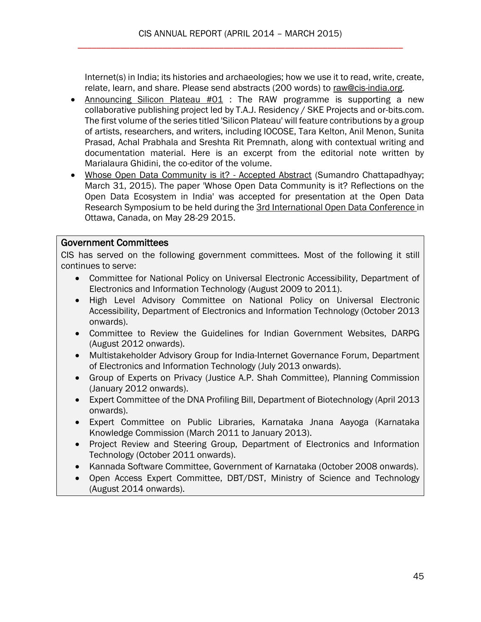Internet(s) in India; its histories and archaeologies; how we use it to read, write, create, relate, learn, and share. Please send abstracts (200 words) to [raw@cis-india.org.](mailto:raw@cis-india.org)

- [Announcing Silicon Plateau #01](http://cis-india.org/raw/announcing-silicon-plateau-01) : The RAW programme is supporting a new collaborative publishing project led by T.A.J. Residency / SKE Projects and or-bits.com. The first volume of the series titled 'Silicon Plateau' will feature contributions by a group of artists, researchers, and writers, including IOCOSE, Tara Kelton, Anil Menon, Sunita Prasad, Achal Prabhala and Sreshta Rit Premnath, along with contextual writing and documentation material. Here is an excerpt from the editorial note written by Marialaura Ghidini, the co-editor of the volume.
- [Whose Open Data Community is it? -](http://cis-india.org/raw/whose-open-data-community-is-it-abstract) Accepted Abstract (Sumandro Chattapadhyay; March 31, 2015). The paper 'Whose Open Data Community is it? Reflections on the Open Data Ecosystem in India' was accepted for presentation at the Open Data Research Symposium to be held during the [3rd International Open Data Conference i](http://www.opengovpartnership.org/blog/erik-waddell/2015/02/02/3rd-international-open-data-conference-iodc)n Ottawa, Canada, on May 28-29 2015.

#### Government Committees

CIS has served on the following government committees. Most of the following it still continues to serve:

- Committee for National Policy on Universal Electronic Accessibility, Department of Electronics and Information Technology (August 2009 to 2011).
- High Level Advisory Committee on National Policy on Universal Electronic Accessibility, Department of Electronics and Information Technology (October 2013 onwards).
- Committee to Review the Guidelines for Indian Government Websites, DARPG (August 2012 onwards).
- Multistakeholder Advisory Group for India-Internet Governance Forum, Department of Electronics and Information Technology (July 2013 onwards).
- Group of Experts on Privacy (Justice A.P. Shah Committee), Planning Commission (January 2012 onwards).
- Expert Committee of the DNA Profiling Bill, Department of Biotechnology (April 2013 onwards).
- Expert Committee on Public Libraries, Karnataka Jnana Aayoga (Karnataka Knowledge Commission (March 2011 to January 2013).
- Project Review and Steering Group, Department of Electronics and Information Technology (October 2011 onwards).
- Kannada Software Committee, Government of Karnataka (October 2008 onwards).
- Open Access Expert Committee, DBT/DST, Ministry of Science and Technology (August 2014 onwards).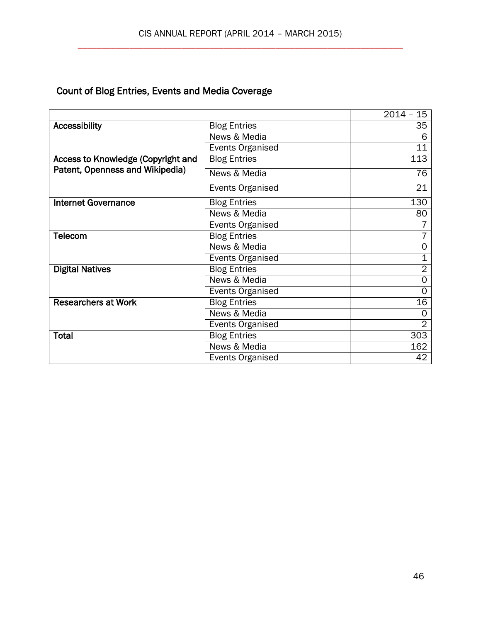# Count of Blog Entries, Events and Media Coverage

|                                    |                         | $2014 - 15$     |
|------------------------------------|-------------------------|-----------------|
| <b>Accessibility</b>               | <b>Blog Entries</b>     | 35              |
|                                    | News & Media            | 6               |
|                                    | Events Organised        | 11              |
| Access to Knowledge (Copyright and | <b>Blog Entries</b>     | 113             |
| Patent, Openness and Wikipedia)    | News & Media            | $\overline{76}$ |
|                                    | <b>Events Organised</b> | 21              |
| <b>Internet Governance</b>         | <b>Blog Entries</b>     | 130             |
|                                    | News & Media            | 80              |
|                                    | <b>Events Organised</b> |                 |
| <b>Telecom</b>                     | <b>Blog Entries</b>     |                 |
|                                    | News & Media            | 0               |
|                                    | <b>Events Organised</b> | 1               |
| <b>Digital Natives</b>             | <b>Blog Entries</b>     | $\overline{2}$  |
|                                    | News & Media            | 0               |
|                                    | <b>Events Organised</b> | ი               |
| <b>Researchers at Work</b>         | <b>Blog Entries</b>     | 16              |
|                                    | News & Media            | 0               |
|                                    | <b>Events Organised</b> | $\overline{2}$  |
| <b>Total</b>                       | <b>Blog Entries</b>     | 303             |
|                                    | News & Media            | 162             |
|                                    | <b>Events Organised</b> | 42              |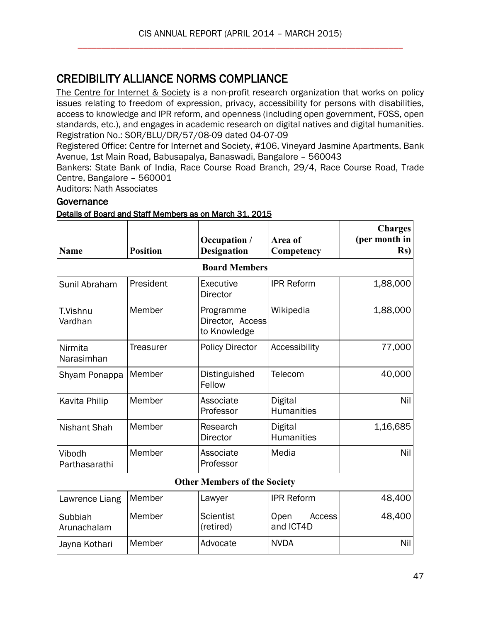# <span id="page-46-0"></span>CREDIBILITY ALLIANCE NORMS COMPLIANCE

[The Centre for Internet & Society](http://cis-india.org/) is a non-profit research organization that works on policy issues relating to freedom of expression, privacy, accessibility for persons with disabilities, access to knowledge and IPR reform, and openness (including open government, FOSS, open standards, etc.), and engages in academic research on digital natives and digital humanities. Registration No.: SOR/BLU/DR/57/08-09 dated 04-07-09

Registered Office: Centre for Internet and Society, #106, Vineyard Jasmine Apartments, Bank Avenue, 1st Main Road, Babusapalya, Banaswadi, Bangalore – 560043

Bankers: State Bank of India, Race Course Road Branch, 29/4, Race Course Road, Trade Centre, Bangalore – 560001

Auditors: Nath Associates

## **Governance**

#### Details of Board and Staff Members as on March 31, 2015

| <b>Name</b>             | <b>Position</b>  | Occupation /<br><b>Designation</b>                          | Area of<br>Competency       | <b>Charges</b><br>(per month in<br>$\mathbf{Rs}$ |
|-------------------------|------------------|-------------------------------------------------------------|-----------------------------|--------------------------------------------------|
|                         |                  | <b>Board Members</b>                                        |                             |                                                  |
| Sunil Abraham           | President        | Executive<br>Director                                       | <b>IPR Reform</b>           | 1,88,000                                         |
| T.Vishnu<br>Vardhan     | Member           | Programme<br>Director, Access<br>to Knowledge               | Wikipedia                   | 1,88,000                                         |
| Nirmita<br>Narasimhan   | <b>Treasurer</b> | <b>Policy Director</b>                                      | Accessibility               | 77,000                                           |
| Shyam Ponappa           | Member           | Telecom<br>Distinguished<br>Fellow                          |                             | 40,000                                           |
| Kavita Philip           | Member           | Associate<br>Digital<br>Professor<br><b>Humanities</b>      |                             | Nil                                              |
| <b>Nishant Shah</b>     | Member           | Research<br>Digital<br><b>Humanities</b><br><b>Director</b> |                             | 1,16,685                                         |
| Vibodh<br>Parthasarathi | Member           | Associate<br>Media<br>Professor                             |                             | Nil                                              |
|                         |                  | <b>Other Members of the Society</b>                         |                             |                                                  |
| Lawrence Liang          | Member           | Lawyer                                                      | <b>IPR Reform</b>           | 48,400                                           |
| Subbiah<br>Arunachalam  | Member           | <b>Scientist</b><br>(retired)                               | Open<br>Access<br>and ICT4D | 48,400                                           |
| Jayna Kothari           | Member           | Advocate                                                    | <b>NVDA</b>                 | Nil                                              |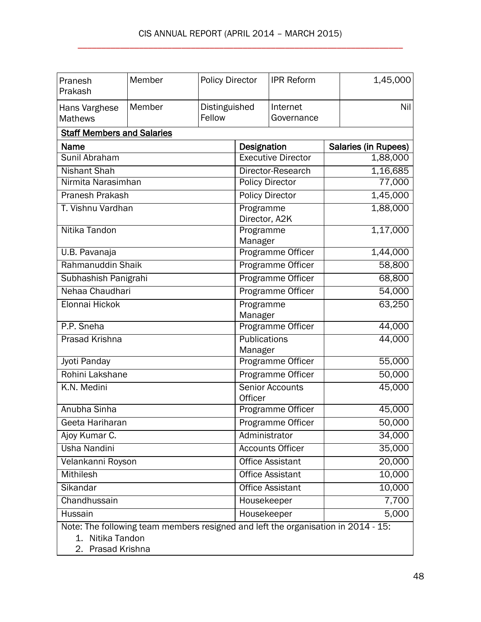| Pranesh<br>Prakash                                      | Member | <b>Policy Director</b>            |                         | <b>IPR Reform</b>         | 1,45,000                                                                          |
|---------------------------------------------------------|--------|-----------------------------------|-------------------------|---------------------------|-----------------------------------------------------------------------------------|
| Hans Varghese<br><b>Mathews</b>                         | Member | Distinguished<br>Fellow           |                         | Internet<br>Governance    | Nil                                                                               |
| <b>Staff Members and Salaries</b>                       |        |                                   |                         |                           |                                                                                   |
| <b>Name</b>                                             |        |                                   | Designation             |                           | Salaries (in Rupees)                                                              |
| Sunil Abraham                                           |        |                                   |                         | <b>Executive Director</b> | 1,88,000                                                                          |
| <b>Nishant Shah</b>                                     |        |                                   |                         | Director-Research         | 1,16,685                                                                          |
| Nirmita Narasimhan                                      |        |                                   |                         | <b>Policy Director</b>    | 77,000                                                                            |
| <b>Pranesh Prakash</b>                                  |        |                                   |                         | <b>Policy Director</b>    | 1,45,000                                                                          |
| T. Vishnu Vardhan                                       |        |                                   | Programme               | Director, A2K             | 1,88,000                                                                          |
| Nitika Tandon                                           |        |                                   | Programme<br>Manager    |                           | 1,17,000                                                                          |
| U.B. Pavanaja                                           |        |                                   |                         | Programme Officer         | 1,44,000                                                                          |
| Rahmanuddin Shaik                                       |        |                                   |                         | Programme Officer         | 58,800                                                                            |
| Subhashish Panigrahi                                    |        |                                   | Programme Officer       |                           | 68,800                                                                            |
| Nehaa Chaudhari                                         |        | Programme Officer                 |                         | 54,000                    |                                                                                   |
| Elonnai Hickok                                          |        | Programme<br>Manager              |                         | 63,250                    |                                                                                   |
| P.P. Sneha                                              |        |                                   |                         | Programme Officer         | 44,000                                                                            |
| Prasad Krishna                                          |        |                                   | Publications<br>Manager |                           | 44,000                                                                            |
| Jyoti Panday                                            |        |                                   |                         | Programme Officer         | 55,000                                                                            |
| Rohini Lakshane                                         |        |                                   | Programme Officer       | 50,000                    |                                                                                   |
| K.N. Medini                                             |        | <b>Senior Accounts</b><br>Officer |                         | 45,000                    |                                                                                   |
| Anubha Sinha                                            |        |                                   |                         | Programme Officer         | 45,000                                                                            |
| Geeta Hariharan                                         |        |                                   | Programme Officer       |                           | 50,000                                                                            |
| Ajoy Kumar C.                                           |        |                                   | Administrator           |                           | 34,000                                                                            |
| Usha Nandini                                            |        |                                   | <b>Accounts Officer</b> |                           | 35,000                                                                            |
| Velankanni Royson                                       |        | <b>Office Assistant</b>           |                         | 20,000                    |                                                                                   |
| <b>Mithilesh</b>                                        |        | <b>Office Assistant</b>           |                         | 10,000                    |                                                                                   |
| Sikandar                                                |        | <b>Office Assistant</b>           |                         | 10,000                    |                                                                                   |
| Chandhussain                                            |        |                                   |                         | Housekeeper               | 7,700                                                                             |
| Hussain                                                 |        |                                   |                         | Housekeeper               | 5,000                                                                             |
| Nitika Tandon<br>$\mathbf{1}$ .<br>Prasad Krishna<br>2. |        |                                   |                         |                           | Note: The following team members resigned and left the organisation in 2014 - 15: |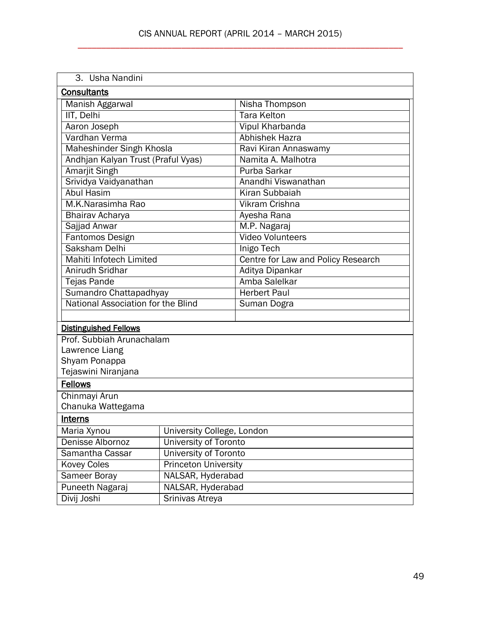| 3. Usha Nandini                           |                              |                                    |  |
|-------------------------------------------|------------------------------|------------------------------------|--|
| <b>Consultants</b>                        |                              |                                    |  |
| Manish Aggarwal                           |                              | Nisha Thompson                     |  |
| IIT, Delhi                                |                              | <b>Tara Kelton</b>                 |  |
| Aaron Joseph                              |                              | <b>Vipul Kharbanda</b>             |  |
| Vardhan Verma                             |                              | <b>Abhishek Hazra</b>              |  |
| Maheshinder Singh Khosla                  |                              | Ravi Kiran Annaswamy               |  |
| Andhjan Kalyan Trust (Praful Vyas)        |                              | Namita A. Malhotra                 |  |
| <b>Amarjit Singh</b>                      |                              | Purba Sarkar                       |  |
| Srividya Vaidyanathan                     |                              | Anandhi Viswanathan                |  |
| <b>Abul Hasim</b>                         |                              | Kiran Subbaiah                     |  |
| M.K.Narasimha Rao                         |                              | Vikram Crishna                     |  |
| <b>Bhairav Acharya</b>                    |                              | Ayesha Rana                        |  |
| Sajjad Anwar                              |                              | M.P. Nagaraj                       |  |
| Fantomos Design                           |                              | <b>Video Volunteers</b>            |  |
| Saksham Delhi                             |                              | <b>Inigo Tech</b>                  |  |
| Mahiti Infotech Limited                   |                              | Centre for Law and Policy Research |  |
| Anirudh Sridhar                           |                              | Aditya Dipankar                    |  |
| <b>Tejas Pande</b>                        |                              | Amba Salelkar                      |  |
| Sumandro Chattapadhyay                    |                              | <b>Herbert Paul</b>                |  |
| National Association for the Blind        |                              | Suman Dogra                        |  |
|                                           |                              |                                    |  |
| <b>Distinguished Fellows</b>              |                              |                                    |  |
| Prof. Subbiah Arunachalam                 |                              |                                    |  |
| Lawrence Liang                            |                              |                                    |  |
| Shyam Ponappa                             |                              |                                    |  |
| Tejaswini Niranjana                       |                              |                                    |  |
| <b>Fellows</b>                            |                              |                                    |  |
| Chinmayi Arun                             |                              |                                    |  |
|                                           | Chanuka Wattegama            |                                    |  |
| <b>Interns</b>                            |                              |                                    |  |
| Maria Xynou<br>University College, London |                              |                                    |  |
| Denisse Albornoz                          | <b>University of Toronto</b> |                                    |  |
| Samantha Cassar                           | <b>University of Toronto</b> |                                    |  |
| <b>Kovey Coles</b>                        | <b>Princeton University</b>  |                                    |  |
| <b>Sameer Boray</b>                       | NALSAR, Hyderabad            |                                    |  |
| Puneeth Nagaraj                           | NALSAR, Hyderabad            |                                    |  |
| Divij Joshi                               | Srinivas Atreya              |                                    |  |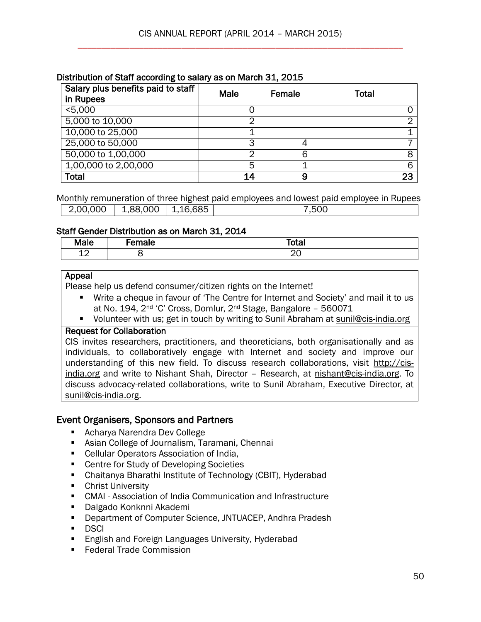|  | Distribution of Staff according to salary as on March 31, 2015 |  |  |
|--|----------------------------------------------------------------|--|--|
|  |                                                                |  |  |

| Salary plus benefits paid to staff<br>in Rupees | Male | Female | Total |
|-------------------------------------------------|------|--------|-------|
| < 5,000                                         | 0    |        |       |
| 5,000 to 10,000                                 | ⌒    |        |       |
| 10,000 to 25,000                                | ◢    |        |       |
| 25,000 to 50,000                                | 3    |        |       |
| 50,000 to 1,00,000                              | 2    |        | 8     |
| 1,00,000 to 2,00,000                            | 5    |        | 6     |
| Total                                           | 14   | 9      | 23    |

Monthly remuneration of three highest paid employees and lowest paid employee in Rupees 2,00,000 1,88,000 1,16,685 7,500

#### Staff Gender Distribution as on March 31, 2014

| Male         | emale | エヘキヘー<br>ιυιαι |
|--------------|-------|----------------|
| $\sim$<br>∸∸ |       | ∼∸             |

#### Appeal

Please help us defend consumer/citizen rights on the Internet!

- Write a cheque in favour of 'The Centre for Internet and Society' and mail it to us at No. 194, 2nd 'C' Cross, Domlur, 2nd Stage, Bangalore – 560071
- Volunteer with us; get in touch by writing to Sunil Abraham at [sunil@cis-india.org](mailto:sunil@cis-india.org)

#### Request for Collaboration

CIS invites researchers, practitioners, and theoreticians, both organisationally and as individuals, to collaboratively engage with Internet and society and improve our understanding of this new field. To discuss research collaborations, visit [http://cis](http://cis-india.org/)[india.org](http://cis-india.org/) and write to Nishant Shah, Director – Research, at [nishant@cis-india.org.](mailto:nishant@cis-india.org) To discuss advocacy-related collaborations, write to Sunil Abraham, Executive Director, at [sunil@cis-india.org.](mailto:sunil@cis-india.org)

## Event Organisers, Sponsors and Partners

- Acharya Narendra Dev College
- Asian College of Journalism, Taramani, Chennai
- Cellular Operators Association of India,
- Centre for Study of Developing Societies
- Chaitanya Bharathi Institute of Technology (CBIT), Hyderabad
- **Christ University**
- CMAI Association of India Communication and Infrastructure
- Dalgado Konknni Akademi
- **Department of Computer Science, JNTUACEP, Andhra Pradesh**
- DSCI
- **English and Foreign Languages University, Hyderabad**
- **Federal Trade Commission**